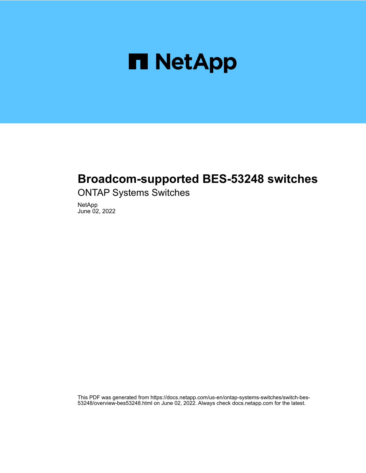

# **Broadcom-supported BES-53248 switches**

ONTAP Systems Switches

NetApp June 02, 2022

This PDF was generated from https://docs.netapp.com/us-en/ontap-systems-switches/switch-bes-53248/overview-bes53248.html on June 02, 2022. Always check docs.netapp.com for the latest.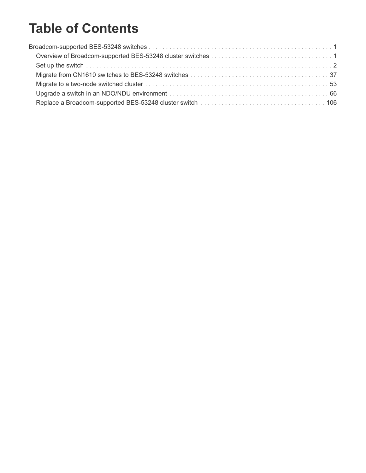# **Table of Contents**

| Set up the switch witch witch the contract of the contract of the contract of the contract of the switch $2$ |  |
|--------------------------------------------------------------------------------------------------------------|--|
|                                                                                                              |  |
|                                                                                                              |  |
|                                                                                                              |  |
|                                                                                                              |  |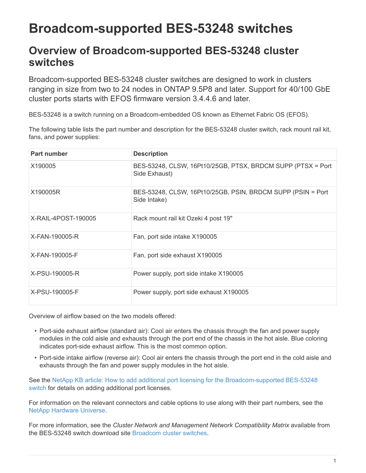# <span id="page-2-0"></span>**Broadcom-supported BES-53248 switches**

## <span id="page-2-1"></span>**Overview of Broadcom-supported BES-53248 cluster switches**

Broadcom-supported BES-53248 cluster switches are designed to work in clusters ranging in size from two to 24 nodes in ONTAP 9.5P8 and later. Support for 40/100 GbE cluster ports starts with EFOS firmware version 3.4.4.6 and later.

BES-53248 is a switch running on a Broadcom-embedded OS known as Ethernet Fabric OS (EFOS).

The following table lists the part number and description for the BES-53248 cluster switch, rack mount rail kit, fans, and power supplies:

| <b>Part number</b>  | <b>Description</b>                                                           |
|---------------------|------------------------------------------------------------------------------|
| X190005             | BES-53248, CLSW, 16Pt10/25GB, PTSX, BRDCM SUPP (PTSX = Port<br>Side Exhaust) |
| X190005R            | BES-53248, CLSW, 16Pt10/25GB, PSIN, BRDCM SUPP (PSIN = Port<br>Side Intake)  |
| X-RAIL-4POST-190005 | Rack mount rail kit Ozeki 4 post 19"                                         |
| X-FAN-190005-R      | Fan, port side intake X190005                                                |
| X-FAN-190005-F      | Fan, port side exhaust X190005                                               |
| X-PSU-190005-R      | Power supply, port side intake X190005                                       |
| X-PSU-190005-F      | Power supply, port side exhaust X190005                                      |

Overview of airflow based on the two models offered:

- Port-side exhaust airflow (standard air): Cool air enters the chassis through the fan and power supply modules in the cold aisle and exhausts through the port end of the chassis in the hot aisle. Blue coloring indicates port-side exhaust airflow. This is the most common option.
- Port-side intake airflow (reverse air): Cool air enters the chassis through the port end in the cold aisle and exhausts through the fan and power supply modules in the hot aisle.

See the [NetApp KB article: How to add additional port licensing for the Broadcom-supported BES-53248](https://kb.netapp.com/Advice_and_Troubleshooting/Data_Protection_and_Security/MetroCluster/How_to_add_Additional_Port_Licensing_for_the_Broadcom-Supported_BES-53248_Switch) [switch](https://kb.netapp.com/Advice_and_Troubleshooting/Data_Protection_and_Security/MetroCluster/How_to_add_Additional_Port_Licensing_for_the_Broadcom-Supported_BES-53248_Switch) for details on adding additional port licenses.

For information on the relevant connectors and cable options to use along with their part numbers, see the [NetApp Hardware Universe.](https://hwu.netapp.com/Home/Index)

For more information, see the *Cluster Network and Management Network Compatibility Matrix* available from the BES-53248 switch download site [Broadcom cluster switches](https://mysupport.netapp.com/site/products/all/details/broadcom-cluster-switches/downloads-tab).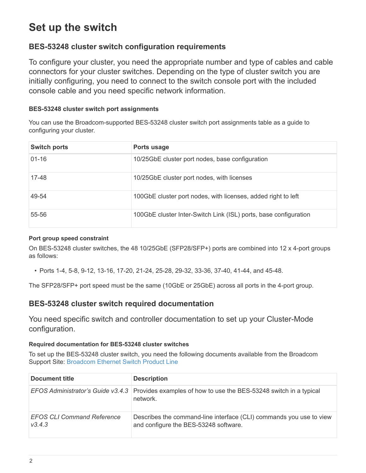# <span id="page-3-0"></span>**Set up the switch**

## **BES-53248 cluster switch configuration requirements**

To configure your cluster, you need the appropriate number and type of cables and cable connectors for your cluster switches. Depending on the type of cluster switch you are initially configuring, you need to connect to the switch console port with the included console cable and you need specific network information.

#### **BES-53248 cluster switch port assignments**

You can use the Broadcom-supported BES-53248 cluster switch port assignments table as a guide to configuring your cluster.

| <b>Switch ports</b> | Ports usage                                                      |
|---------------------|------------------------------------------------------------------|
| $01 - 16$           | 10/25GbE cluster port nodes, base configuration                  |
| 17-48               | 10/25GbE cluster port nodes, with licenses                       |
| 49-54               | 100GbE cluster port nodes, with licenses, added right to left    |
| 55-56               | 100GbE cluster Inter-Switch Link (ISL) ports, base configuration |

#### **Port group speed constraint**

On BES-53248 cluster switches, the 48 10/25GbE (SFP28/SFP+) ports are combined into 12 x 4-port groups as follows:

• Ports 1-4, 5-8, 9-12, 13-16, 17-20, 21-24, 25-28, 29-32, 33-36, 37-40, 41-44, and 45-48.

The SFP28/SFP+ port speed must be the same (10GbE or 25GbE) across all ports in the 4-port group.

### **BES-53248 cluster switch required documentation**

You need specific switch and controller documentation to set up your Cluster-Mode configuration.

#### **Required documentation for BES-53248 cluster switches**

To set up the BES-53248 cluster switch, you need the following documents available from the Broadcom Support Site: [Broadcom Ethernet Switch Product Line](https://www.broadcom.com/support/bes-switch)

| <b>Document title</b>                       | <b>Description</b>                                                                                              |
|---------------------------------------------|-----------------------------------------------------------------------------------------------------------------|
|                                             | EFOS Administrator's Guide v3.4.3 Provides examples of how to use the BES-53248 switch in a typical<br>network. |
| <b>EFOS CLI Command Reference</b><br>V3.4.3 | Describes the command-line interface (CLI) commands you use to view<br>and configure the BES-53248 software.    |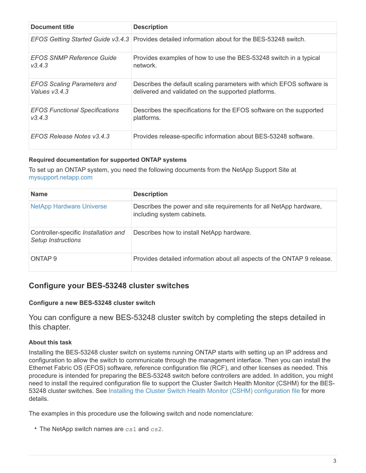| Document title                        | <b>Description</b>                                                                              |
|---------------------------------------|-------------------------------------------------------------------------------------------------|
|                                       | EFOS Getting Started Guide v3.4.3 Provides detailed information about for the BES-53248 switch. |
| <b>EFOS SNMP Reference Guide</b>      | Provides examples of how to use the BES-53248 switch in a typical                               |
| V3.4.3                                | network.                                                                                        |
| <b>EFOS Scaling Parameters and</b>    | Describes the default scaling parameters with which EFOS software is                            |
| Values v3.4.3                         | delivered and validated on the supported platforms.                                             |
| <b>EFOS Functional Specifications</b> | Describes the specifications for the EFOS software on the supported                             |
| V3.4.3                                | platforms.                                                                                      |
| EFOS Release Notes v3.4.3             | Provides release-specific information about BES-53248 software.                                 |

#### **Required documentation for supported ONTAP systems**

To set up an ONTAP system, you need the following documents from the NetApp Support Site at [mysupport.netapp.com](http://mysupport.netapp.com/)

| <b>Name</b>                                                | <b>Description</b>                                                                               |
|------------------------------------------------------------|--------------------------------------------------------------------------------------------------|
| <b>NetApp Hardware Universe</b>                            | Describes the power and site requirements for all NetApp hardware,<br>including system cabinets. |
| Controller-specific Installation and<br>Setup Instructions | Describes how to install NetApp hardware.                                                        |
| ONTAP <sub>9</sub>                                         | Provides detailed information about all aspects of the ONTAP 9 release.                          |

### **Configure your BES-53248 cluster switches**

#### **Configure a new BES-53248 cluster switch**

You can configure a new BES-53248 cluster switch by completing the steps detailed in this chapter.

#### **About this task**

Installing the BES-53248 cluster switch on systems running ONTAP starts with setting up an IP address and configuration to allow the switch to communicate through the management interface. Then you can install the Ethernet Fabric OS (EFOS) software, reference configuration file (RCF), and other licenses as needed. This procedure is intended for preparing the BES-53248 switch before controllers are added. In addition, you might need to install the required configuration file to support the Cluster Switch Health Monitor (CSHM) for the BES-53248 cluster switches. See [Installing the Cluster Switch Health Monitor \(CSHM\) configuration file](https://docs.netapp.com/us-en/ontap-systems-switches/switch-bes-53248/configure-health-monitor.html) for more details.

The examples in this procedure use the following switch and node nomenclature:

• The NetApp switch names are cs1 and cs2.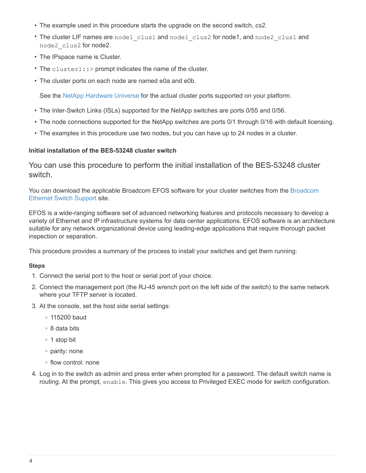- The example used in this procedure starts the upgrade on the second switch, *cs2.*
- The cluster LIF names are node1 clus1 and node1 clus2 for node1, and node2 clus1 and node2\_clus2 for node2.
- The IPspace name is Cluster.
- The cluster1::> prompt indicates the name of the cluster.
- The cluster ports on each node are named e0a and e0b.

See the [NetApp Hardware Universe](https://hwu.netapp.com/Home/Index) for the actual cluster ports supported on your platform.

- The Inter-Switch Links (ISLs) supported for the NetApp switches are ports 0/55 and 0/56.
- The node connections supported for the NetApp switches are ports 0/1 through 0/16 with default licensing.
- The examples in this procedure use two nodes, but you can have up to 24 nodes in a cluster.

#### **Initial installation of the BES-53248 cluster switch**

You can use this procedure to perform the initial installation of the BES-53248 cluster switch.

You can download the applicable [Broadcom](https://www.broadcom.com/support/bes-switch) EFOS software for your cluster switches from the Broadcom [Ethernet Switch Support](https://www.broadcom.com/support/bes-switch) site.

EFOS is a wide-ranging software set of advanced networking features and protocols necessary to develop a variety of Ethernet and IP infrastructure systems for data center applications. EFOS software is an architecture suitable for any network organizational device using leading-edge applications that require thorough packet inspection or separation.

This procedure provides a summary of the process to install your switches and get them running:

#### **Steps**

- 1. Connect the serial port to the host or serial port of your choice.
- 2. Connect the management port (the RJ-45 wrench port on the left side of the switch) to the same network where your TFTP server is located.
- 3. At the console, set the host side serial settings:
	- 115200 baud
	- 8 data bits
	- 1 stop bit
	- parity: none
	- flow control: none
- 4. Log in to the switch as admin and press enter when prompted for a password. The default switch name is routing. At the prompt, enable. This gives you access to Privileged EXEC mode for switch configuration.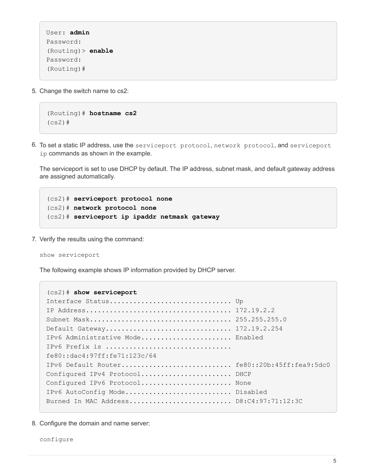```
User: admin
Password:
(Routing)> enable
Password:
(Routing)#
```
5. Change the switch name to cs2:

```
(Routing)# hostname cs2
(cs2)#
```
6. To set a static IP address, use the serviceport protocol, network protocol, and serviceport ip commands as shown in the example.

The serviceport is set to use DHCP by default. The IP address, subnet mask, and default gateway address are assigned automatically.

(cs2)# **serviceport protocol none** (cs2)# **network protocol none** (cs2)# **serviceport ip ipaddr netmask gateway**

7. Verify the results using the command:

#### show serviceport

The following example shows IP information provided by DHCP server.

```
(cs2)# show serviceport
Interface Status................................. Up
IP Address..................................... 172.19.2.2
Subnet Mask.................................... 255.255.255.0
Default Gateway................................ 172.19.2.254
IPv6 Administrative Mode....................... Enabled
IPv6 Prefix is ................................
fe80::dac4:97ff:fe71:123c/64
IPv6 Default Router............................ fe80::20b:45ff:fea9:5dc0
Configured IPv4 Protocol....................... DHCP
Configured IPv6 Protocol......................... None
IPv6 AutoConfig Mode........................... Disabled
Burned In MAC Address.......................... D8:C4:97:71:12:3C
```
8. Configure the domain and name server: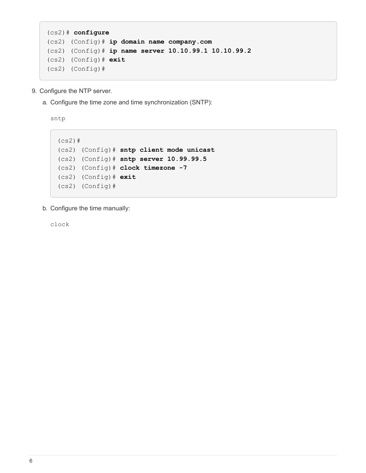```
(cs2)# configure
(cs2) (Config)# ip domain name company.com
(cs2) (Config)# ip name server 10.10.99.1 10.10.99.2
(cs2) (Config)# exit
(cs2) (Config)#
```
- 9. Configure the NTP server.
	- a. Configure the time zone and time synchronization (SNTP):

sntp

```
(cs2)#
(cs2) (Config)# sntp client mode unicast
(cs2) (Config)# sntp server 10.99.99.5
(cs2) (Config)# clock timezone -7
(cs2) (Config)# exit
(cs2) (Config)#
```
b. Configure the time manually:

clock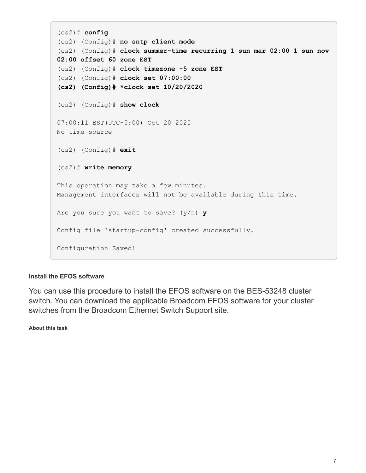```
(cs2)# config
(cs2) (Config)# no sntp client mode
(cs2) (Config)# clock summer-time recurring 1 sun mar 02:00 1 sun nov
02:00 offset 60 zone EST
(cs2) (Config)# clock timezone -5 zone EST
(cs2) (Config)# clock set 07:00:00
(cs2) (Config)# *clock set 10/20/2020
(cs2) (Config)# show clock
07:00:11 EST(UTC-5:00) Oct 20 2020
No time source
(cs2) (Config)# exit
(cs2)# write memory
This operation may take a few minutes.
Management interfaces will not be available during this time.
Are you sure you want to save? (y/n) y
Config file 'startup-config' created successfully.
Configuration Saved!
```
#### **Install the EFOS software**

You can use this procedure to install the EFOS software on the BES-53248 cluster switch. You can download the applicable Broadcom EFOS software for your cluster switches from the Broadcom Ethernet Switch Support site.

**About this task**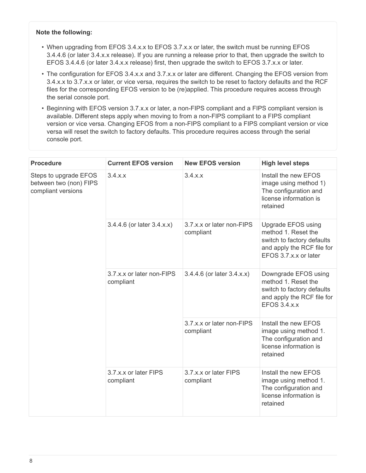#### **Note the following:**

- When upgrading from EFOS 3.4.x.x to EFOS 3.7.x.x or later, the switch must be running EFOS 3.4.4.6 (or later 3.4.x.x release). If you are running a release prior to that, then upgrade the switch to EFOS 3.4.4.6 (or later 3.4.x.x release) first, then upgrade the switch to EFOS 3.7.x.x or later.
- The configuration for EFOS 3.4.x.x and 3.7.x.x or later are different. Changing the EFOS version from 3.4.x.x to 3.7.x.x or later, or vice versa, requires the switch to be reset to factory defaults and the RCF files for the corresponding EFOS version to be (re)applied. This procedure requires access through the serial console port.
- Beginning with EFOS version 3.7.x.x or later, a non-FIPS compliant and a FIPS compliant version is available. Different steps apply when moving to from a non-FIPS compliant to a FIPS compliant version or vice versa. Changing EFOS from a non-FIPS compliant to a FIPS compliant version or vice versa will reset the switch to factory defaults. This procedure requires access through the serial console port.

| <b>Procedure</b>                                                      | <b>Current EFOS version</b>            | <b>New EFOS version</b>                | <b>High level steps</b>                                                                                                        |  |
|-----------------------------------------------------------------------|----------------------------------------|----------------------------------------|--------------------------------------------------------------------------------------------------------------------------------|--|
| Steps to upgrade EFOS<br>between two (non) FIPS<br>compliant versions | $3.4 \times x$                         | 3.4.x.x                                | Install the new EFOS<br>image using method 1)<br>The configuration and<br>license information is<br>retained                   |  |
|                                                                       | 3.4.4.6 (or later 3.4.x.x)             | 3.7.x.x or later non-FIPS<br>compliant | Upgrade EFOS using<br>method 1. Reset the<br>switch to factory defaults<br>and apply the RCF file for<br>EFOS 3.7.x.x or later |  |
|                                                                       | 3.7.x.x or later non-FIPS<br>compliant | 3.4.4.6 (or later 3.4.x.x)             | Downgrade EFOS using<br>method 1. Reset the<br>switch to factory defaults<br>and apply the RCF file for<br><b>EFOS 3.4.x.x</b> |  |
|                                                                       |                                        | 3.7.x.x or later non-FIPS<br>compliant | Install the new EFOS<br>image using method 1.<br>The configuration and<br>license information is<br>retained                   |  |
|                                                                       | 3.7.x.x or later FIPS<br>compliant     | 3.7.x.x or later FIPS<br>compliant     | Install the new EFOS<br>image using method 1.<br>The configuration and<br>license information is<br>retained                   |  |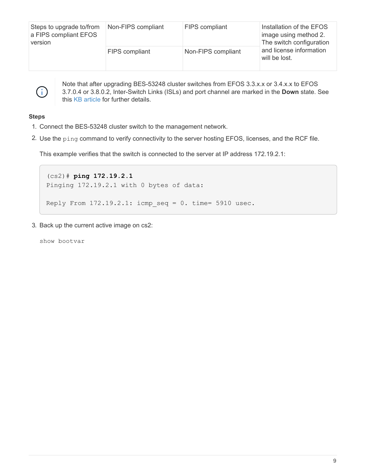| Steps to upgrade to/from<br>a FIPS compliant EFOS<br>version | Non-FIPS compliant    | <b>FIPS</b> compliant | Installation of the EFOS<br>image using method 2.<br>The switch configuration |
|--------------------------------------------------------------|-----------------------|-----------------------|-------------------------------------------------------------------------------|
|                                                              | <b>FIPS</b> compliant | Non-FIPS compliant    | and license information<br>will be lost.                                      |



Note that after upgrading BES-53248 cluster switches from EFOS 3.3.x.x or 3.4.x.x to EFOS 3.7.0.4 or 3.8.0.2, Inter-Switch Links (ISLs) and port channel are marked in the **Down** state. See this [KB article](https://kb.netapp.com/Advice_and_Troubleshooting/Data_Storage_Systems/Fabric%2C_Interconnect_and_Management_Switches/BES-53248_Cluster_Switch_NDU_failed_upgrade_to_EFOS_3.7.0.4_and_later) for further details.

#### **Steps**

- 1. Connect the BES-53248 cluster switch to the management network.
- 2. Use the ping command to verify connectivity to the server hosting EFOS, licenses, and the RCF file.

This example verifies that the switch is connected to the server at IP address 172.19.2.1:

```
(cs2)# ping 172.19.2.1
Pinging 172.19.2.1 with 0 bytes of data:
Reply From 172.19.2.1: icmp seq = 0. time= 5910 usec.
```
3. Back up the current active image on cs2:

show bootvar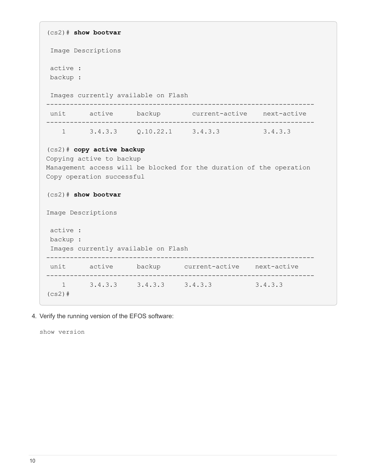```
(cs2)# show bootvar
  Image Descriptions
 active :
 backup :
  Images currently available on Flash
--------------------------------------------------------------------
 unit active backup current-active next-active
--------------------------------------------------------------------
   1 3.4.3.3    Q.10.22.1    3.4.3.3    3.4.3.3
(cs2)# copy active backup
Copying active to backup
Management access will be blocked for the duration of the operation
Copy operation successful
(cs2)# show bootvar
Image Descriptions
 active :
 backup :
 Images currently available on Flash
--------------------------------------------------------------------
 unit active backup current-active next-active
--------------------------------------------------------------------
     1 3.4.3.3 3.4.3.3 3.4.3.3 3.4.3.3
(cs2)#
```
4. Verify the running version of the EFOS software:

show version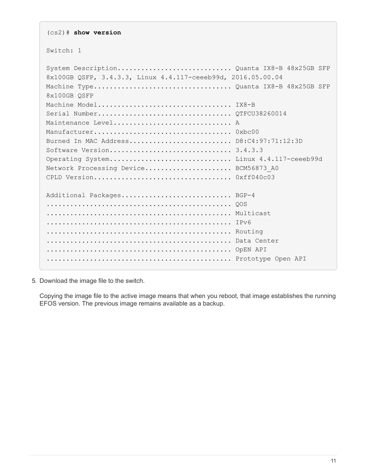(cs2)# **show version** Switch: 1 System Description............................. Quanta IX8-B 48x25GB SFP 8x100GB QSFP, 3.4.3.3, Linux 4.4.117-ceeeb99d, 2016.05.00.04 Machine Type................................... Quanta IX8-B 48x25GB SFP 8x100GB QSFP Machine Model.................................. IX8-B Serial Number.................................. QTFCU38260014 Maintenance Level............................... A Manufacturer................................... 0xbc00 Burned In MAC Address.......................... D8:C4:97:71:12:3D Software Version............................... 3.4.3.3 Operating System............................... Linux 4.4.117-ceeeb99d Network Processing Device......................... BCM56873 A0 CPLD Version................................... 0xff040c03 Additional Packages............................ BGP-4 ............................................... QOS ............................................... Multicast ............................................... IPv6 ............................................... Routing ............................................... Data Center ............................................... OpEN API ............................................... Prototype Open API

5. Download the image file to the switch.

Copying the image file to the active image means that when you reboot, that image establishes the running EFOS version. The previous image remains available as a backup.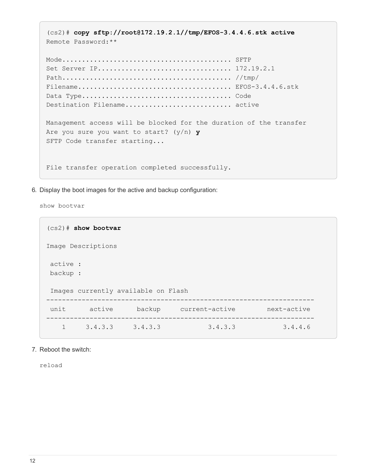```
(cs2)# copy sftp://root@172.19.2.1//tmp/EFOS-3.4.4.6.stk active
Remote Password:**
Mode........................................... SFTP
Set Server IP.................................. 172.19.2.1
Path........................................... //tmp/
Filename....................................... EFOS-3.4.4.6.stk
Data Type...................................... Code
Destination Filename............................. active
Management access will be blocked for the duration of the transfer
Are you sure you want to start? (y/n) y
SFTP Code transfer starting...
File transfer operation completed successfully.
```
6. Display the boot images for the active and backup configuration:

show bootvar

```
(cs2)# show bootvar
Image Descriptions
 active :
 backup :
 Images currently available on Flash
--------------------------------------------------------------------
 unit active backup current-active next-active
--------------------------------------------------------------------
     1 3.4.3.3 3.4.3.3 3.4.3.3 3.4.4.6
```
7. Reboot the switch:

reload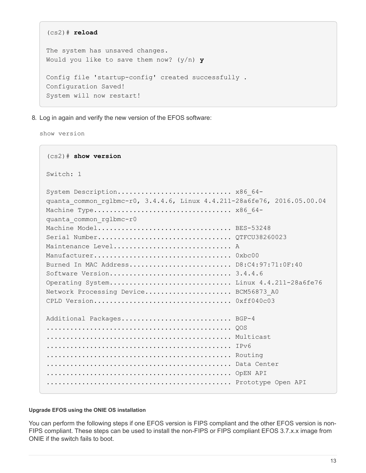```
(cs2)# reload
The system has unsaved changes.
Would you like to save them now? (y/n) y
Config file 'startup-config' created successfully .
Configuration Saved!
System will now restart!
```
8. Log in again and verify the new version of the EFOS software:

show version

```
(cs2)# show version
Switch: 1
System Description............................. x86 64-
quanta_common_rglbmc-r0, 3.4.4.6, Linux 4.4.211-28a6fe76, 2016.05.00.04
Machine Type................................... x86_64-
quanta_common_rglbmc-r0
Machine Model................................... BES-53248
Serial Number.................................. QTFCU38260023
Maintenance Level............................... A
Manufacturer................................... 0xbc00
Burned In MAC Address.......................... D8:C4:97:71:0F:40
Software Version............................... 3.4.4.6
Operating System............................... Linux 4.4.211-28a6fe76
Network Processing Device...................... BCM56873_A0
CPLD Version................................... 0xff040c03
Additional Packages............................ BGP-4
............................................... QOS
............................................... Multicast
............................................... IPv6
............................................... Routing
............................................... Data Center
............................................... OpEN API
............................................... Prototype Open API
```
#### **Upgrade EFOS using the ONIE OS installation**

You can perform the following steps if one EFOS version is FIPS compliant and the other EFOS version is non-FIPS compliant. These steps can be used to install the non-FIPS or FIPS compliant EFOS 3.7.x.x image from ONIE if the switch fails to boot.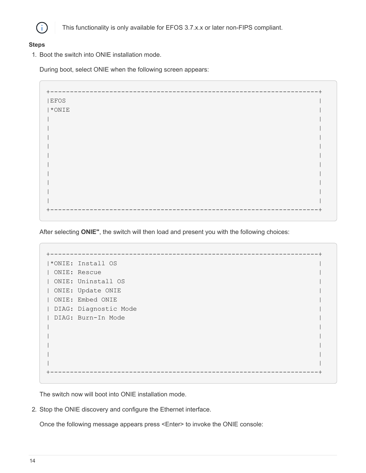

This functionality is only available for EFOS 3.7.x.x or later non-FIPS compliant.

#### **Steps**

1. Boot the switch into ONIE installation mode.

During boot, select ONIE when the following screen appears:

+--------------------------------------------------------------------+  $|EFOS|$  $|\star\text{ONIE}|\$ | | | | | | | | | | | | | | | | | | | | +--------------------------------------------------------------------+

After selecting **ONIE"**, the switch will then load and present you with the following choices:

+--------------------------------------------------------------------+ |\*ONIE: Install OS | | ONIE: Rescue | | ONIE: Uninstall OS | | ONIE: Update ONIE | | ONIE: Embed ONIE | | DIAG: Diagnostic Mode | | DIAG: Burn-In Mode | | | | | | | | | | | +--------------------------------------------------------------------+

The switch now will boot into ONIE installation mode.

2. Stop the ONIE discovery and configure the Ethernet interface.

Once the following message appears press <Enter> to invoke the ONIE console: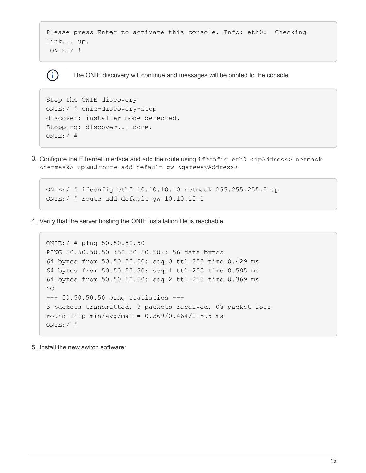```
Please press Enter to activate this console. Info: eth0: Checking
link... up.
  ONIE:/ #
```
The ONIE discovery will continue and messages will be printed to the console.

```
Stop the ONIE discovery
ONIE:/ # onie-discovery-stop
discover: installer mode detected.
Stopping: discover... done.
ONIE:/ #
```
( i )

3. Configure the Ethernet interface and add the route using ifconfig eth0 <ipAddress> netmask <netmask> up and route add default gw <gatewayAddress>

```
ONIE:/ # ifconfig eth0 10.10.10.10 netmask 255.255.255.0 up
ONIE:/ # route add default gw 10.10.10.1
```
4. Verify that the server hosting the ONIE installation file is reachable:

```
ONIE:/ # ping 50.50.50.50
PING 50.50.50.50 (50.50.50.50): 56 data bytes
64 bytes from 50.50.50.50: seq=0 ttl=255 time=0.429 ms
64 bytes from 50.50.50.50: seq=1 ttl=255 time=0.595 ms
64 bytes from 50.50.50.50: seq=2 ttl=255 time=0.369 ms
^{\wedge}C--- 50.50.50.50 ping statistics ---
3 packets transmitted, 3 packets received, 0% packet loss
round-trip min/avg/max = 0.369/0.464/0.595 msONIE:/ #
```
5. Install the new switch software: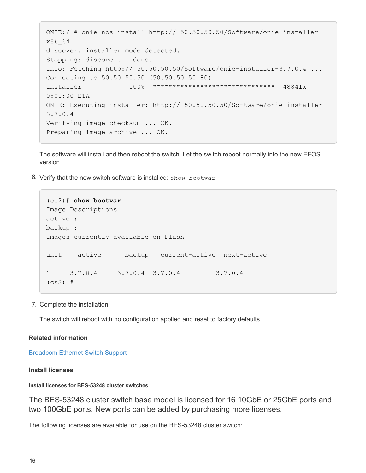```
ONIE:/ # onie-nos-install http:// 50.50.50.50/Software/onie-installer-
x86_64
discover: installer mode detected.
Stopping: discover... done.
Info: Fetching http:// 50.50.50.50/Software/onie-installer-3.7.0.4 ...
Connecting to 50.50.50.50 (50.50.50.50:80)
installer 100% |*******************************| 48841k
0:00:00 ETA
ONIE: Executing installer: http:// 50.50.50.50/Software/onie-installer-
3.7.0.4
Verifying image checksum ... OK.
Preparing image archive ... OK.
```
The software will install and then reboot the switch. Let the switch reboot normally into the new EFOS version.

6. Verify that the new switch software is installed: show bootvar

```
(cs2)# show bootvar
Image Descriptions
active :
backup :
Images currently available on Flash
---- ----------- -------- --------------- ------------
unit active backup current-active next-active
---- ----------- -------- --------------- ------------
1 3.7.0.4 3.7.0.4 3.7.0.4 3.7.0.4
(cs2) #
```
7. Complete the installation.

The switch will reboot with no configuration applied and reset to factory defaults.

#### **Related information**

[Broadcom Ethernet Switch Support](https://www.broadcom.com/support/bes-switch)

#### **Install licenses**

#### **Install licenses for BES-53248 cluster switches**

The BES-53248 cluster switch base model is licensed for 16 10GbE or 25GbE ports and two 100GbE ports. New ports can be added by purchasing more licenses.

The following licenses are available for use on the BES-53248 cluster switch: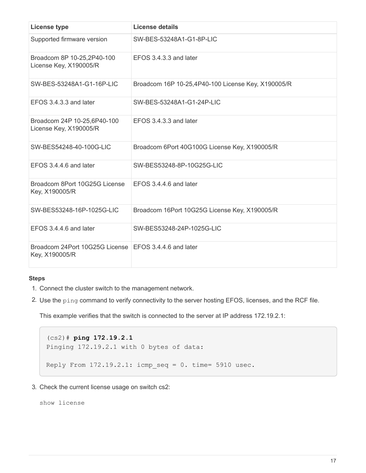| <b>License type</b>                                                       | License details                                    |
|---------------------------------------------------------------------------|----------------------------------------------------|
| Supported firmware version                                                | SW-BES-53248A1-G1-8P-LIC                           |
| Broadcom 8P 10-25,2P40-100<br>License Key, X190005/R                      | EFOS 3.4.3.3 and later                             |
| SW-BES-53248A1-G1-16P-LIC                                                 | Broadcom 16P 10-25,4P40-100 License Key, X190005/R |
| EFOS 3.4.3.3 and later                                                    | SW-BES-53248A1-G1-24P-LIC                          |
| Broadcom 24P 10-25,6P40-100<br>License Key, X190005/R                     | EFOS 3.4.3.3 and later                             |
| SW-BES54248-40-100G-LIC                                                   | Broadcom 6Port 40G100G License Key, X190005/R      |
| EFOS 3.4.4.6 and later                                                    | SW-BES53248-8P-10G25G-LIC                          |
| Broadcom 8Port 10G25G License<br>Key, X190005/R                           | EFOS 3.4.4.6 and later                             |
| SW-BES53248-16P-1025G-LIC                                                 | Broadcom 16Port 10G25G License Key, X190005/R      |
| EFOS 3.4.4.6 and later                                                    | SW-BES53248-24P-1025G-LIC                          |
| Broadcom 24Port 10G25G License   EFOS 3.4.4.6 and later<br>Key, X190005/R |                                                    |

#### **Steps**

- 1. Connect the cluster switch to the management network.
- 2. Use the ping command to verify connectivity to the server hosting EFOS, licenses, and the RCF file.

This example verifies that the switch is connected to the server at IP address 172.19.2.1:

```
(cs2)# ping 172.19.2.1
Pinging 172.19.2.1 with 0 bytes of data:
Reply From 172.19.2.1: icmp seq = 0. time= 5910 usec.
```
3. Check the current license usage on switch cs2:

show license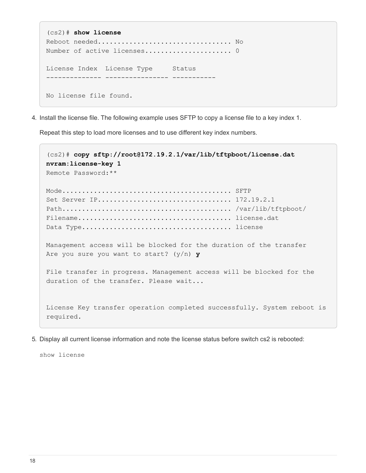```
(cs2)# show license
Reboot needed.................................. No
Number of active licenses...................... 0
License Index License Type Status
-------------- ---------------- -----------
No license file found.
```
4. Install the license file. The following example uses SFTP to copy a license file to a key index 1.

Repeat this step to load more licenses and to use different key index numbers.

```
(cs2)# copy sftp://root@172.19.2.1/var/lib/tftpboot/license.dat
nvram:license-key 1
Remote Password:**
Mode........................................... SFTP
Set Server IP.................................. 172.19.2.1
Path........................................... /var/lib/tftpboot/
Filename....................................... license.dat
Data Type...................................... license
Management access will be blocked for the duration of the transfer
Are you sure you want to start? (y/n) y
File transfer in progress. Management access will be blocked for the
duration of the transfer. Please wait...
License Key transfer operation completed successfully. System reboot is
required.
```
5. Display all current license information and note the license status before switch cs2 is rebooted:

show license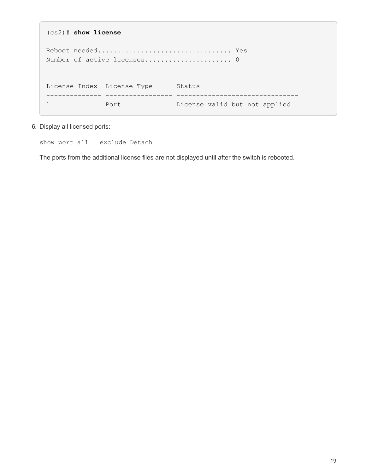```
(cs2)# show license
Reboot needed.................................. Yes
Number of active licenses...................... 0
License Index License Type Status
-------------- ----------------- -------------------------------
1 Port Port License valid but not applied
```
6. Display all licensed ports:

show port all | exclude Detach

The ports from the additional license files are not displayed until after the switch is rebooted.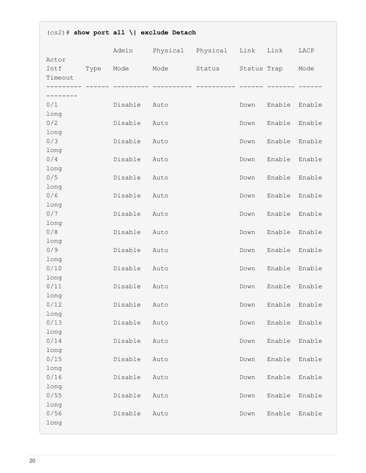| $(cos2)$ # show port all \  exclude Detach |      |         |      |                        |      |             |        |
|--------------------------------------------|------|---------|------|------------------------|------|-------------|--------|
|                                            |      | Admin   |      | Physical Physical Link |      | Link        | LACP   |
| Actor<br>Intf<br>Timeout<br>----------     | Type | Mode    | Mode | Status                 |      | Status Trap | Mode   |
| --------                                   |      |         |      |                        |      |             |        |
| 0/1                                        |      | Disable | Auto |                        | Down | Enable      | Enable |
| long                                       |      |         |      |                        |      |             |        |
| 0/2                                        |      | Disable | Auto |                        | Down | Enable      | Enable |
| long                                       |      |         |      |                        |      |             |        |
| 0/3                                        |      | Disable | Auto |                        | Down | Enable      | Enable |
| long<br>0/4                                |      | Disable | Auto |                        | Down | Enable      | Enable |
| long                                       |      |         |      |                        |      |             |        |
| 0/5                                        |      | Disable | Auto |                        | Down | Enable      | Enable |
| long                                       |      |         |      |                        |      |             |        |
| 0/6                                        |      | Disable | Auto |                        | Down | Enable      | Enable |
| long                                       |      |         |      |                        |      |             |        |
| 0/7                                        |      | Disable | Auto |                        | Down | Enable      | Enable |
| long<br>0/8                                |      | Disable |      |                        | Down | Enable      | Enable |
| long                                       |      |         | Auto |                        |      |             |        |
| 0/9                                        |      | Disable | Auto |                        | Down | Enable      | Enable |
| long                                       |      |         |      |                        |      |             |        |
| 0/10                                       |      | Disable | Auto |                        | Down | Enable      | Enable |
| long                                       |      |         |      |                        |      |             |        |
| 0/11                                       |      | Disable | Auto |                        | Down | Enable      | Enable |
| long<br>0/12                               |      | Disable | Auto |                        | Down | Enable      | Enable |
| long                                       |      |         |      |                        |      |             |        |
| 0/13                                       |      | Disable | Auto |                        | Down | Enable      | Enable |
| long                                       |      |         |      |                        |      |             |        |
| 0/14                                       |      | Disable | Auto |                        | Down | Enable      | Enable |
| long                                       |      |         |      |                        |      |             |        |
| 0/15                                       |      | Disable | Auto |                        | Down | Enable      | Enable |
| long<br>0/16                               |      |         |      |                        |      |             |        |
| long                                       |      | Disable | Auto |                        | Down | Enable      | Enable |
| 0/55                                       |      | Disable | Auto |                        | Down | Enable      | Enable |
| long                                       |      |         |      |                        |      |             |        |
| 0/56                                       |      | Disable | Auto |                        | Down | Enable      | Enable |
| long                                       |      |         |      |                        |      |             |        |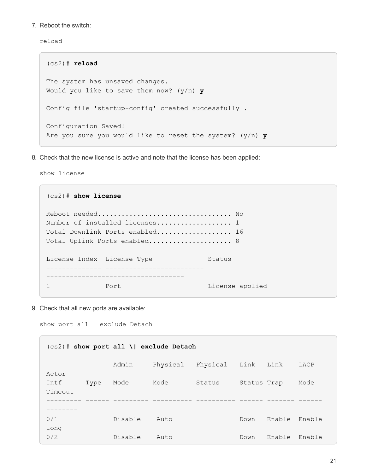7. Reboot the switch:

reload

```
(cs2)# reload
The system has unsaved changes.
Would you like to save them now? (y/n) y
Config file 'startup-config' created successfully .
Configuration Saved!
Are you sure you would like to reset the system? (y/n) y
```
8. Check that the new license is active and note that the license has been applied:

show license

| $(cs2)$ # show license     |                                      |                 |
|----------------------------|--------------------------------------|-----------------|
|                            |                                      |                 |
|                            |                                      |                 |
|                            | Number of installed licenses 1       |                 |
|                            | Total Downlink Ports enabled 16      |                 |
|                            | Total Uplink Ports enabled 8         |                 |
|                            |                                      |                 |
| License Index License Type |                                      | Status          |
|                            | ---------- ------------------------- |                 |
|                            |                                      |                 |
|                            | Port                                 | License applied |

9. Check that all new ports are available:

show port all | exclude Detach

| $(cs2)$ # show port all \  exclude Detach |         |          |          |             |        |        |
|-------------------------------------------|---------|----------|----------|-------------|--------|--------|
|                                           | Admin   | Physical | Physical | Link        | Link   | LACP   |
| Actor<br>Intf<br>Type<br>Timeout          | Mode    | Mode     | Status   | Status Trap |        | Mode   |
|                                           |         |          |          |             |        |        |
| ------<br>0/1                             | Disable | Auto     |          | Down        | Enable | Enable |
| long<br>0/2                               | Disable | Auto     |          | Down        | Enable | Enable |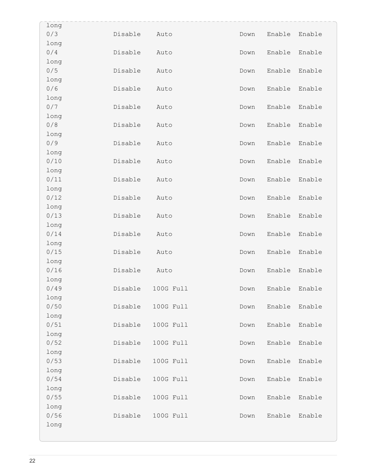| long         |         |           |      |        |        |
|--------------|---------|-----------|------|--------|--------|
| 0/3          | Disable | Auto      | Down | Enable | Enable |
| long         |         |           |      |        |        |
| 0/4          | Disable | Auto      | Down | Enable | Enable |
| long         |         |           |      |        |        |
| 0/5          | Disable | Auto      | Down | Enable | Enable |
| long         |         |           |      |        |        |
| 0/6          | Disable | Auto      | Down | Enable | Enable |
| long         |         |           |      |        |        |
| 0/7          | Disable | Auto      | Down | Enable | Enable |
| long         |         |           |      |        |        |
| 0/8          | Disable | Auto      | Down | Enable | Enable |
| long         |         |           |      |        |        |
| 0/9          | Disable | Auto      | Down | Enable | Enable |
| long         |         |           |      |        |        |
| 0/10         | Disable | Auto      | Down | Enable | Enable |
| long         |         |           |      |        |        |
| 0/11         | Disable | Auto      | Down | Enable | Enable |
| long         |         |           |      |        |        |
| 0/12         | Disable | Auto      | Down | Enable | Enable |
| long         |         |           |      |        |        |
| 0/13         | Disable | Auto      | Down | Enable | Enable |
| long         |         |           |      |        |        |
| 0/14         | Disable | Auto      | Down | Enable | Enable |
| long         |         |           |      |        |        |
| 0/15         | Disable | Auto      | Down | Enable | Enable |
| long<br>0/16 |         |           |      |        |        |
|              | Disable | Auto      | Down | Enable | Enable |
| long<br>0/49 | Disable | 100G Full | Down | Enable | Enable |
| long         |         |           |      |        |        |
| 0/50         | Disable | 100G Full | Down | Enable | Enable |
| long         |         |           |      |        |        |
| 0/51         | Disable | 100G Full | Down | Enable | Enable |
| long         |         |           |      |        |        |
| 0/52         | Disable | 100G Full | Down | Enable | Enable |
| long         |         |           |      |        |        |
| 0/53         | Disable | 100G Full | Down | Enable | Enable |
| long         |         |           |      |        |        |
| 0/54         | Disable | 100G Full | Down | Enable | Enable |
| long         |         |           |      |        |        |
| 0/55         | Disable | 100G Full | Down | Enable | Enable |
| long         |         |           |      |        |        |
| 0/56         | Disable | 100G Full | Down | Enable | Enable |
| long         |         |           |      |        |        |
|              |         |           |      |        |        |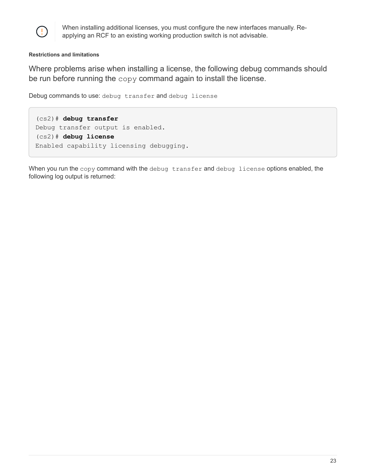

When installing additional licenses, you must configure the new interfaces manually. Reapplying an RCF to an existing working production switch is not advisable.

#### **Restrictions and limitations**

Where problems arise when installing a license, the following debug commands should be run before running the copy command again to install the license.

Debug commands to use: debug transfer and debug license

(cs2)# **debug transfer** Debug transfer output is enabled. (cs2)# **debug license** Enabled capability licensing debugging.

When you run the copy command with the debug transfer and debug license options enabled, the following log output is returned: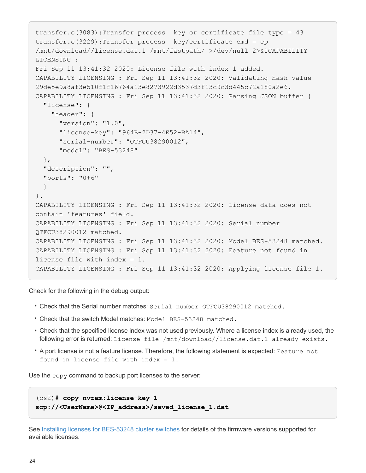```
transfer.c(3083):Transfer process key or certificate file type = 43
transfer.c(3229):Transfer process key/certificate cmd = cp
/mnt/download//license.dat.1 /mnt/fastpath/ >/dev/null 2>&1CAPABILITY
LICENSING :
Fri Sep 11 13:41:32 2020: License file with index 1 added.
CAPABILITY LICENSING : Fri Sep 11 13:41:32 2020: Validating hash value
29de5e9a8af3e510f1f16764a13e8273922d3537d3f13c9c3d445c72a180a2e6.
CAPABILITY LICENSING : Fri Sep 11 13:41:32 2020: Parsing JSON buffer {
    "license": {
      "header": {
        "version": "1.0",
        "license-key": "964B-2D37-4E52-BA14",
        "serial-number": "QTFCU38290012",
        "model": "BES-53248"
    },
    "description": "",
    "ports": "0+6"
    }
}.
CAPABILITY LICENSING : Fri Sep 11 13:41:32 2020: License data does not
contain 'features' field.
CAPABILITY LICENSING : Fri Sep 11 13:41:32 2020: Serial number
QTFCU38290012 matched.
CAPABILITY LICENSING : Fri Sep 11 13:41:32 2020: Model BES-53248 matched.
CAPABILITY LICENSING : Fri Sep 11 13:41:32 2020: Feature not found in
license file with index = 1.
CAPABILITY LICENSING : Fri Sep 11 13:41:32 2020: Applying license file 1.
```
Check for the following in the debug output:

- Check that the Serial number matches: Serial number QTFCU38290012 matched.
- Check that the switch Model matches: Model BES-53248 matched.
- Check that the specified license index was not used previously. Where a license index is already used, the following error is returned: License file /mnt/download//license.dat.1 already exists.
- A port license is not a feature license. Therefore, the following statement is expected: Feature not found in license file with index = 1.

Use the copy command to backup port licenses to the server:

```
(cs2)# copy nvram:license-key 1
scp://<UserName>@<IP_address>/saved_license_1.dat
```
See [Installing licenses for BES-53248 cluster switches](https://docs.netapp.com/us-en/ontap-systems-switches/switch-bes-53248/configure-licenses.html) for details of the firmware versions supported for available licenses.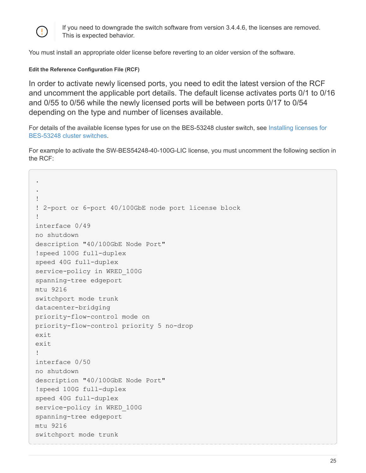

If you need to downgrade the switch software from version 3.4.4.6, the licenses are removed. This is expected behavior.

You must install an appropriate older license before reverting to an older version of the software.

#### **Edit the Reference Configuration File (RCF)**

In order to activate newly licensed ports, you need to edit the latest version of the RCF and uncomment the applicable port details. The default license activates ports 0/1 to 0/16 and 0/55 to 0/56 while the newly licensed ports will be between ports 0/17 to 0/54 depending on the type and number of licenses available.

For details of the available license types for use on the BES-53248 cluster switch, see [Installing licenses for](https://docs.netapp.com/us-en/ontap-systems-switches/switch-bes-53248/configure-licenses.html) [BES-53248 cluster switches.](https://docs.netapp.com/us-en/ontap-systems-switches/switch-bes-53248/configure-licenses.html)

For example to activate the SW-BES54248-40-100G-LIC license, you must uncomment the following section in the RCF:

```
.
.
!
! 2-port or 6-port 40/100GbE node port license block
!
interface 0/49
no shutdown
description "40/100GbE Node Port"
!speed 100G full-duplex
speed 40G full-duplex
service-policy in WRED_100G
spanning-tree edgeport
mtu 9216
switchport mode trunk
datacenter-bridging
priority-flow-control mode on
priority-flow-control priority 5 no-drop
exit
exit
!
interface 0/50
no shutdown
description "40/100GbE Node Port"
!speed 100G full-duplex
speed 40G full-duplex
service-policy in WRED_100G
spanning-tree edgeport
mtu 9216
switchport mode trunk
```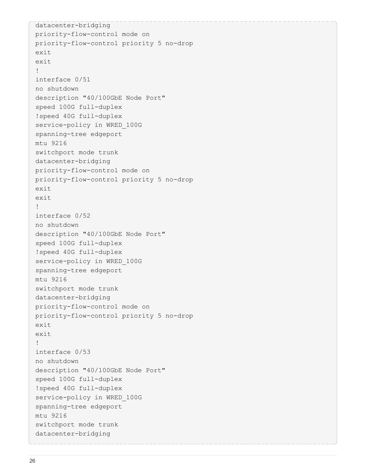```
datacenter-bridging
priority-flow-control mode on
priority-flow-control priority 5 no-drop
exit
exit
!
interface 0/51
no shutdown
description "40/100GbE Node Port"
speed 100G full-duplex
!speed 40G full-duplex
service-policy in WRED_100G
spanning-tree edgeport
mtu 9216
switchport mode trunk
datacenter-bridging
priority-flow-control mode on
priority-flow-control priority 5 no-drop
exit
exit
!
interface 0/52
no shutdown
description "40/100GbE Node Port"
speed 100G full-duplex
!speed 40G full-duplex
service-policy in WRED_100G
spanning-tree edgeport
mtu 9216
switchport mode trunk
datacenter-bridging
priority-flow-control mode on
priority-flow-control priority 5 no-drop
exit
exit
!
interface 0/53
no shutdown
description "40/100GbE Node Port"
speed 100G full-duplex
!speed 40G full-duplex
service-policy in WRED_100G
spanning-tree edgeport
mtu 9216
switchport mode trunk
datacenter-bridging
```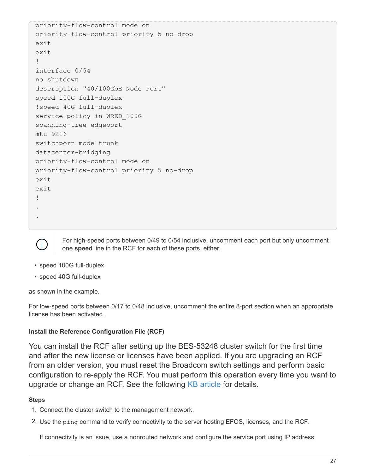```
priority-flow-control mode on
priority-flow-control priority 5 no-drop
exit
exit
!
interface 0/54
no shutdown
description "40/100GbE Node Port"
speed 100G full-duplex
!speed 40G full-duplex
service-policy in WRED_100G
spanning-tree edgeport
mtu 9216
switchport mode trunk
datacenter-bridging
priority-flow-control mode on
priority-flow-control priority 5 no-drop
exit
exit
!
.
.
```


For high-speed ports between 0/49 to 0/54 inclusive, uncomment each port but only uncomment one **speed** line in the RCF for each of these ports, either:

- speed 100G full-duplex
- speed 40G full-duplex

as shown in the example.

For low-speed ports between 0/17 to 0/48 inclusive, uncomment the entire 8-port section when an appropriate license has been activated.

#### **Install the Reference Configuration File (RCF)**

You can install the RCF after setting up the BES-53248 cluster switch for the first time and after the new license or licenses have been applied. If you are upgrading an RCF from an older version, you must reset the Broadcom switch settings and perform basic configuration to re-apply the RCF. You must perform this operation every time you want to upgrade or change an RCF. See the following [KB article](https://kb.netapp.com/Advice_and_Troubleshooting/Data_Storage_Systems/Fabric%2C_Interconnect_and_Management_Switches/Error!_in_configuration_script_file_at_line_number_XX_when_applying_a_new_RCF) for details.

#### **Steps**

- 1. Connect the cluster switch to the management network.
- 2. Use the ping command to verify connectivity to the server hosting EFOS, licenses, and the RCF.

If connectivity is an issue, use a nonrouted network and configure the service port using IP address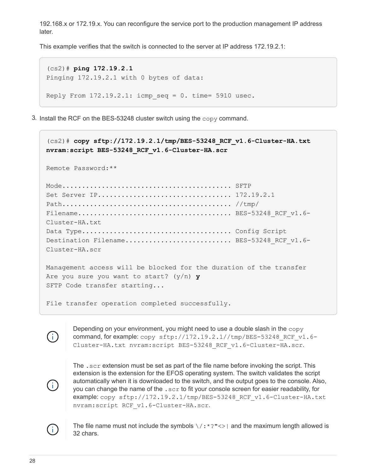192.168.x or 172.19.x. You can reconfigure the service port to the production management IP address later.

This example verifies that the switch is connected to the server at IP address 172.19.2.1:

```
(cs2)# ping 172.19.2.1
Pinging 172.19.2.1 with 0 bytes of data:
Reply From 172.19.2.1: icmp seq = 0. time= 5910 usec.
```
3. Install the RCF on the BES-53248 cluster switch using the copy command.

```
(cs2)# copy sftp://172.19.2.1/tmp/BES-53248_RCF_v1.6-Cluster-HA.txt
nvram:script BES-53248_RCF_v1.6-Cluster-HA.scr
Remote Password:**
Mode........................................... SFTP
Set Server IP.................................. 172.19.2.1
Path........................................... //tmp/
File name \ldots \ldots \ldots \ldots \ldots \ldots \ldots \ldots \ldots \ldots \ldots \ldots \ldots. BES-53248 RCF v1.6-
Cluster-HA.txt
Data Type...................................... Config Script
Destination Filename........................... BES-53248 RCF v1.6-
Cluster-HA.scr
Management access will be blocked for the duration of the transfer
Are you sure you want to start? (y/n) y
SFTP Code transfer starting...
File transfer operation completed successfully.
```
Depending on your environment, you might need to use a double slash in the copy command, for example: copy sftp://172.19.2.1//tmp/BES-53248 RCF\_v1.6-Cluster-HA.txt nvram:script BES-53248\_RCF\_v1.6-Cluster-HA.scr.

ĴΙ,

Ĥ.

The .scr extension must be set as part of the file name before invoking the script. This extension is the extension for the EFOS operating system. The switch validates the script automatically when it is downloaded to the switch, and the output goes to the console. Also, you can change the name of the . scr to fit your console screen for easier readability, for example: copy sftp://172.19.2.1/tmp/BES-53248\_RCF\_v1.6-Cluster-HA.txt nvram:script RCF\_v1.6-Cluster-HA.scr.



The file name must not include the symbols  $\setminus$  : \*?" <> | and the maximum length allowed is 32 chars.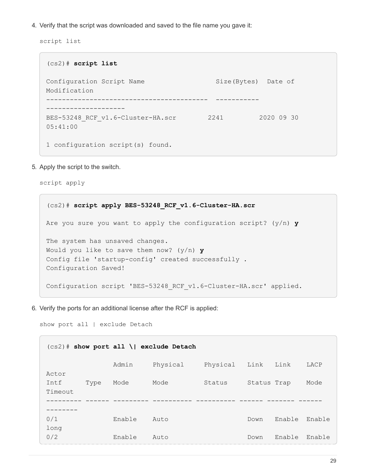4. Verify that the script was downloaded and saved to the file name you gave it:

script list

(cs2)# **script list** Configuration Script Name Size(Bytes) Date of Modification ----------------------------------------- ----------- -------------------- BES-53248 RCF v1.6-Cluster-HA.scr 2241 2020 09 30 05:41:00 1 configuration script(s) found.

5. Apply the script to the switch.

script apply

(cs2)# **script apply BES-53248\_RCF\_v1.6-Cluster-HA.scr** Are you sure you want to apply the configuration script? (y/n) **y** The system has unsaved changes. Would you like to save them now? (y/n) **y** Config file 'startup-config' created successfully . Configuration Saved! Configuration script 'BES-53248 RCF v1.6-Cluster-HA.scr' applied.

6. Verify the ports for an additional license after the RCF is applied:

show port all | exclude Detach

| $(cs2)$ # show port all \  exclude Detach |        |          |          |             |        |        |  |
|-------------------------------------------|--------|----------|----------|-------------|--------|--------|--|
|                                           | Admin  | Physical | Physical | Link        | Link   | LACP   |  |
| Actor<br>Intf<br>Type                     | Mode   | Mode     | Status   | Status Trap |        | Mode   |  |
| Timeout                                   |        |          |          |             |        |        |  |
| 0/1                                       | Enable | Auto     |          | Down        | Enable | Enable |  |
| long<br>0/2<br>_______                    | Enable | Auto     |          | Down        | Enable | Enable |  |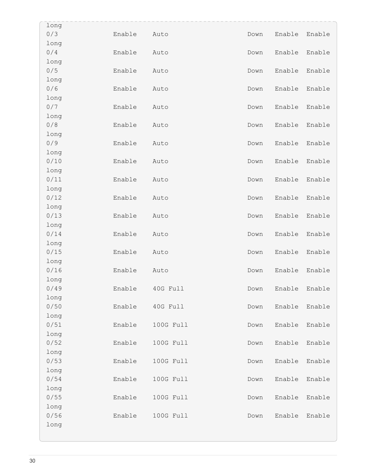| long |        |           |      |        |        |
|------|--------|-----------|------|--------|--------|
| 0/3  | Enable | Auto      | Down | Enable | Enable |
| long |        |           |      |        |        |
| 0/4  | Enable | Auto      | Down | Enable | Enable |
| long |        |           |      |        |        |
| 0/5  | Enable | Auto      | Down | Enable | Enable |
| long |        |           |      |        |        |
| 0/6  | Enable | Auto      | Down | Enable | Enable |
| long |        |           |      |        |        |
| 0/7  | Enable | Auto      | Down | Enable | Enable |
| long |        |           |      |        |        |
| 0/8  | Enable | Auto      | Down | Enable | Enable |
| long |        |           |      |        |        |
| 0/9  | Enable | Auto      | Down | Enable | Enable |
| long |        |           |      |        |        |
| 0/10 | Enable | Auto      | Down | Enable | Enable |
| long |        |           |      |        |        |
| 0/11 | Enable | Auto      | Down | Enable | Enable |
| long |        |           |      |        |        |
| 0/12 | Enable | Auto      | Down | Enable | Enable |
| long |        |           |      |        |        |
| 0/13 | Enable | Auto      | Down | Enable | Enable |
| long |        |           |      |        |        |
| 0/14 | Enable | Auto      | Down | Enable | Enable |
| long |        |           |      |        |        |
| 0/15 | Enable | Auto      | Down | Enable | Enable |
| long |        |           |      |        |        |
| 0/16 | Enable | Auto      | Down | Enable | Enable |
| long |        |           |      |        |        |
| 0/49 | Enable | 40G Full  | Down | Enable | Enable |
| long |        |           |      |        |        |
| 0/50 | Enable | 40G Full  | Down | Enable | Enable |
| long |        |           |      |        |        |
| 0/51 | Enable | 100G Full | Down | Enable | Enable |
| long |        |           |      |        |        |
| 0/52 | Enable | 100G Full | Down | Enable | Enable |
| long |        |           |      |        |        |
| 0/53 | Enable | 100G Full | Down | Enable | Enable |
| long |        |           |      |        |        |
| 0/54 | Enable | 100G Full | Down | Enable | Enable |
| long |        |           |      |        |        |
| 0/55 | Enable | 100G Full | Down | Enable | Enable |
| long |        |           |      |        |        |
| 0/56 | Enable | 100G Full | Down | Enable | Enable |
| long |        |           |      |        |        |
|      |        |           |      |        |        |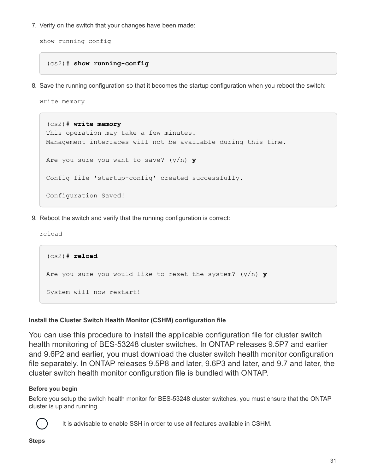7. Verify on the switch that your changes have been made:

```
show running-config
```
#### (cs2)# **show running-config**

8. Save the running configuration so that it becomes the startup configuration when you reboot the switch:

write memory

```
(cs2)# write memory
This operation may take a few minutes.
Management interfaces will not be available during this time.
Are you sure you want to save? (y/n) y
Config file 'startup-config' created successfully.
Configuration Saved!
```
9. Reboot the switch and verify that the running configuration is correct:

reload

```
(cs2)# reload
Are you sure you would like to reset the system? (y/n) y
System will now restart!
```
#### **Install the Cluster Switch Health Monitor (CSHM) configuration file**

You can use this procedure to install the applicable configuration file for cluster switch health monitoring of BES-53248 cluster switches. In ONTAP releases 9.5P7 and earlier and 9.6P2 and earlier, you must download the cluster switch health monitor configuration file separately. In ONTAP releases 9.5P8 and later, 9.6P3 and later, and 9.7 and later, the cluster switch health monitor configuration file is bundled with ONTAP.

#### **Before you begin**

Before you setup the switch health monitor for BES-53248 cluster switches, you must ensure that the ONTAP cluster is up and running.



It is advisable to enable SSH in order to use all features available in CSHM.

#### **Steps**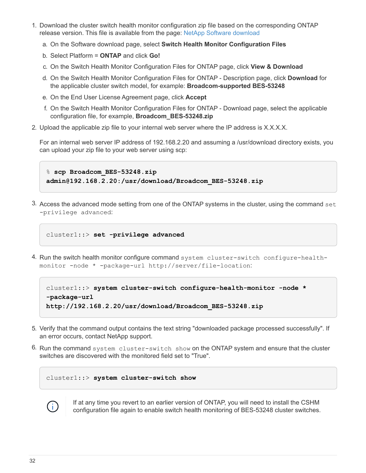- 1. Download the cluster switch health monitor configuration zip file based on the corresponding ONTAP release version. This file is available from the page: [NetApp Software download](https://mysupport.netapp.com/NOW/cgi-bin/software/)
	- a. On the Software download page, select **Switch Health Monitor Configuration Files**
	- b. Select Platform = **ONTAP** and click **Go!**
	- c. On the Switch Health Monitor Configuration Files for ONTAP page, click **View & Download**
	- d. On the Switch Health Monitor Configuration Files for ONTAP Description page, click **Download** for the applicable cluster switch model, for example: **Broadcom-supported BES-53248**
	- e. On the End User License Agreement page, click **Accept**
	- f. On the Switch Health Monitor Configuration Files for ONTAP Download page, select the applicable configuration file, for example, **Broadcom\_BES-53248.zip**
- 2. Upload the applicable zip file to your internal web server where the IP address is X.X.X.X.

For an internal web server IP address of 192.168.2.20 and assuming a /usr/download directory exists, you can upload your zip file to your web server using scp:

% **scp Broadcom\_BES-53248.zip admin@192.168.2.20:/usr/download/Broadcom\_BES-53248.zip**

3. Access the advanced mode setting from one of the ONTAP systems in the cluster, using the command set -privilege advanced:

cluster1::> **set -privilege advanced**

4. Run the switch health monitor configure command system cluster-switch configure-healthmonitor -node \* -package-url http://server/file-location:

```
cluster1::> system cluster-switch configure-health-monitor -node *
-package-url
http://192.168.2.20/usr/download/Broadcom_BES-53248.zip
```
- 5. Verify that the command output contains the text string "downloaded package processed successfully". If an error occurs, contact NetApp support.
- 6. Run the command system cluster-switch show on the ONTAP system and ensure that the cluster switches are discovered with the monitored field set to "True".

cluster1::> **system cluster-switch show**



If at any time you revert to an earlier version of ONTAP, you will need to install the CSHM configuration file again to enable switch health monitoring of BES-53248 cluster switches.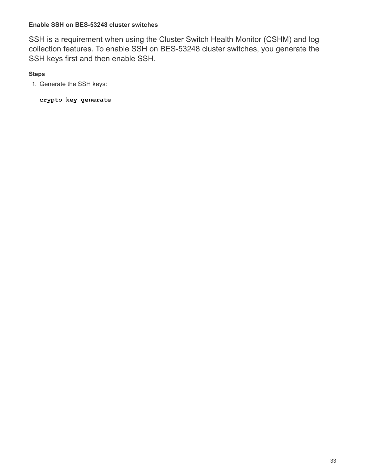#### **Enable SSH on BES-53248 cluster switches**

SSH is a requirement when using the Cluster Switch Health Monitor (CSHM) and log collection features. To enable SSH on BES-53248 cluster switches, you generate the SSH keys first and then enable SSH.

#### **Steps**

1. Generate the SSH keys:

**crypto key generate**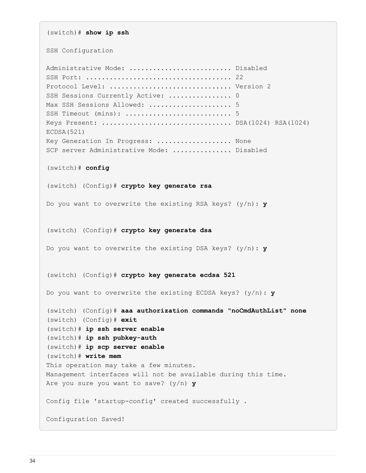(switch)# **show ip ssh** SSH Configuration Administrative Mode: .......................... Disabled SSH Port: ..................................... 22 Protocol Level: ............................... Version 2 SSH Sessions Currently Active: ................... 0 Max SSH Sessions Allowed: ............................ 5 SSH Timeout (mins): ........................... 5 Keys Present: ................................. DSA(1024) RSA(1024) ECDSA(521) Key Generation In Progress: ................... None SCP server Administrative Mode: ............... Disabled (switch)# **config** (switch) (Config)# **crypto key generate rsa** Do you want to overwrite the existing RSA keys? (y/n): **y** (switch) (Config)# **crypto key generate dsa** Do you want to overwrite the existing DSA keys? (y/n): **y** (switch) (Config)# **crypto key generate ecdsa 521** Do you want to overwrite the existing ECDSA keys? (y/n): **y** (switch) (Config)# **aaa authorization commands "noCmdAuthList" none** (switch) (Config)# **exit** (switch)# **ip ssh server enable** (switch)# **ip ssh pubkey-auth** (switch)# **ip scp server enable** (switch)# **write mem** This operation may take a few minutes. Management interfaces will not be available during this time. Are you sure you want to save? (y/n) **y** Config file 'startup-config' created successfully . Configuration Saved!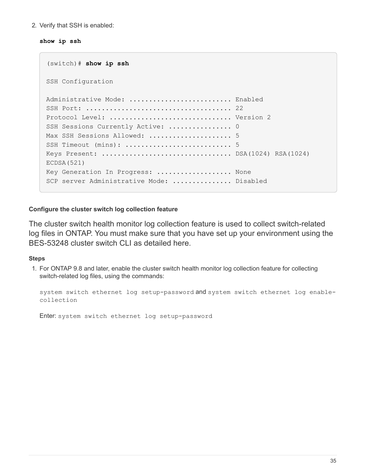2. Verify that SSH is enabled:

#### **show ip ssh**

```
(switch)# show ip ssh
SSH Configuration
Administrative Mode: .......................... Enabled
SSH Port: ..................................... 22
Protocol Level: ............................... Version 2
SSH Sessions Currently Active: ................... 0
Max SSH Sessions Allowed: ........................... 5
SSH Timeout (mins): ........................... 5
Keys Present: ................................. DSA(1024) RSA(1024)
ECDSA(521)
Key Generation In Progress: ................... None
SCP server Administrative Mode: ................ Disabled
```
#### **Configure the cluster switch log collection feature**

The cluster switch health monitor log collection feature is used to collect switch-related log files in ONTAP. You must make sure that you have set up your environment using the BES-53248 cluster switch CLI as detailed here.

#### **Steps**

1. For ONTAP 9.8 and later, enable the cluster switch health monitor log collection feature for collecting switch-related log files, using the commands:

system switch ethernet log setup-password and system switch ethernet log enablecollection

Enter: system switch ethernet log setup-password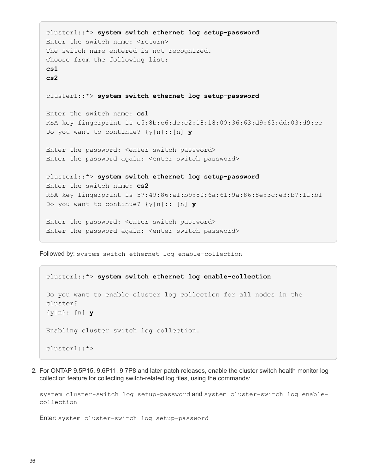```
cluster1::*> system switch ethernet log setup-password
Enter the switch name: <return>
The switch name entered is not recognized.
Choose from the following list:
cs1
cs2
cluster1::*> system switch ethernet log setup-password
Enter the switch name: cs1
RSA key fingerprint is e5:8b:c6:dc:e2:18:18:09:36:63:d9:63:dd:03:d9:cc
Do you want to continue? {y|n}::[n] y
Enter the password: < enter switch password>
Enter the password again: < enter switch password>
cluster1::*> system switch ethernet log setup-password
Enter the switch name: cs2
RSA key fingerprint is 57:49:86:a1:b9:80:6a:61:9a:86:8e:3c:e3:b7:1f:b1
Do you want to continue? {y|n}:: [n] y
Enter the password: < enter switch password>
Enter the password again: < enter switch password>
```
Followed by: system switch ethernet log enable-collection

```
cluster1::*> system switch ethernet log enable-collection
Do you want to enable cluster log collection for all nodes in the
cluster?
{y|n}: [n] y
Enabling cluster switch log collection.
cluster1::*>
```
2. For ONTAP 9.5P15, 9.6P11, 9.7P8 and later patch releases, enable the cluster switch health monitor log collection feature for collecting switch-related log files, using the commands:

system cluster-switch log setup-password and system cluster-switch log enablecollection

Enter: system cluster-switch log setup-password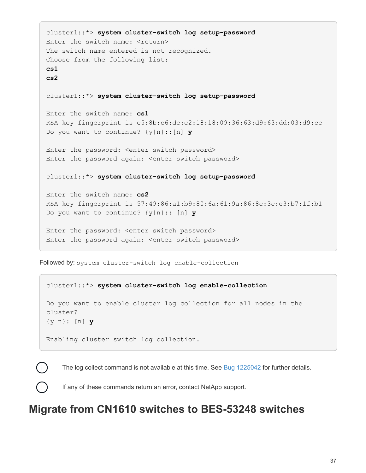```
cluster1::*> system cluster-switch log setup-password
Enter the switch name: <return>
The switch name entered is not recognized.
Choose from the following list:
cs1
cs2
cluster1::*> system cluster-switch log setup-password
Enter the switch name: cs1
RSA key fingerprint is e5:8b:c6:dc:e2:18:18:09:36:63:d9:63:dd:03:d9:cc
Do you want to continue? {y|n}::[n] y
Enter the password: < enter switch password>
Enter the password again: < enter switch password>
cluster1::*> system cluster-switch log setup-password
Enter the switch name: cs2
RSA key fingerprint is 57:49:86:a1:b9:80:6a:61:9a:86:8e:3c:e3:b7:1f:b1
Do you want to continue? {y|n}:: [n] y
Enter the password: < enter switch password>
Enter the password again: <enter switch password>
```
Followed by: system cluster-switch log enable-collection

# cluster1::\*> **system cluster-switch log enable-collection** Do you want to enable cluster log collection for all nodes in the cluster? {y|n}: [n] **y** Enabling cluster switch log collection.

The log collect command is not available at this time. See [Bug 1225042](https://mysupport.netapp.com/site/bugs-online/product/ONTAP/BURT/1225042) for further details.

If any of these commands return an error, contact NetApp support.

# **Migrate from CN1610 switches to BES-53248 switches**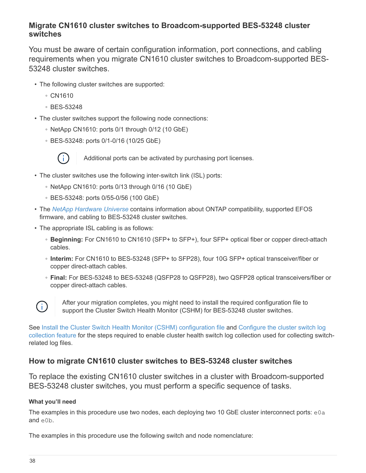# **Migrate CN1610 cluster switches to Broadcom-supported BES-53248 cluster switches**

You must be aware of certain configuration information, port connections, and cabling requirements when you migrate CN1610 cluster switches to Broadcom-supported BES-53248 cluster switches.

- The following cluster switches are supported:
	- CN1610
	- BES-53248
- The cluster switches support the following node connections:
	- NetApp CN1610: ports 0/1 through 0/12 (10 GbE)
	- BES-53248: ports 0/1-0/16 (10/25 GbE)



Additional ports can be activated by purchasing port licenses.

- The cluster switches use the following inter-switch link (ISL) ports:
	- NetApp CN1610: ports 0/13 through 0/16 (10 GbE)
	- BES-53248: ports 0/55-0/56 (100 GbE)
- The *[NetApp Hardware Universe](https://hwu.netapp.com/Home/Index)* contains information about ONTAP compatibility, supported EFOS firmware, and cabling to BES-53248 cluster switches.
- The appropriate ISL cabling is as follows:
	- **Beginning:** For CN1610 to CN1610 (SFP+ to SFP+), four SFP+ optical fiber or copper direct-attach cables.
	- **Interim:** For CN1610 to BES-53248 (SFP+ to SFP28), four 10G SFP+ optical transceiver/fiber or copper direct-attach cables.
	- **Final:** For BES-53248 to BES-53248 (QSFP28 to QSFP28), two QSFP28 optical transceivers/fiber or copper direct-attach cables.



After your migration completes, you might need to install the required configuration file to support the Cluster Switch Health Monitor (CSHM) for BES-53248 cluster switches.

See [Install the Cluster Switch Health Monitor \(CSHM\) configuration file](https://docs.netapp.com/us-en/ontap-systems-switches/switch-bes-53248/configure-health-monitor.html) and Configure the cluster switch log collection feature for the steps required to enable cluster health switch log collection used for collecting switchrelated log files.

# **How to migrate CN1610 cluster switches to BES-53248 cluster switches**

To replace the existing CN1610 cluster switches in a cluster with Broadcom-supported BES-53248 cluster switches, you must perform a specific sequence of tasks.

## **What you'll need**

The examples in this procedure use two nodes, each deploying two 10 GbE cluster interconnect ports:  $e0a$ and e0b.

The examples in this procedure use the following switch and node nomenclature: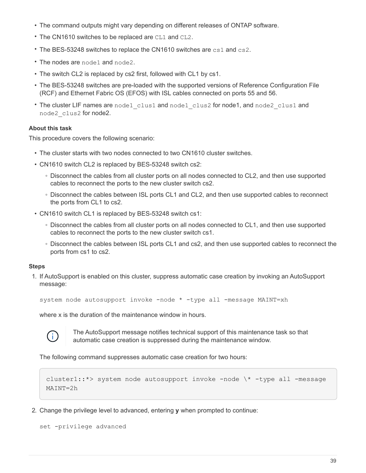- The command outputs might vary depending on different releases of ONTAP software.
- The CN1610 switches to be replaced are CL1 and CL2.
- The BES-53248 switches to replace the CN1610 switches are cs1 and cs2.
- The nodes are node1 and node2.
- The switch CL2 is replaced by cs2 first, followed with CL1 by cs1.
- The BES-53248 switches are pre-loaded with the supported versions of Reference Configuration File (RCF) and Ethernet Fabric OS (EFOS) with ISL cables connected on ports 55 and 56.
- The cluster LIF names are node1 clus1 and node1 clus2 for node1, and node2 clus1 and node2\_clus2 for node2.

#### **About this task**

This procedure covers the following scenario:

- The cluster starts with two nodes connected to two CN1610 cluster switches.
- CN1610 switch CL2 is replaced by BES-53248 switch cs2:
	- Disconnect the cables from all cluster ports on all nodes connected to CL2, and then use supported cables to reconnect the ports to the new cluster switch cs2.
	- Disconnect the cables between ISL ports CL1 and CL2, and then use supported cables to reconnect the ports from CL1 to cs2.
- CN1610 switch CL1 is replaced by BES-53248 switch cs1:
	- Disconnect the cables from all cluster ports on all nodes connected to CL1, and then use supported cables to reconnect the ports to the new cluster switch cs1.
	- Disconnect the cables between ISL ports CL1 and cs2, and then use supported cables to reconnect the ports from cs1 to cs2.

#### **Steps**

1. If AutoSupport is enabled on this cluster, suppress automatic case creation by invoking an AutoSupport message:

```
system node autosupport invoke -node * -type all -message MAINT=xh
```
where x is the duration of the maintenance window in hours.



The AutoSupport message notifies technical support of this maintenance task so that automatic case creation is suppressed during the maintenance window.

The following command suppresses automatic case creation for two hours:

```
cluster1::*> system node autosupport invoke -node \* -type all -message
MAINT=2h
```
2. Change the privilege level to advanced, entering **y** when prompted to continue:

```
set -privilege advanced
```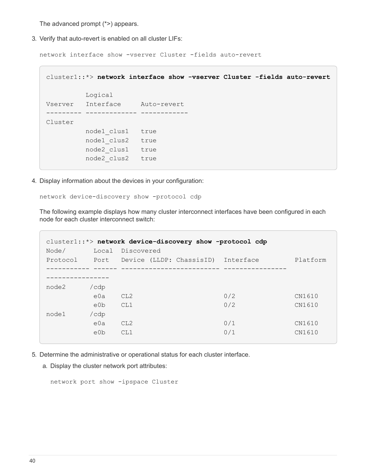The advanced prompt (\*>) appears.

3. Verify that auto-revert is enabled on all cluster LIFs:

network interface show -vserver Cluster -fields auto-revert

```
cluster1::*> network interface show -vserver Cluster -fields auto-revert
           Logical
Vserver Interface Auto-revert
--------- ------------- ------------
Cluster
          node1_clus1 true
           node1_clus2 true
            node2_clus1 true
            node2_clus2 true
```
4. Display information about the devices in your configuration:

network device-discovery show -protocol cdp

The following example displays how many cluster interconnect interfaces have been configured in each node for each cluster interconnect switch:

| Node/ | Local            | Discovered      |                                                  | cluster1::*> network device-discovery show -protocol cdp |          |
|-------|------------------|-----------------|--------------------------------------------------|----------------------------------------------------------|----------|
|       |                  |                 | Protocol Port Device (LLDP: ChassisID) Interface |                                                          | Platform |
|       |                  |                 |                                                  |                                                          |          |
|       |                  |                 |                                                  |                                                          |          |
| node2 | $/\text{cdp}$    |                 |                                                  |                                                          |          |
|       | e0a              | CL2             |                                                  | 0/2                                                      | CN1610   |
|       | e <sub>0</sub> b | CL1             |                                                  | 0/2                                                      | CN1610   |
| node1 | /cdp             |                 |                                                  |                                                          |          |
|       | e0a              | CL <sub>2</sub> |                                                  | 0/1                                                      | CN1610   |
|       | e <sub>0</sub> b | CL1             |                                                  | 0/1                                                      | CN1610   |
|       |                  |                 |                                                  |                                                          |          |

- 5. Determine the administrative or operational status for each cluster interface.
	- a. Display the cluster network port attributes:

network port show -ipspace Cluster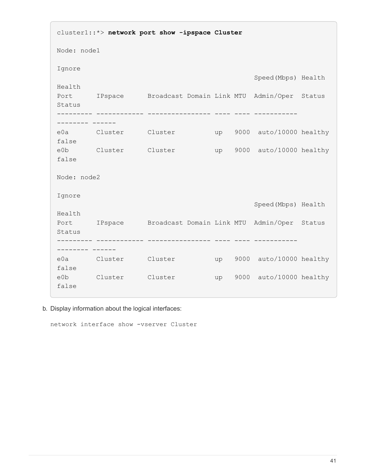cluster1::\*> **network port show -ipspace Cluster** Node: node1 Ignore Speed(Mbps) Health Health Port IPspace Broadcast Domain Link MTU Admin/Oper Status Status --------- ------------ ---------------- ---- ---- ----------- -------- ----- e0a Cluster Cluster up 9000 auto/10000 healthy false e0b Cluster Cluster up 9000 auto/10000 healthy false Node: node2 Ignore Speed(Mbps) Health Health Port IPspace Broadcast Domain Link MTU Admin/Oper Status Status --------- ------------ ---------------- ---- ---- ----------- -------- ----- e0a Cluster Cluster up 9000 auto/10000 healthy false e0b Cluster Cluster up 9000 auto/10000 healthy false

b. Display information about the logical interfaces:

network interface show -vserver Cluster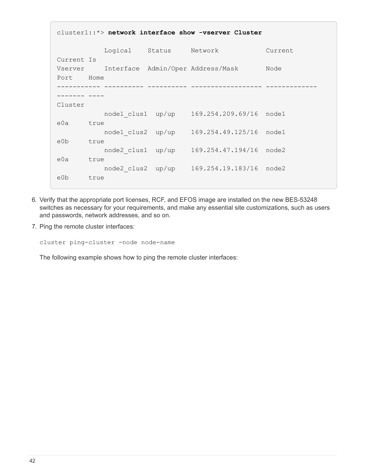```
cluster1::*> network interface show -vserver Cluster
            Logical Status Network Current
Current Is
Vserver Interface Admin/Oper Address/Mask Node
Port Home
----------- ---------- ---------- ------------------ -------------
------- ----
Cluster
           node1_clus1 up/up 169.254.209.69/16 node1
e0a true
            node1_clus2 up/up 169.254.49.125/16 node1
e0b true
           node2_clus1 up/up 169.254.47.194/16 node2
e0a true
            node2_clus2 up/up 169.254.19.183/16 node2
e0b true
```
- 6. Verify that the appropriate port licenses, RCF, and EFOS image are installed on the new BES-53248 switches as necessary for your requirements, and make any essential site customizations, such as users and passwords, network addresses, and so on.
- 7. Ping the remote cluster interfaces:

cluster ping-cluster -node node-name

The following example shows how to ping the remote cluster interfaces: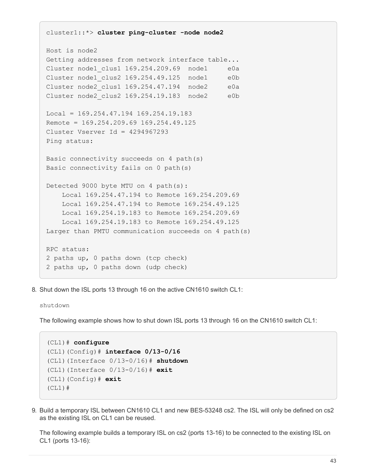```
cluster1::*> cluster ping-cluster -node node2
Host is node2
Getting addresses from network interface table...
Cluster node1 clus1 169.254.209.69 node1 e0a
Cluster node1 clus2 169.254.49.125 node1 e0b
Cluster node2 clus1 169.254.47.194 node2 e0a
Cluster node2 clus2 169.254.19.183 node2 e0b
Local = 169.254.47.194 169.254.19.183
Remote = 169.254.209.69 169.254.49.125
Cluster Vserver Id = 4294967293
Ping status:
Basic connectivity succeeds on 4 path(s)
Basic connectivity fails on 0 path(s)
Detected 9000 byte MTU on 4 path(s):
      Local 169.254.47.194 to Remote 169.254.209.69
      Local 169.254.47.194 to Remote 169.254.49.125
      Local 169.254.19.183 to Remote 169.254.209.69
      Local 169.254.19.183 to Remote 169.254.49.125
Larger than PMTU communication succeeds on 4 path(s)
RPC status:
2 paths up, 0 paths down (tcp check)
2 paths up, 0 paths down (udp check)
```
8. Shut down the ISL ports 13 through 16 on the active CN1610 switch CL1:

shutdown

The following example shows how to shut down ISL ports 13 through 16 on the CN1610 switch CL1:

```
(CL1)# configure
(CL1)(Config)# interface 0/13-0/16
(CL1)(Interface 0/13-0/16)# shutdown
(CL1)(Interface 0/13-0/16)# exit
(CL1)(Config)# exit
(CL1)#
```
9. Build a temporary ISL between CN1610 CL1 and new BES-53248 cs2. The ISL will only be defined on cs2 as the existing ISL on CL1 can be reused.

The following example builds a temporary ISL on cs2 (ports 13-16) to be connected to the existing ISL on CL1 (ports 13-16):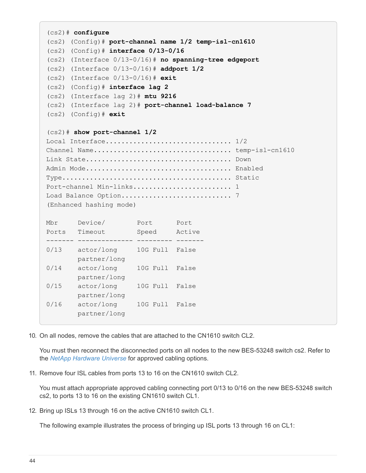```
(cs2)# configure
(cs2) (Config)# port-channel name 1/2 temp-isl-cn1610
(cs2) (Config)# interface 0/13-0/16
(cs2) (Interface 0/13-0/16)# no spanning-tree edgeport
(cs2) (Interface 0/13-0/16)# addport 1/2
(cs2) (Interface 0/13-0/16)# exit
(cs2) (Config)# interface lag 2
(cs2) (Interface lag 2)# mtu 9216
(cs2) (Interface lag 2)# port-channel load-balance 7
(cs2) (Config)# exit
(cs2)# show port-channel 1/2
Local Interface.................................. 1/2
Channel Name................................... temp-isl-cn1610
Link State..................................... Down
Admin Mode..................................... Enabled
Type........................................... Static
Port-channel Min-links.............................. 1
Load Balance Option............................ 7
(Enhanced hashing mode)
Mbr Device/ Port Port
Ports Timeout Speed Active
------- -------------- --------- -------
0/13 actor/long 10G Full False
        partner/long
0/14 actor/long 10G Full False
         partner/long
0/15 actor/long 10G Full False
         partner/long
0/16 actor/long 10G Full False
         partner/long
```
10. On all nodes, remove the cables that are attached to the CN1610 switch CL2.

You must then reconnect the disconnected ports on all nodes to the new BES-53248 switch cs2. Refer to the *[NetApp Hardware Universe](https://hwu.netapp.com/Home/Index)* for approved cabling options.

11. Remove four ISL cables from ports 13 to 16 on the CN1610 switch CL2.

You must attach appropriate approved cabling connecting port 0/13 to 0/16 on the new BES-53248 switch cs2, to ports 13 to 16 on the existing CN1610 switch CL1.

12. Bring up ISLs 13 through 16 on the active CN1610 switch CL1.

The following example illustrates the process of bringing up ISL ports 13 through 16 on CL1: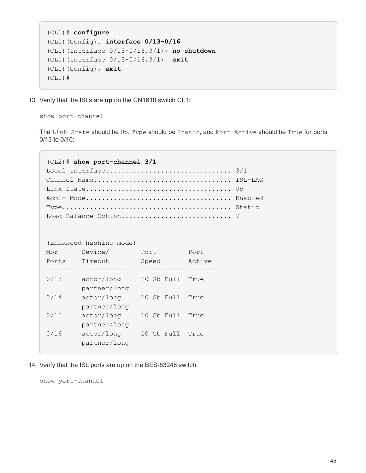```
(CL1)# configure
(CL1)(Config)# interface 0/13-0/16
(CL1)(Interface 0/13-0/16,3/1)# no shutdown
(CL1)(Interface 0/13-0/16,3/1)# exit
(CL1)(Config)# exit
(CL1)#
```
13. Verify that the ISLs are **up** on the CN1610 switch CL1:

show port-channel

The Link State should be Up, Type should be Static, and Port Active should be True for ports  $0/13$  to  $0/16$ 

```
(CL2)# show port-channel 3/1
Local Interface................................ 3/1
Channel Name................................... ISL-LAG
Link State..................................... Up
Admin Mode..................................... Enabled
Type........................................... Static
Load Balance Option............................ 7
(Enhanced hashing mode)
Mbr Device/ Port Port
Ports Timeout Speed Active
-------- -------------- ----------- --------
0/13 actor/long 10 Gb Full True
         partner/long
0/14 actor/long 10 Gb Full True
         partner/long
0/15 actor/long 10 Gb Full True
          partner/long
0/16 actor/long 10 Gb Full True
          partner/long
```
14. Verify that the ISL ports are up on the BES-53248 switch:

show port-channel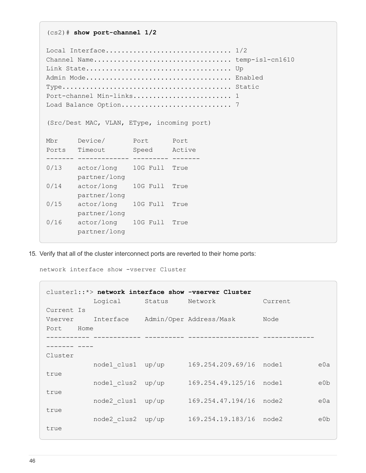Local Interface.................................. 1/2 Channel Name................................... temp-isl-cn1610 Link State..................................... Up Admin Mode..................................... Enabled Type........................................... Static Port-channel Min-links............................ 1 Load Balance Option............................ 7 (Src/Dest MAC, VLAN, EType, incoming port) Mbr Device/ Port Port Ports Timeout Speed Active ------- ------------- --------- ------- 0/13 actor/long 10G Full True partner/long 0/14 actor/long 10G Full True partner/long 0/15 actor/long 10G Full True partner/long 0/16 actor/long 10G Full True partner/long

15. Verify that all of the cluster interconnect ports are reverted to their home ports:

network interface show -vserver Cluster

(cs2)# **show port-channel 1/2**

| cluster1::*> network interface show -vserver Cluster |                   |        |                         |         |                  |  |
|------------------------------------------------------|-------------------|--------|-------------------------|---------|------------------|--|
|                                                      | Logical           | Status | Network                 | Current |                  |  |
| Current Is                                           |                   |        |                         |         |                  |  |
| Vserver Interface                                    |                   |        | Admin/Oper Address/Mask | Node    |                  |  |
| Port Home                                            |                   |        |                         |         |                  |  |
|                                                      |                   |        |                         |         |                  |  |
|                                                      |                   |        |                         |         |                  |  |
| Cluster                                              |                   |        |                         |         |                  |  |
|                                                      | node1 clus1 up/up |        | 169.254.209.69/16       | node1   | e0a              |  |
| true                                                 |                   |        |                         |         |                  |  |
|                                                      | node1 clus2       | up/up  | 169.254.49.125/16       | node1   | e <sub>0</sub> b |  |
| true                                                 |                   |        |                         |         |                  |  |
|                                                      | node2 clus1       | up/up  | 169.254.47.194/16       | node2   | e0a              |  |
| true                                                 |                   |        |                         |         | e <sub>0</sub> b |  |
|                                                      | node2 clus2       | up/up  | 169.254.19.183/16       | node2   |                  |  |
| true                                                 |                   |        |                         |         |                  |  |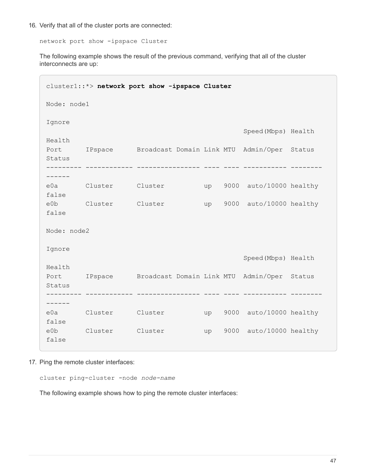16. Verify that all of the cluster ports are connected:

network port show -ipspace Cluster

The following example shows the result of the previous command, verifying that all of the cluster interconnects are up:

|                      | cluster1::*> network port show -ipspace Cluster          |         |  |    |  |                            |  |  |
|----------------------|----------------------------------------------------------|---------|--|----|--|----------------------------|--|--|
| Node: node1          |                                                          |         |  |    |  |                            |  |  |
| Ignore               |                                                          |         |  |    |  | Speed (Mbps) Health        |  |  |
| Health<br>Status     | Port IPspace Broadcast Domain Link MTU Admin/Oper Status |         |  |    |  |                            |  |  |
|                      |                                                          |         |  |    |  |                            |  |  |
| false                | e0a Cluster Cluster                                      |         |  |    |  | up 9000 auto/10000 healthy |  |  |
| false                | e0b Cluster Cluster                                      |         |  | up |  | 9000 auto/10000 healthy    |  |  |
| Node: node2          |                                                          |         |  |    |  |                            |  |  |
| Ignore               |                                                          |         |  |    |  | Speed (Mbps) Health        |  |  |
| Health<br>Status     | Port IPspace Broadcast Domain Link MTU Admin/Oper Status |         |  |    |  |                            |  |  |
|                      |                                                          |         |  |    |  |                            |  |  |
| false                | e0a Cluster Cluster                                      |         |  |    |  | up 9000 auto/10000 healthy |  |  |
| e0b Cluster<br>false |                                                          | Cluster |  | up |  | 9000 auto/10000 healthy    |  |  |

17. Ping the remote cluster interfaces:

cluster ping-cluster -node *node-name*

The following example shows how to ping the remote cluster interfaces: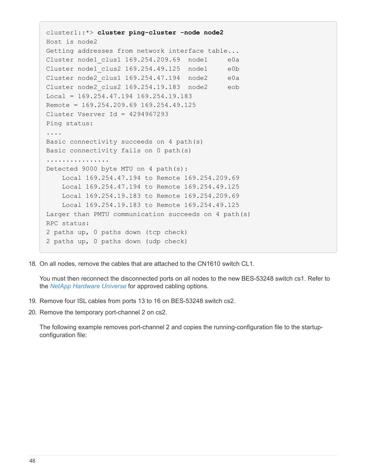```
cluster1::*> cluster ping-cluster -node node2
Host is node2
Getting addresses from network interface table...
Cluster node1 clus1 169.254.209.69 node1 e0a
Cluster node1 clus2 169.254.49.125 node1 e0b
Cluster node2 clus1 169.254.47.194 node2 e0a
Cluster node2_clus2 169.254.19.183 node2 eob
Local = 169.254.47.194 169.254.19.183Remote = 169.254.209.69 169.254.49.125
Cluster Vserver Id = 4294967293
Ping status:
....
Basic connectivity succeeds on 4 path(s)
Basic connectivity fails on 0 path(s)
................
Detected 9000 byte MTU on 4 path(s):
      Local 169.254.47.194 to Remote 169.254.209.69
      Local 169.254.47.194 to Remote 169.254.49.125
      Local 169.254.19.183 to Remote 169.254.209.69
      Local 169.254.19.183 to Remote 169.254.49.125
Larger than PMTU communication succeeds on 4 path(s)
RPC status:
2 paths up, 0 paths down (tcp check)
2 paths up, 0 paths down (udp check)
```
18. On all nodes, remove the cables that are attached to the CN1610 switch CL1.

You must then reconnect the disconnected ports on all nodes to the new BES-53248 switch cs1. Refer to the *[NetApp Hardware Universe](https://hwu.netapp.com/Home/Index)* for approved cabling options.

- 19. Remove four ISL cables from ports 13 to 16 on BES-53248 switch cs2.
- 20. Remove the temporary port-channel 2 on cs2.

The following example removes port-channel 2 and copies the running-configuration file to the startupconfiguration file: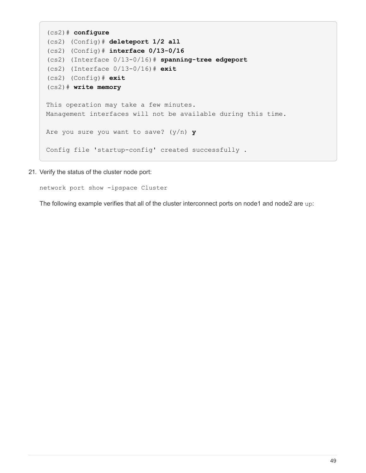```
(cs2)# configure
(cs2) (Config)# deleteport 1/2 all
(cs2) (Config)# interface 0/13-0/16
(cs2) (Interface 0/13-0/16)# spanning-tree edgeport
(cs2) (Interface 0/13-0/16)# exit
(cs2) (Config)# exit
(cs2)# write memory
This operation may take a few minutes.
Management interfaces will not be available during this time.
Are you sure you want to save? (y/n) y
Config file 'startup-config' created successfully .
```
21. Verify the status of the cluster node port:

```
network port show -ipspace Cluster
```
The following example verifies that all of the cluster interconnect ports on node1 and node2 are up: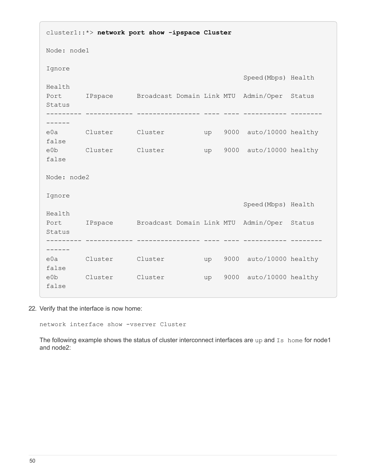cluster1::\*> **network port show -ipspace Cluster** Node: node1 Ignore Speed(Mbps) Health Health Port IPspace Broadcast Domain Link MTU Admin/Oper Status Status --------- ------------ ---------------- ---- ---- ----------- -------- ----- e0a Cluster Cluster up 9000 auto/10000 healthy false e0b Cluster Cluster up 9000 auto/10000 healthy false Node: node2 Ignore Speed(Mbps) Health Health Port IPspace Broadcast Domain Link MTU Admin/Oper Status Status --------- ------------ ---------------- ---- ---- ----------- -------- ----- e0a Cluster Cluster up 9000 auto/10000 healthy false e0b Cluster Cluster up 9000 auto/10000 healthy false

22. Verify that the interface is now home:

network interface show -vserver Cluster

The following example shows the status of cluster interconnect interfaces are up and Is home for node1 and node2: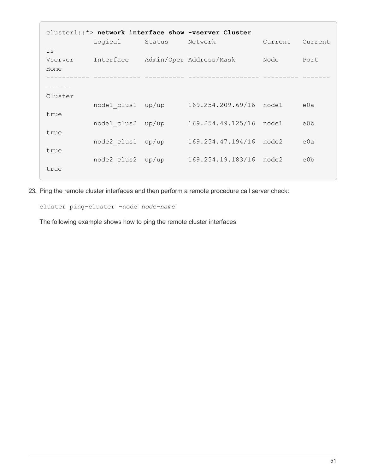|         |             |        | cluster1::*> network interface show -vserver Cluster |         |         |
|---------|-------------|--------|------------------------------------------------------|---------|---------|
|         | Logical     | Status | Network                                              | Current | Current |
| Is      |             |        |                                                      |         |         |
| Vserver | Interface   |        | Admin/Oper Address/Mask                              | Node    | Port    |
| Home    |             |        |                                                      |         |         |
|         |             |        |                                                      |         |         |
|         |             |        |                                                      |         |         |
| Cluster |             |        |                                                      |         |         |
|         | node1 clus1 | up/up  | 169.254.209.69/16                                    | node1   | e0a     |
| true    |             |        |                                                      | node1   |         |
| true    | node1 clus2 | up/up  | 169.254.49.125/16                                    |         | e0b     |
|         | node2 clus1 | up/up  | 169.254.47.194/16                                    | node2   | e0a     |
| true    |             |        |                                                      |         |         |
|         | node2 clus2 | up/up  | 169.254.19.183/16                                    | node2   | e0b     |
| true    |             |        |                                                      |         |         |
|         |             |        |                                                      |         |         |

23. Ping the remote cluster interfaces and then perform a remote procedure call server check:

cluster ping-cluster -node *node-name*

The following example shows how to ping the remote cluster interfaces: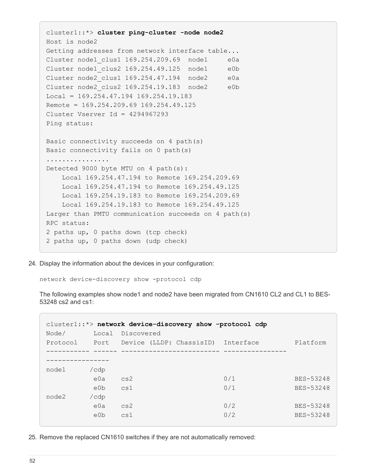```
cluster1::*> cluster ping-cluster -node node2
Host is node2
Getting addresses from network interface table...
Cluster node1 clus1 169.254.209.69 node1 e0a
Cluster node1 clus2 169.254.49.125 node1 e0b
Cluster node2 clus1 169.254.47.194 node2 e0a
Cluster node2 clus2 169.254.19.183 node2 e0b
Local = 169.254.47.194 169.254.19.183Remote = 169.254.209.69 169.254.49.125
Cluster Vserver Id = 4294967293
Ping status:
Basic connectivity succeeds on 4 path(s)
Basic connectivity fails on 0 path(s)
................
Detected 9000 byte MTU on 4 path(s):
     Local 169.254.47.194 to Remote 169.254.209.69
      Local 169.254.47.194 to Remote 169.254.49.125
      Local 169.254.19.183 to Remote 169.254.209.69
      Local 169.254.19.183 to Remote 169.254.49.125
Larger than PMTU communication succeeds on 4 path(s)
RPC status:
2 paths up, 0 paths down (tcp check)
2 paths up, 0 paths down (udp check)
```
24. Display the information about the devices in your configuration:

network device-discovery show -protocol cdp

The following examples show node1 and node2 have been migrated from CN1610 CL2 and CL1 to BES-53248 cs2 and cs1:

| Node/    | Local            | Discovered |                          | cluster1::*> network device-discovery show -protocol cdp |           |
|----------|------------------|------------|--------------------------|----------------------------------------------------------|-----------|
| Protocol | Port             |            | Device (LLDP: ChassisID) | Interface                                                | Platform  |
|          |                  |            |                          |                                                          |           |
|          |                  |            |                          |                                                          |           |
| node1    | /cdp             |            |                          |                                                          |           |
|          | e0a              | cs2        |                          | 0/1                                                      | BES-53248 |
|          | e <sub>0</sub> b | cs1        |                          | 0/1                                                      | BES-53248 |
| node2    | /cdp             |            |                          |                                                          |           |
|          | e0a              | cs2        |                          | 0/2                                                      | BES-53248 |
|          | e0b              | cs1        |                          | 0/2                                                      | BES-53248 |
|          |                  |            |                          |                                                          |           |

25. Remove the replaced CN1610 switches if they are not automatically removed: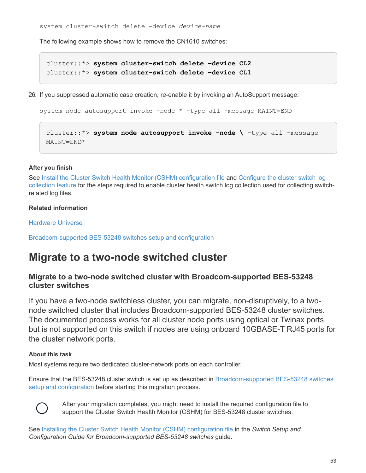system cluster-switch delete -device *device-name*

The following example shows how to remove the CN1610 switches:

cluster::\*> **system cluster-switch delete –device CL2** cluster::\*> **system cluster-switch delete –device CL1**

26. If you suppressed automatic case creation, re-enable it by invoking an AutoSupport message:

```
system node autosupport invoke -node * -type all -message MAINT=END
```

```
cluster::*> system node autosupport invoke -node \ -type all -message
MAINT=END*
```
#### **After you finish**

See [Install the Cluster Switch Health Monitor \(CSHM\) configuration file](https://docs.netapp.com/us-en/ontap-systems-switches/switch-bes-53248/configure-health-monitor.html) and Configure the cluster switch log collection feature for the steps required to enable cluster health switch log collection used for collecting switchrelated log files.

## **Related information**

[Hardware Universe](https://hwu.netapp.com)

[Broadcom-supported BES-53248 switches setup and configuration](https://docs.netapp.com/us-en/ontap-systems-switches/switch-bes-53248/replace-requirements.html)

# **Migrate to a two-node switched cluster**

# **Migrate to a two-node switched cluster with Broadcom-supported BES-53248 cluster switches**

If you have a two-node switchless cluster, you can migrate, non-disruptively, to a twonode switched cluster that includes Broadcom-supported BES-53248 cluster switches. The documented process works for all cluster node ports using optical or Twinax ports but is not supported on this switch if nodes are using onboard 10GBASE-T RJ45 ports for the cluster network ports.

## **About this task**

Most systems require two dedicated cluster-network ports on each controller.

Ensure that the BES-53248 cluster switch is set up as described in [Broadcom-supported BES-53248 switches](https://docs.netapp.com/us-en/ontap-systems-switches/switch-bes-53248/replace-requirements.html) [setup and configuration](https://docs.netapp.com/us-en/ontap-systems-switches/switch-bes-53248/replace-requirements.html) before starting this migration process.



After your migration completes, you might need to install the required configuration file to support the Cluster Switch Health Monitor (CSHM) for BES-53248 cluster switches.

See [Installing the Cluster Switch Health Monitor \(CSHM\) configuration file](http://docs.netapp.com/platstor/topic/com.netapp.doc.hw-sw-ix8-setup/GUID-211616A4-C962-464A-A70E-5E057D7B13E1.html) in the *Switch Setup and Configuration Guide for Broadcom-supported BES-53248 switches* guide.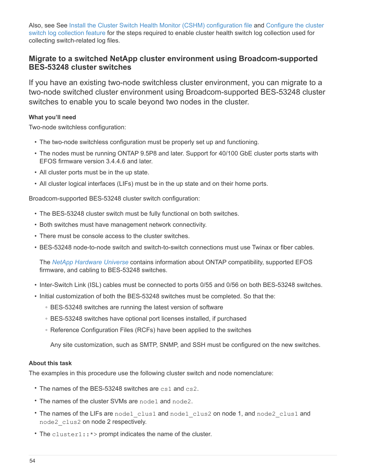Also, see See [Install the Cluster Switch Health Monitor \(CSHM\) configuration file](https://docs.netapp.com/us-en/ontap-systems-switches/switch-bes-53248/configure-health-monitor.html) and Configure the cluster switch log collection feature for the steps required to enable cluster health switch log collection used for collecting switch-related log files.

# **Migrate to a switched NetApp cluster environment using Broadcom-supported BES-53248 cluster switches**

If you have an existing two-node switchless cluster environment, you can migrate to a two-node switched cluster environment using Broadcom-supported BES-53248 cluster switches to enable you to scale beyond two nodes in the cluster.

## **What you'll need**

Two-node switchless configuration:

- The two-node switchless configuration must be properly set up and functioning.
- The nodes must be running ONTAP 9.5P8 and later. Support for 40/100 GbE cluster ports starts with EFOS firmware version 3.4.4.6 and later.
- All cluster ports must be in the up state.
- All cluster logical interfaces (LIFs) must be in the up state and on their home ports.

Broadcom-supported BES-53248 cluster switch configuration:

- The BES-53248 cluster switch must be fully functional on both switches.
- Both switches must have management network connectivity.
- There must be console access to the cluster switches.
- BES-53248 node-to-node switch and switch-to-switch connections must use Twinax or fiber cables.

The *[NetApp Hardware Universe](https://hwu.netapp.com/Home/Index)* contains information about ONTAP compatibility, supported EFOS firmware, and cabling to BES-53248 switches.

- Inter-Switch Link (ISL) cables must be connected to ports 0/55 and 0/56 on both BES-53248 switches.
- Initial customization of both the BES-53248 switches must be completed. So that the:
	- BES-53248 switches are running the latest version of software
	- BES-53248 switches have optional port licenses installed, if purchased
	- Reference Configuration Files (RCFs) have been applied to the switches

Any site customization, such as SMTP, SNMP, and SSH must be configured on the new switches.

## **About this task**

The examples in this procedure use the following cluster switch and node nomenclature:

- The names of the BES-53248 switches are cs1 and cs2.
- The names of the cluster SVMs are node1 and node2.
- The names of the LIFs are node1 clus1 and node1 clus2 on node 1, and node2 clus1 and node2\_clus2 on node 2 respectively.
- The cluster1::\*> prompt indicates the name of the cluster.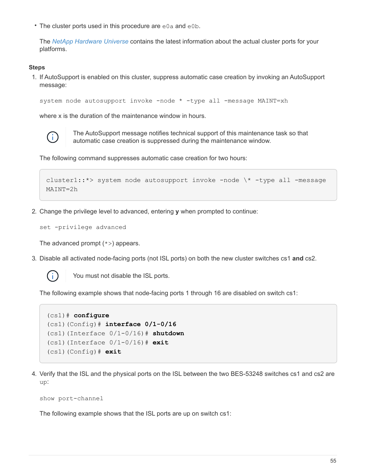• The cluster ports used in this procedure are e0a and e0b.

The *[NetApp Hardware Universe](https://hwu.netapp.com/Home/Index)* contains the latest information about the actual cluster ports for your platforms.

#### **Steps**

1. If AutoSupport is enabled on this cluster, suppress automatic case creation by invoking an AutoSupport message:

```
system node autosupport invoke -node * -type all -message MAINT=xh
```
where x is the duration of the maintenance window in hours.



The AutoSupport message notifies technical support of this maintenance task so that automatic case creation is suppressed during the maintenance window.

The following command suppresses automatic case creation for two hours:

```
cluster1::*> system node autosupport invoke -node \* -type all -message
MAINT=2h
```
2. Change the privilege level to advanced, entering **y** when prompted to continue:

```
set -privilege advanced
```
The advanced prompt  $(*)$  appears.

3. Disable all activated node-facing ports (not ISL ports) on both the new cluster switches cs1 **and** cs2.



You must not disable the ISL ports.

The following example shows that node-facing ports 1 through 16 are disabled on switch cs1:

```
(cs1)# configure
(cs1)(Config)# interface 0/1-0/16
(cs1)(Interface 0/1-0/16)# shutdown
(cs1)(Interface 0/1-0/16)# exit
(cs1)(Config)# exit
```
4. Verify that the ISL and the physical ports on the ISL between the two BES-53248 switches cs1 and cs2 are up:

```
show port-channel
```
The following example shows that the ISL ports are up on switch cs1: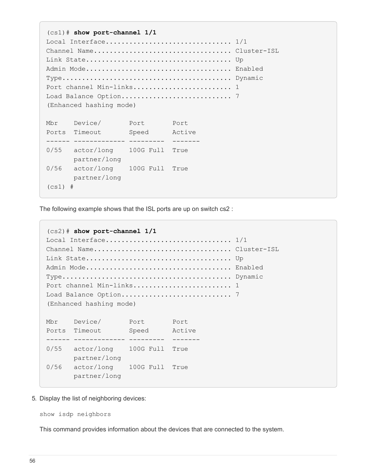(cs1)# **show port-channel 1/1** Local Interface................................ 1/1 Channel Name................................... Cluster-ISL Link State..................................... Up Admin Mode..................................... Enabled Type........................................... Dynamic Port channel Min-links............................. 1 Load Balance Option............................ 7 (Enhanced hashing mode) Mbr Device/ Port Port Ports Timeout Speed Active ------ ------------- --------- ------- 0/55 actor/long 100G Full True partner/long 0/56 actor/long 100G Full True partner/long  $(cs1)$  #

The following example shows that the ISL ports are up on switch cs2 :

```
(cs2)# show port-channel 1/1
Local Interface.................................. 1/1
Channel Name................................... Cluster-ISL
Link State..................................... Up
Admin Mode..................................... Enabled
Type........................................... Dynamic
Port channel Min-links............................. 1
Load Balance Option............................ 7
(Enhanced hashing mode)
Mbr Device/ Port Port
Ports Timeout Speed Active
------ ------------- --------- -------
0/55 actor/long 100G Full True
       partner/long
0/56 actor/long 100G Full True
        partner/long
```
5. Display the list of neighboring devices:

show isdp neighbors

This command provides information about the devices that are connected to the system.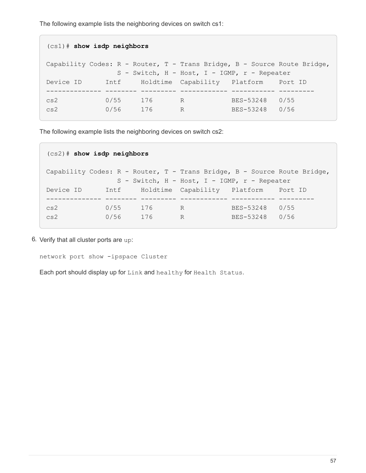The following example lists the neighboring devices on switch cs1:

```
(cs1)# show isdp neighbors
Capability Codes: R - Router, T - Trans Bridge, B - Source Route Bridge,
                S - Switch, H - Host, I - IGMP, r - Repeater
Device ID Intf Holdtime Capability Platform Port ID
-------------- -------- --------- ------------ ----------- ---------
cs2 0/55 176 R BES-53248 0/55
cs2 0/56 176 R BES-53248 0/56
```
The following example lists the neighboring devices on switch cs2:

```
(cs2)# show isdp neighbors
Capability Codes: R - Router, T - Trans Bridge, B - Source Route Bridge,
                S - Switch, H - Host, I - IGMP, r - Repeater
Device ID Intf Holdtime Capability Platform Port ID
-------------- -------- --------- ------------ ----------- ---------
cs2 0/55 176 R BES-53248 0/55
cs2 0/56 176 R BES-53248 0/56
```
6. Verify that all cluster ports are up:

network port show -ipspace Cluster

Each port should display up for Link and healthy for Health Status.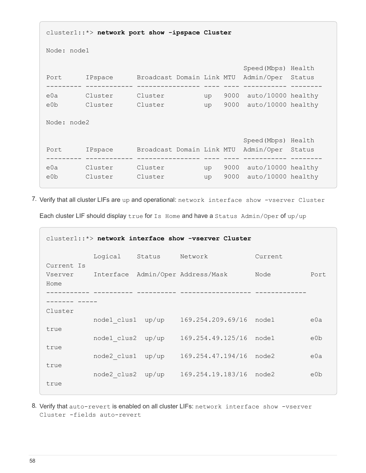```
cluster1::*> network port show -ipspace Cluster
Node: node1
                                            Speed(Mbps) Health
Port IPspace Broadcast Domain Link MTU Admin/Oper Status
--------- ------------ ---------------- ---- ---- ----------- --------
e0a Cluster Cluster up 9000 auto/10000 healthy
e0b Cluster Cluster up 9000 auto/10000 healthy
Node: node2
                                            Speed(Mbps) Health
Port IPspace Broadcast Domain Link MTU Admin/Oper Status
--------- ------------ ---------------- ---- ---- ----------- --------
e0a Cluster Cluster up 9000 auto/10000 healthy
e0b Cluster Cluster up 9000 auto/10000 healthy
```
7. Verify that all cluster LIFs are up and operational: network interface show -vserver Cluster Each cluster LIF should display true for Is Home and have a Status Admin/Oper of up/up

| cluster1::*> network interface show -vserver Cluster |                   |        |                                           |         |      |  |
|------------------------------------------------------|-------------------|--------|-------------------------------------------|---------|------|--|
|                                                      | Logical           | Status | Network                                   | Current |      |  |
| Current Is<br>Home                                   |                   |        | Vserver Interface Admin/Oper Address/Mask | Node    | Port |  |
|                                                      |                   |        |                                           |         |      |  |
| Cluster                                              |                   |        |                                           |         |      |  |
|                                                      | nodel clus1       | up/up  | 169.254.209.69/16                         | node1   | e0a  |  |
| true<br>true                                         | node1 clus2 up/up |        | 169.254.49.125/16                         | node1   | e0b  |  |
|                                                      | node2 clus1       | up/up  | 169.254.47.194/16                         | node2   | e0a  |  |
| true<br>true                                         | node2 clus2       | up/up  | 169.254.19.183/16                         | node2   | e0b  |  |

8. Verify that auto-revert is enabled on all cluster LIFs: network interface show -vserver Cluster -fields auto-revert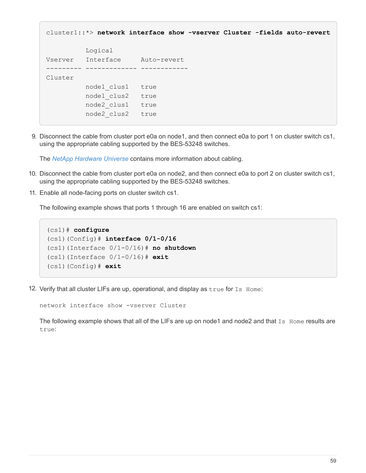```
cluster1::*> network interface show -vserver Cluster -fields auto-revert
            Logical
Vserver Interface Auto-revert
--------- ------------- ------------
Cluster
            node1_clus1 true
            node1_clus2 true
            node2_clus1 true
            node2_clus2 true
```
9. Disconnect the cable from cluster port e0a on node1, and then connect e0a to port 1 on cluster switch cs1, using the appropriate cabling supported by the BES-53248 switches.

The *[NetApp Hardware Universe](https://hwu.netapp.com/Home/Index)* contains more information about cabling.

- 10. Disconnect the cable from cluster port e0a on node2, and then connect e0a to port 2 on cluster switch cs1, using the appropriate cabling supported by the BES-53248 switches.
- 11. Enable all node-facing ports on cluster switch cs1.

The following example shows that ports 1 through 16 are enabled on switch cs1:

```
(cs1)# configure
(cs1)(Config)# interface 0/1-0/16
(cs1)(Interface 0/1-0/16)# no shutdown
(cs1)(Interface 0/1-0/16)# exit
(cs1)(Config)# exit
```
12. Verify that all cluster LIFs are up, operational, and display as true for Is Home:

network interface show -vserver Cluster

The following example shows that all of the LIFs are up on node1 and node2 and that Is Home results are true: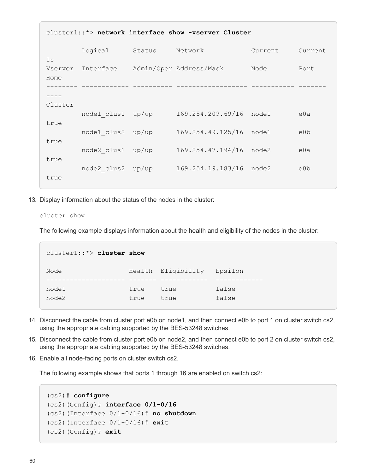| $cluster1::*>$ network interface show -vserver Cluster |                   |        |                         |         |         |  |  |
|--------------------------------------------------------|-------------------|--------|-------------------------|---------|---------|--|--|
| Is                                                     | Logical           | Status | Network                 | Current | Current |  |  |
| Vserver<br>Home                                        | Interface         |        | Admin/Oper Address/Mask | Node    | Port    |  |  |
|                                                        |                   |        |                         |         |         |  |  |
| Cluster                                                |                   |        |                         |         |         |  |  |
| true                                                   | nodel clus1 up/up |        | 169.254.209.69/16 node1 |         | e0a     |  |  |
| true                                                   | node1 clus2 up/up |        | 169.254.49.125/16       | node1   | e0b     |  |  |
|                                                        | node2 clus1 up/up |        | 169.254.47.194/16       | node2   | e0a     |  |  |
| true                                                   | node2 clus2 up/up |        | 169.254.19.183/16 node2 |         | e0b     |  |  |
| true                                                   |                   |        |                         |         |         |  |  |

13. Display information about the status of the nodes in the cluster:

cluster show

The following example displays information about the health and eligibility of the nodes in the cluster:

| cluster1: $\Rightarrow$ cluster show |              |                    |                |
|--------------------------------------|--------------|--------------------|----------------|
| Node                                 |              | Health Eligibility | Epsilon        |
| node1<br>node2                       | true<br>true | true<br>true       | false<br>false |

- 14. Disconnect the cable from cluster port e0b on node1, and then connect e0b to port 1 on cluster switch cs2, using the appropriate cabling supported by the BES-53248 switches.
- 15. Disconnect the cable from cluster port e0b on node2, and then connect e0b to port 2 on cluster switch cs2, using the appropriate cabling supported by the BES-53248 switches.
- 16. Enable all node-facing ports on cluster switch cs2.

The following example shows that ports 1 through 16 are enabled on switch cs2:

```
(cs2)# configure
(cs2)(Config)# interface 0/1-0/16
(cs2)(Interface 0/1-0/16)# no shutdown
(cs2)(Interface 0/1-0/16)# exit
(cs2)(Config)# exit
```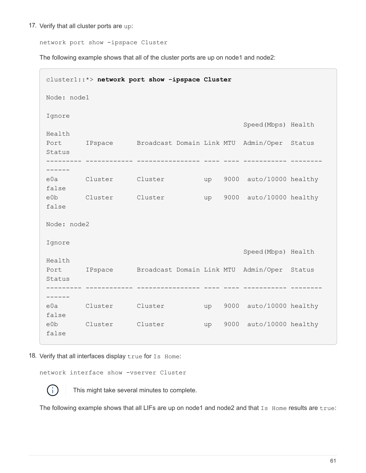17. Verify that all cluster ports are up:

network port show -ipspace Cluster

The following example shows that all of the cluster ports are up on node1 and node2:

| cluster1::*> network port show -ipspace Cluster |                                                          |  |  |    |      |                            |  |  |  |
|-------------------------------------------------|----------------------------------------------------------|--|--|----|------|----------------------------|--|--|--|
|                                                 | Node: node1                                              |  |  |    |      |                            |  |  |  |
| Ignore                                          |                                                          |  |  |    |      | Speed (Mbps) Health        |  |  |  |
| Health<br>Status                                | Port IPspace Broadcast Domain Link MTU Admin/Oper Status |  |  |    |      |                            |  |  |  |
| $- - - - -$<br>false                            | e0a Cluster Cluster                                      |  |  | up | 9000 | auto/10000 healthy         |  |  |  |
| false                                           | e0b Cluster Cluster                                      |  |  | up |      | 9000 auto/10000 healthy    |  |  |  |
| Node: node2                                     |                                                          |  |  |    |      |                            |  |  |  |
| Ignore<br>Health                                |                                                          |  |  |    |      | Speed (Mbps) Health        |  |  |  |
| Status                                          | Port IPspace Broadcast Domain Link MTU Admin/Oper Status |  |  |    |      |                            |  |  |  |
| false                                           | e0a Cluster Cluster                                      |  |  |    |      | up 9000 auto/10000 healthy |  |  |  |
| eOb<br>false                                    | Cluster Cluster                                          |  |  | up |      | 9000 auto/10000 healthy    |  |  |  |

18. Verify that all interfaces display true for Is Home:

network interface show -vserver Cluster



This might take several minutes to complete.

The following example shows that all LIFs are up on node1 and node2 and that Is Home results are true: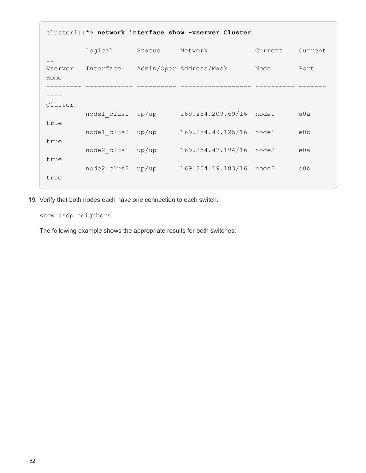| cluster1::*> network interface show -vserver Cluster |             |        |                         |         |                  |  |  |
|------------------------------------------------------|-------------|--------|-------------------------|---------|------------------|--|--|
| Is                                                   | Logical     | Status | Network                 | Current | Current          |  |  |
| Vserver<br>Home                                      | Interface   |        | Admin/Oper Address/Mask | Node    | Port             |  |  |
|                                                      |             |        |                         |         |                  |  |  |
| Cluster                                              |             |        |                         |         |                  |  |  |
|                                                      | nodel clus1 | up/up  | 169.254.209.69/16       | node1   | e0a              |  |  |
| true<br>true                                         | node1 clus2 | up/up  | 169.254.49.125/16       | node1   | e0b              |  |  |
| true                                                 | node2 clus1 | up/up  | 169.254.47.194/16       | node2   | e0a              |  |  |
| true                                                 | node2 clus2 | up/up  | 169.254.19.183/16       | node2   | e <sub>0</sub> b |  |  |
|                                                      |             |        |                         |         |                  |  |  |

19. Verify that both nodes each have one connection to each switch:

show isdp neighbors

The following example shows the appropriate results for both switches: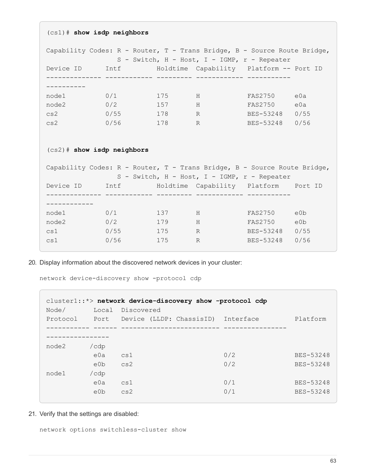(cs1)# **show isdp neighbors** Capability Codes: R - Router, T - Trans Bridge, B - Source Route Bridge, S - Switch, H - Host, I - IGMP, r - Repeater Device ID 1ntf 101dtime Capability Platform -- Port ID -------------- ------------ --------- ------------ ----------- --------- node1 0/1 175 H FAS2750 e0a node2 0/2 157 H FAS2750 e0a cs2 0/55 178 R BES-53248 0/55 cs2 0/56 178 R BES-53248 0/56 (cs2)# **show isdp neighbors** Capability Codes: R - Router, T - Trans Bridge, B - Source Route Bridge, S - Switch, H - Host, I - IGMP, r - Repeater Device ID Intf Holdtime Capability Platform Port ID -------------- ------------ --------- ------------ ----------- ----------- node1 0/1 137 H FAS2750 e0b node2 0/2 179 H FAS2750 e0b cs1 0/55 175 R BES-53248 0/55 cs1 0/56 175 R BES-53248 0/56

20. Display information about the discovered network devices in your cluster:

network device-discovery show -protocol cdp

| $cluster1::*$ network device-discovery show -protocol cdp |       |            |  |                               |           |           |  |  |
|-----------------------------------------------------------|-------|------------|--|-------------------------------|-----------|-----------|--|--|
| Node/                                                     | Local | Discovered |  |                               |           |           |  |  |
| Protocol                                                  |       |            |  | Port Device (LLDP: ChassisID) | Interface | Platform  |  |  |
|                                                           |       |            |  |                               |           |           |  |  |
|                                                           |       |            |  |                               |           |           |  |  |
| node2                                                     | /cdp  |            |  |                               |           |           |  |  |
|                                                           | e0a   | cs1        |  |                               | 0/2       | BES-53248 |  |  |
|                                                           | e0b   | cs2        |  |                               | 0/2       | BES-53248 |  |  |
| node1                                                     | /cdp  |            |  |                               |           |           |  |  |
|                                                           | e0a   | cs1        |  |                               | 0/1       | BES-53248 |  |  |
|                                                           | e0b   | cs2        |  |                               | 0/1       | BES-53248 |  |  |
|                                                           |       |            |  |                               |           |           |  |  |

21. Verify that the settings are disabled:

network options switchless-cluster show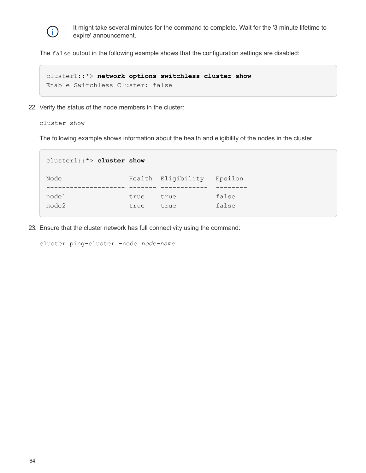

It might take several minutes for the command to complete. Wait for the '3 minute lifetime to expire' announcement.

The false output in the following example shows that the configuration settings are disabled:

cluster1::\*> **network options switchless-cluster show** Enable Switchless Cluster: false

22. Verify the status of the node members in the cluster:

#### cluster show

The following example shows information about the health and eligibility of the nodes in the cluster:

| $cluster1::*>cluster$ show |              |                    |                |
|----------------------------|--------------|--------------------|----------------|
| Node                       |              | Health Eligibility | Epsilon        |
| node1<br>node2             | true<br>true | true<br>true       | false<br>false |

23. Ensure that the cluster network has full connectivity using the command:

cluster ping-cluster -node *node-name*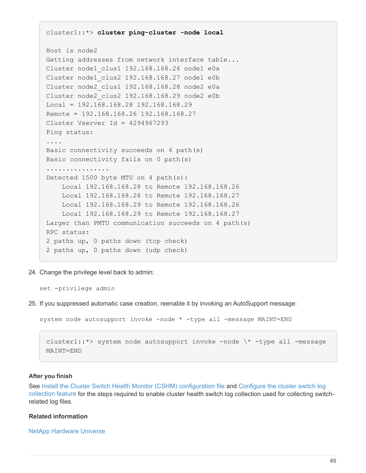```
cluster1::*> cluster ping-cluster -node local
Host is node2
Getting addresses from network interface table...
Cluster node1_clus1 192.168.168.26 node1 e0a
Cluster node1_clus2 192.168.168.27 node1 e0b
Cluster node2_clus1 192.168.168.28 node2 e0a
Cluster node2_clus2 192.168.168.29 node2 e0b
Local = 192.168.168.28 192.168.168.29
Remote = 192.168.168.26 192.168.168.27
Cluster Vserver Id = 4294967293
Ping status:
....
Basic connectivity succeeds on 4 path(s)
Basic connectivity fails on 0 path(s)
................
Detected 1500 byte MTU on 4 path(s):
      Local 192.168.168.28 to Remote 192.168.168.26
      Local 192.168.168.28 to Remote 192.168.168.27
      Local 192.168.168.29 to Remote 192.168.168.26
      Local 192.168.168.29 to Remote 192.168.168.27
Larger than PMTU communication succeeds on 4 path(s)
RPC status:
2 paths up, 0 paths down (tcp check)
2 paths up, 0 paths down (udp check)
```
24. Change the privilege level back to admin:

set -privilege admin

25. If you suppressed automatic case creation, reenable it by invoking an AutoSupport message:

```
system node autosupport invoke -node * -type all -message MAINT=END
```

```
cluster1::*> system node autosupport invoke -node \* -type all -message
MAINT=END
```
#### **After you finish**

See [Install the Cluster Switch Health Monitor \(CSHM\) configuration file](https://docs.netapp.com/us-en/ontap-systems-switches/switch-bes-53248/configure-health-monitor.html) and Configure the cluster switch log collection feature for the steps required to enable cluster health switch log collection used for collecting switchrelated log files.

#### **Related information**

[NetApp Hardware Universe](https://hwu.netapp.com/Home/Index)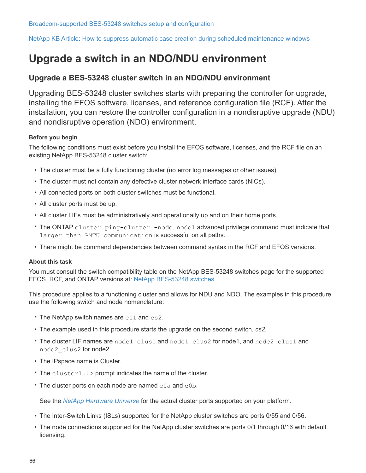[NetApp KB Article: How to suppress automatic case creation during scheduled maintenance windows](https://kb.netapp.com/Advice_and_Troubleshooting/Data_Storage_Software/ONTAP_OS/How_to_suppress_automatic_case_creation_during_scheduled_maintenance_windows)

# **Upgrade a switch in an NDO/NDU environment**

## **Upgrade a BES-53248 cluster switch in an NDO/NDU environment**

Upgrading BES-53248 cluster switches starts with preparing the controller for upgrade, installing the EFOS software, licenses, and reference configuration file (RCF). After the installation, you can restore the controller configuration in a nondisruptive upgrade (NDU) and nondisruptive operation (NDO) environment.

#### **Before you begin**

The following conditions must exist before you install the EFOS software, licenses, and the RCF file on an existing NetApp BES-53248 cluster switch:

- The cluster must be a fully functioning cluster (no error log messages or other issues).
- The cluster must not contain any defective cluster network interface cards (NICs).
- All connected ports on both cluster switches must be functional.
- All cluster ports must be up.
- All cluster LIFs must be administratively and operationally up and on their home ports.
- The ONTAP cluster ping-cluster -node node1 advanced privilege command must indicate that larger than PMTU communication is successful on all paths.
- There might be command dependencies between command syntax in the RCF and EFOS versions.

#### **About this task**

You must consult the switch compatibility table on the NetApp BES-53248 switches page for the supported EFOS, RCF, and ONTAP versions at: [NetApp BES-53248 switches.](http://mysupport.netapp.com/site)

This procedure applies to a functioning cluster and allows for NDU and NDO. The examples in this procedure use the following switch and node nomenclature:

- The NetApp switch names are cs1 and cs2.
- The example used in this procedure starts the upgrade on the second switch, *cs2.*
- The cluster LIF names are node1 clus1 and node1 clus2 for node1, and node2 clus1 and node2\_clus2 for node2 .
- The IPspace name is Cluster.
- The cluster1::> prompt indicates the name of the cluster.
- The cluster ports on each node are named e0a and e0b.

See the *[NetApp Hardware Universe](https://hwu.netapp.com/Home/Index)* for the actual cluster ports supported on your platform.

- The Inter-Switch Links (ISLs) supported for the NetApp cluster switches are ports 0/55 and 0/56.
- The node connections supported for the NetApp cluster switches are ports 0/1 through 0/16 with default licensing.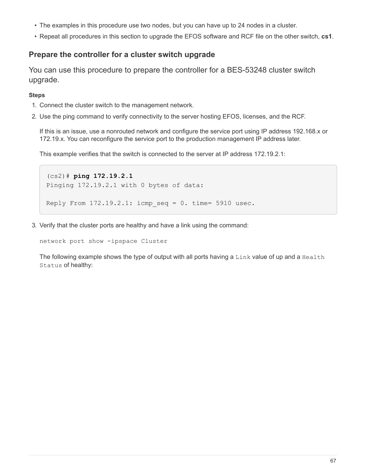- The examples in this procedure use two nodes, but you can have up to 24 nodes in a cluster.
- Repeat all procedures in this section to upgrade the EFOS software and RCF file on the other switch, **cs1**.

## **Prepare the controller for a cluster switch upgrade**

You can use this procedure to prepare the controller for a BES-53248 cluster switch upgrade.

## **Steps**

- 1. Connect the cluster switch to the management network.
- 2. Use the ping command to verify connectivity to the server hosting EFOS, licenses, and the RCF.

If this is an issue, use a nonrouted network and configure the service port using IP address 192.168.x or 172.19.x. You can reconfigure the service port to the production management IP address later.

This example verifies that the switch is connected to the server at IP address 172.19.2.1:

```
(cs2)# ping 172.19.2.1
Pinging 172.19.2.1 with 0 bytes of data:
Reply From 172.19.2.1: icmp seq = 0. time= 5910 usec.
```
3. Verify that the cluster ports are healthy and have a link using the command:

network port show -ipspace Cluster

The following example shows the type of output with all ports having a Link value of up and a Health Status of healthy: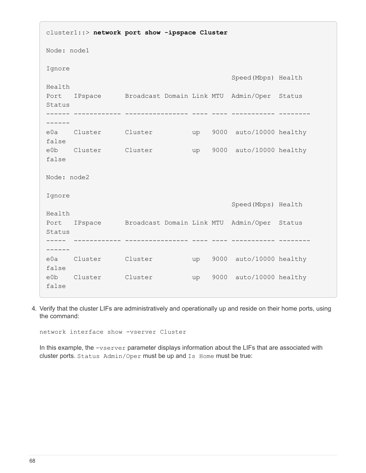cluster1::> **network port show -ipspace Cluster** Node: node1 Ignore Speed(Mbps) Health Health Port IPspace Broadcast Domain Link MTU Admin/Oper Status Status ------ ------------ ---------------- ---- ---- ----------- -------- ----- e0a Cluster Cluster up 9000 auto/10000 healthy false e0b Cluster Cluster up 9000 auto/10000 healthy false Node: node2 Ignore Speed(Mbps) Health Health Port IPspace Broadcast Domain Link MTU Admin/Oper Status Status ----- ------------ ---------------- ---- ---- ----------- -------- ----- e0a Cluster Cluster up 9000 auto/10000 healthy false e0b Cluster Cluster up 9000 auto/10000 healthy false

4. Verify that the cluster LIFs are administratively and operationally up and reside on their home ports, using the command:

network interface show -vserver Cluster

In this example, the -vserver parameter displays information about the LIFs that are associated with cluster ports. Status Admin/Oper must be up and Is Home must be true: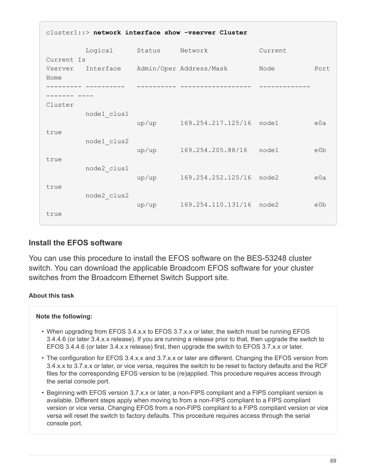| cluster1::> network interface show -vserver Cluster |             |        |                          |         |                  |  |  |
|-----------------------------------------------------|-------------|--------|--------------------------|---------|------------------|--|--|
| Current Is                                          | Logical     | Status | Network                  | Current |                  |  |  |
| Vserver<br>Home                                     | Interface   |        | Admin/Oper Address/Mask  | Node    | Port             |  |  |
|                                                     |             |        |                          |         |                  |  |  |
| Cluster                                             | node1 clus1 | up/up  | 169.254.217.125/16 node1 |         | e0a              |  |  |
| true                                                | node1 clus2 |        |                          |         |                  |  |  |
| true                                                |             | up/up  | 169.254.205.88/16        | node1   | e <sub>0</sub> b |  |  |
| true                                                | node2 clus1 | up/up  | 169.254.252.125/16 node2 |         | e0a              |  |  |
|                                                     | node2 clus2 | up/up  | 169.254.110.131/16 node2 |         | e0b              |  |  |
| true                                                |             |        |                          |         |                  |  |  |

# **Install the EFOS software**

You can use this procedure to install the EFOS software on the BES-53248 cluster switch. You can download the applicable Broadcom EFOS software for your cluster switches from the Broadcom Ethernet Switch Support site.

## **About this task**

## **Note the following:**

- When upgrading from EFOS 3.4.x.x to EFOS 3.7.x.x or later, the switch must be running EFOS 3.4.4.6 (or later 3.4.x.x release). If you are running a release prior to that, then upgrade the switch to EFOS 3.4.4.6 (or later 3.4.x.x release) first, then upgrade the switch to EFOS 3.7.x.x or later.
- The configuration for EFOS 3.4.x.x and 3.7.x.x or later are different. Changing the EFOS version from 3.4.x.x to 3.7.x.x or later, or vice versa, requires the switch to be reset to factory defaults and the RCF files for the corresponding EFOS version to be (re)applied. This procedure requires access through the serial console port.
- Beginning with EFOS version 3.7.x.x or later, a non-FIPS compliant and a FIPS compliant version is available. Different steps apply when moving to from a non-FIPS compliant to a FIPS compliant version or vice versa. Changing EFOS from a non-FIPS compliant to a FIPS compliant version or vice versa will reset the switch to factory defaults. This procedure requires access through the serial console port.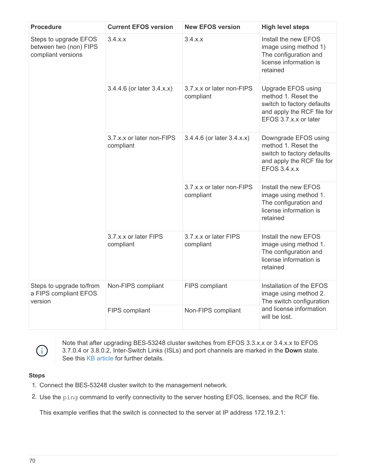| <b>Procedure</b>                                                      | <b>Current EFOS version</b>            | <b>New EFOS version</b>                | <b>High level steps</b>                                                                                                        |  |
|-----------------------------------------------------------------------|----------------------------------------|----------------------------------------|--------------------------------------------------------------------------------------------------------------------------------|--|
| Steps to upgrade EFOS<br>between two (non) FIPS<br>compliant versions | 3.4.x.x                                | 3.4.x.x                                | Install the new EFOS<br>image using method 1)<br>The configuration and<br>license information is<br>retained                   |  |
|                                                                       | 3.4.4.6 (or later 3.4.x.x)             | 3.7.x.x or later non-FIPS<br>compliant | Upgrade EFOS using<br>method 1. Reset the<br>switch to factory defaults<br>and apply the RCF file for<br>EFOS 3.7.x.x or later |  |
|                                                                       | 3.7.x.x or later non-FIPS<br>compliant | 3.4.4.6 (or later 3.4.x.x)             | Downgrade EFOS using<br>method 1. Reset the<br>switch to factory defaults<br>and apply the RCF file for<br><b>EFOS 3.4.x.x</b> |  |
|                                                                       |                                        | 3.7.x.x or later non-FIPS<br>compliant | Install the new EFOS<br>image using method 1.<br>The configuration and<br>license information is<br>retained                   |  |
|                                                                       | 3.7.x.x or later FIPS<br>compliant     | 3.7.x.x or later FIPS<br>compliant     | Install the new EFOS<br>image using method 1.<br>The configuration and<br>license information is<br>retained                   |  |
| Steps to upgrade to/from<br>a FIPS compliant EFOS<br>version          | Non-FIPS compliant                     | FIPS compliant                         | Installation of the EFOS<br>image using method 2.<br>The switch configuration<br>and license information<br>will be lost.      |  |
|                                                                       | FIPS compliant                         | Non-FIPS compliant                     |                                                                                                                                |  |



Note that after upgrading BES-53248 cluster switches from EFOS 3.3.x.x or 3.4.x.x to EFOS 3.7.0.4 or 3.8.0.2, Inter-Switch Links (ISLs) and port channels are marked in the **Down** state. See this [KB article](https://kb.netapp.com/Advice_and_Troubleshooting/Data_Storage_Systems/Fabric%2C_Interconnect_and_Management_Switches/BES-53248_Cluster_Switch_NDU_failed_upgrade_to_EFOS_3.7.0.4_and_later) for further details.

## **Steps**

- 1. Connect the BES-53248 cluster switch to the management network.
- 2. Use the ping command to verify connectivity to the server hosting EFOS, licenses, and the RCF file.

This example verifies that the switch is connected to the server at IP address 172.19.2.1: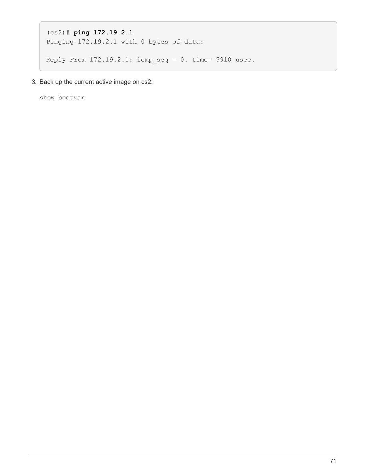```
(cs2)# ping 172.19.2.1
Pinging 172.19.2.1 with 0 bytes of data:
Reply From 172.19.2.1: icmp_seq = 0. time= 5910 usec.
```
3. Back up the current active image on cs2:

show bootvar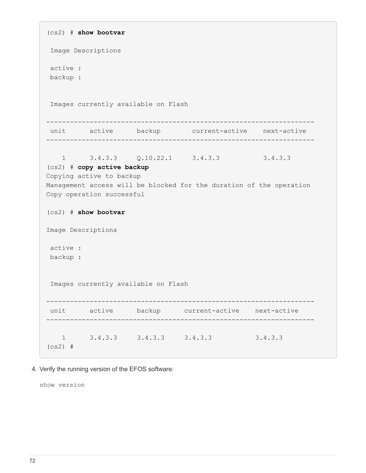```
(cs2) # show bootvar
  Image Descriptions
 active :
 backup :
  Images currently available on Flash
--------------------------------------------------------------------
 unit active backup current-active next-active
--------------------------------------------------------------------
   1 3.4.3.3    Q.10.22.1    3.4.3.3    3.4.3.3
(cs2) # copy active backup
Copying active to backup
Management access will be blocked for the duration of the operation
Copy operation successful
(cs2) # show bootvar
Image Descriptions
 active :
 backup :
 Images currently available on Flash
--------------------------------------------------------------------
 unit active backup current-active next-active
--------------------------------------------------------------------
     1 3.4.3.3 3.4.3.3 3.4.3.3 3.4.3.3
(cs2) #
```
4. Verify the running version of the EFOS software:

show version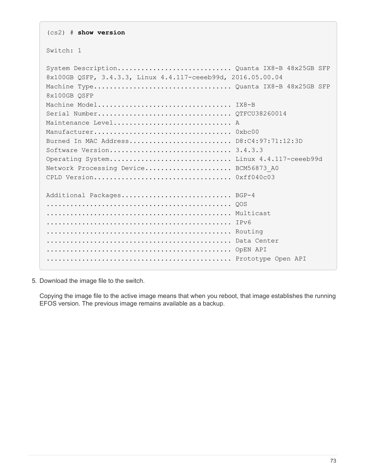(cs2) # **show version** Switch: 1 System Description............................. Quanta IX8-B 48x25GB SFP 8x100GB QSFP, 3.4.3.3, Linux 4.4.117-ceeeb99d, 2016.05.00.04 Machine Type................................... Quanta IX8-B 48x25GB SFP 8x100GB QSFP Machine Model.................................. IX8-B Serial Number.................................. QTFCU38260014 Maintenance Level............................... A Manufacturer................................... 0xbc00 Burned In MAC Address.......................... D8:C4:97:71:12:3D Software Version............................... 3.4.3.3 Operating System............................... Linux 4.4.117-ceeeb99d Network Processing Device......................... BCM56873 A0 CPLD Version................................... 0xff040c03 Additional Packages............................ BGP-4 ............................................... QOS ............................................... Multicast ............................................... IPv6 ............................................... Routing ............................................... Data Center ............................................... OpEN API ............................................... Prototype Open API

5. Download the image file to the switch.

Copying the image file to the active image means that when you reboot, that image establishes the running EFOS version. The previous image remains available as a backup.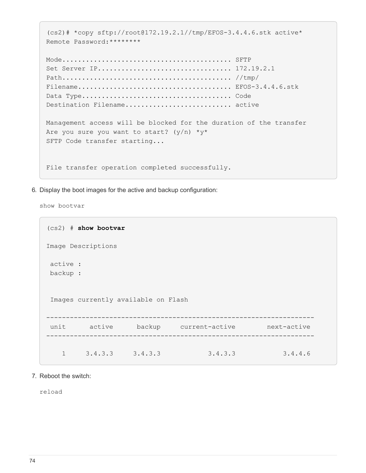```
(cs2)# *copy sftp://root@172.19.2.1//tmp/EFOS-3.4.4.6.stk active*
Remote Password:********
Mode........................................... SFTP
Set Server IP.................................. 172.19.2.1
Path........................................... //tmp/
Filename....................................... EFOS-3.4.4.6.stk
Data Type...................................... Code
Destination Filename............................. active
Management access will be blocked for the duration of the transfer
Are you sure you want to start? (y/n) * y *SFTP Code transfer starting...
File transfer operation completed successfully.
```
6. Display the boot images for the active and backup configuration:

show bootvar

```
(cs2) # show bootvar
Image Descriptions
 active :
 backup :
 Images currently available on Flash
--------------------------------------------------------------------
 unit active backup current-active next-active
--------------------------------------------------------------------
     1 3.4.3.3 3.4.3.3 3.4.3.3 3.4.4.6
```
7. Reboot the switch:

reload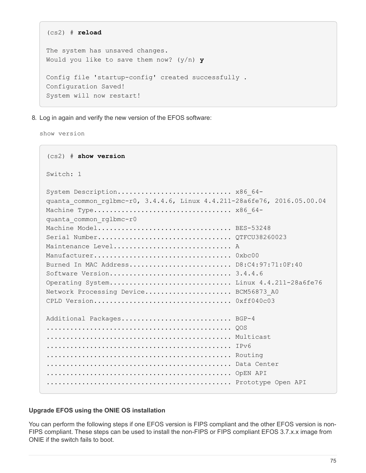```
(cs2) # reload
The system has unsaved changes.
Would you like to save them now? (y/n) y
Config file 'startup-config' created successfully .
Configuration Saved!
System will now restart!
```
8. Log in again and verify the new version of the EFOS software:

show version

```
(cs2) # show version
Switch: 1
System Description............................. x86 64-
quanta_common_rglbmc-r0, 3.4.4.6, Linux 4.4.211-28a6fe76, 2016.05.00.04
Machine Type................................... x86_64-
quanta_common_rglbmc-r0
Machine Model................................... BES-53248
Serial Number.................................. QTFCU38260023
Maintenance Level............................... A
Manufacturer................................... 0xbc00
Burned In MAC Address.......................... D8:C4:97:71:0F:40
Software Version............................... 3.4.4.6
Operating System............................... Linux 4.4.211-28a6fe76
Network Processing Device....................... BCM56873 A0
CPLD Version................................... 0xff040c03
Additional Packages............................ BGP-4
............................................... QOS
............................................... Multicast
............................................... IPv6
............................................... Routing
............................................... Data Center
............................................... OpEN API
............................................... Prototype Open API
```
### **Upgrade EFOS using the ONIE OS installation**

You can perform the following steps if one EFOS version is FIPS compliant and the other EFOS version is non-FIPS compliant. These steps can be used to install the non-FIPS or FIPS compliant EFOS 3.7.x.x image from ONIE if the switch fails to boot.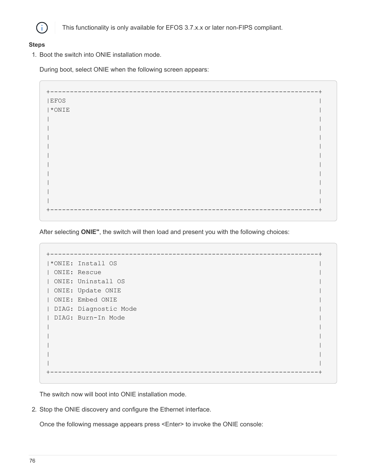

This functionality is only available for EFOS 3.7.x.x or later non-FIPS compliant.

### **Steps**

1. Boot the switch into ONIE installation mode.

During boot, select ONIE when the following screen appears:

+--------------------------------------------------------------------+  $|EFOS|$  $|\star\text{ONIE}|\$ | | | | | | | | | | | | | | | | | | | | +--------------------------------------------------------------------+

After selecting **ONIE"**, the switch will then load and present you with the following choices:

+--------------------------------------------------------------------+ |\*ONIE: Install OS | | ONIE: Rescue | | ONIE: Uninstall OS | | ONIE: Update ONIE | | ONIE: Embed ONIE | | DIAG: Diagnostic Mode | | DIAG: Burn-In Mode | | | | | | | | | | | +--------------------------------------------------------------------+

The switch now will boot into ONIE installation mode.

2. Stop the ONIE discovery and configure the Ethernet interface.

Once the following message appears press <Enter> to invoke the ONIE console: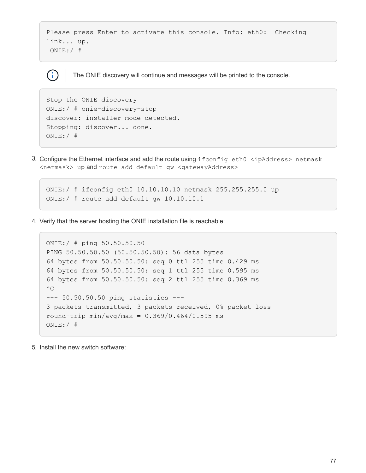```
Please press Enter to activate this console. Info: eth0: Checking
link... up.
  ONIE:/ #
```
The ONIE discovery will continue and messages will be printed to the console.

```
Stop the ONIE discovery
ONIE:/ # onie-discovery-stop
discover: installer mode detected.
Stopping: discover... done.
ONIE:/ #
```
( i )

3. Configure the Ethernet interface and add the route using ifconfig eth0 <ipAddress> netmask <netmask> up and route add default gw <gatewayAddress>

```
ONIE:/ # ifconfig eth0 10.10.10.10 netmask 255.255.255.0 up
ONIE:/ # route add default gw 10.10.10.1
```
4. Verify that the server hosting the ONIE installation file is reachable:

```
ONIE:/ # ping 50.50.50.50
PING 50.50.50.50 (50.50.50.50): 56 data bytes
64 bytes from 50.50.50.50: seq=0 ttl=255 time=0.429 ms
64 bytes from 50.50.50.50: seq=1 ttl=255 time=0.595 ms
64 bytes from 50.50.50.50: seq=2 ttl=255 time=0.369 ms
^{\wedge}C--- 50.50.50.50 ping statistics ---
3 packets transmitted, 3 packets received, 0% packet loss
round-trip min/avg/max = 0.369/0.464/0.595 msONIE:/ #
```
5. Install the new switch software: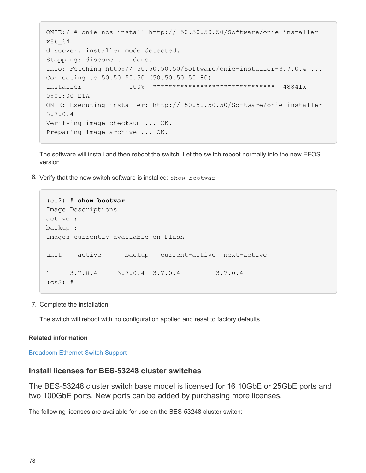```
ONIE:/ # onie-nos-install http:// 50.50.50.50/Software/onie-installer-
x86_64
discover: installer mode detected.
Stopping: discover... done.
Info: Fetching http:// 50.50.50.50/Software/onie-installer-3.7.0.4 ...
Connecting to 50.50.50.50 (50.50.50.50:80)
installer 100% |*******************************| 48841k
0:00:00 ETA
ONIE: Executing installer: http:// 50.50.50.50/Software/onie-installer-
3.7.0.4
Verifying image checksum ... OK.
Preparing image archive ... OK.
```
The software will install and then reboot the switch. Let the switch reboot normally into the new EFOS version.

6. Verify that the new switch software is installed: show bootvar

```
(cs2) # show bootvar
Image Descriptions
active :
backup :
Images currently available on Flash
---- ----------- -------- --------------- ------------
unit active backup current-active next-active
---- ----------- -------- --------------- ------------
1 3.7.0.4 3.7.0.4 3.7.0.4 3.7.0.4
(cs2) #
```
7. Complete the installation.

The switch will reboot with no configuration applied and reset to factory defaults.

#### **Related information**

[Broadcom Ethernet Switch Support](https://www.broadcom.com/support/bes-switch)

### **Install licenses for BES-53248 cluster switches**

The BES-53248 cluster switch base model is licensed for 16 10GbE or 25GbE ports and two 100GbE ports. New ports can be added by purchasing more licenses.

The following licenses are available for use on the BES-53248 cluster switch: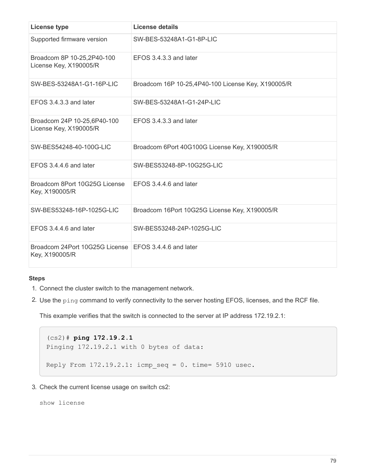| <b>License type</b>                                                     | License details                                    |
|-------------------------------------------------------------------------|----------------------------------------------------|
| Supported firmware version                                              | SW-BES-53248A1-G1-8P-LIC                           |
| Broadcom 8P 10-25,2P40-100<br>License Key, X190005/R                    | EFOS 3.4.3.3 and later                             |
| SW-BES-53248A1-G1-16P-LIC                                               | Broadcom 16P 10-25,4P40-100 License Key, X190005/R |
| EFOS 3.4.3.3 and later                                                  | SW-BES-53248A1-G1-24P-LIC                          |
| Broadcom 24P 10-25,6P40-100<br>License Key, X190005/R                   | EFOS 3.4.3.3 and later                             |
| SW-BES54248-40-100G-LIC                                                 | Broadcom 6Port 40G100G License Key, X190005/R      |
| EFOS 3.4.4.6 and later                                                  | SW-BES53248-8P-10G25G-LIC                          |
| Broadcom 8Port 10G25G License<br>Key, X190005/R                         | EFOS 3.4.4.6 and later                             |
| SW-BES53248-16P-1025G-LIC                                               | Broadcom 16Port 10G25G License Key, X190005/R      |
| EFOS 3.4.4.6 and later                                                  | SW-BES53248-24P-1025G-LIC                          |
| Broadcom 24Port 10G25G License EFOS 3.4.4.6 and later<br>Key, X190005/R |                                                    |

#### **Steps**

- 1. Connect the cluster switch to the management network.
- 2. Use the ping command to verify connectivity to the server hosting EFOS, licenses, and the RCF file.

This example verifies that the switch is connected to the server at IP address 172.19.2.1:

```
(cs2)# ping 172.19.2.1
Pinging 172.19.2.1 with 0 bytes of data:
Reply From 172.19.2.1: icmp seq = 0. time= 5910 usec.
```
3. Check the current license usage on switch cs2:

show license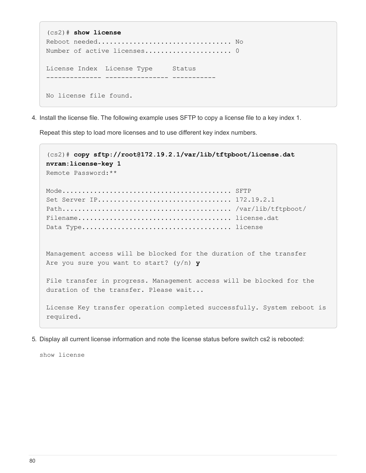```
(cs2)# show license
Reboot needed.................................. No
Number of active licenses...................... 0
License Index License Type Status
-------------- ---------------- -----------
No license file found.
```
4. Install the license file. The following example uses SFTP to copy a license file to a key index 1.

Repeat this step to load more licenses and to use different key index numbers.

```
(cs2)# copy sftp://root@172.19.2.1/var/lib/tftpboot/license.dat
nvram:license-key 1
Remote Password:**
Mode........................................... SFTP
Set Server IP.................................. 172.19.2.1
Path........................................... /var/lib/tftpboot/
Filename....................................... license.dat
Data Type...................................... license
Management access will be blocked for the duration of the transfer
Are you sure you want to start? (y/n) y
File transfer in progress. Management access will be blocked for the
duration of the transfer. Please wait...
License Key transfer operation completed successfully. System reboot is
required.
```
5. Display all current license information and note the license status before switch cs2 is rebooted:

show license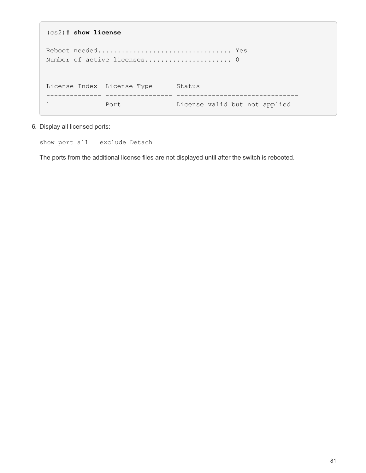```
(cs2)# show license
Reboot needed.................................. Yes
Number of active licenses...................... 0
License Index License Type Status
-------------- ----------------- -------------------------------
1 Port Port License valid but not applied
```
6. Display all licensed ports:

show port all | exclude Detach

The ports from the additional license files are not displayed until after the switch is rebooted.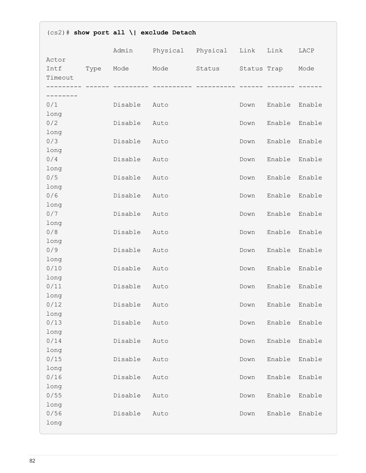| $(cs2)$ # show port all \  exclude Detach |      |         |                        |        |      |             |        |
|-------------------------------------------|------|---------|------------------------|--------|------|-------------|--------|
|                                           |      | Admin   | Physical Physical Link |        |      | Link        | LACP   |
| Actor<br>Intf<br>Timeout<br>----------    | Type | Mode    | Mode                   | Status |      | Status Trap | Mode   |
| --------                                  |      |         |                        |        |      |             |        |
| 0/1                                       |      | Disable | Auto                   |        | Down | Enable      | Enable |
| long                                      |      |         |                        |        |      |             |        |
| 0/2                                       |      | Disable | Auto                   |        | Down | Enable      | Enable |
| long                                      |      |         |                        |        |      |             |        |
| 0/3                                       |      | Disable | Auto                   |        | Down | Enable      | Enable |
| long<br>0/4                               |      | Disable | Auto                   |        | Down | Enable      | Enable |
| long                                      |      |         |                        |        |      |             |        |
| 0/5                                       |      | Disable | Auto                   |        | Down | Enable      | Enable |
| long                                      |      |         |                        |        |      |             |        |
| 0/6                                       |      | Disable | Auto                   |        | Down | Enable      | Enable |
| long                                      |      |         |                        |        |      |             |        |
| 0/7                                       |      | Disable | Auto                   |        | Down | Enable      | Enable |
| long<br>0/8                               |      | Disable | Auto                   |        | Down | Enable      | Enable |
| long                                      |      |         |                        |        |      |             |        |
| 0/9                                       |      | Disable | Auto                   |        | Down | Enable      | Enable |
| long                                      |      |         |                        |        |      |             |        |
| 0/10                                      |      | Disable | Auto                   |        | Down | Enable      | Enable |
| long                                      |      |         |                        |        |      |             |        |
| 0/11                                      |      | Disable | Auto                   |        | Down | Enable      | Enable |
| long<br>0/12                              |      | Disable | Auto                   |        | Down | Enable      | Enable |
| long                                      |      |         |                        |        |      |             |        |
| 0/13                                      |      | Disable | Auto                   |        | Down | Enable      | Enable |
| long                                      |      |         |                        |        |      |             |        |
| 0/14                                      |      | Disable | Auto                   |        | Down | Enable      | Enable |
| long                                      |      |         |                        |        |      |             |        |
| 0/15<br>long                              |      | Disable | Auto                   |        | Down | Enable      | Enable |
| 0/16                                      |      | Disable | Auto                   |        | Down | Enable      | Enable |
| long                                      |      |         |                        |        |      |             |        |
| 0/55                                      |      | Disable | Auto                   |        | Down | Enable      | Enable |
| long                                      |      |         |                        |        |      |             |        |
| 0/56                                      |      | Disable | Auto                   |        | Down | Enable      | Enable |
| long                                      |      |         |                        |        |      |             |        |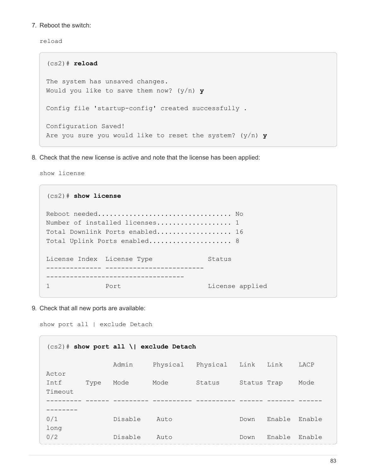7. Reboot the switch:

reload

```
(cs2)# reload
The system has unsaved changes.
Would you like to save them now? (y/n) y
Config file 'startup-config' created successfully .
Configuration Saved!
Are you sure you would like to reset the system? (y/n) y
```
8. Check that the new license is active and note that the license has been applied:

show license

| $(cs2)$ # show license     |                                      |                 |  |  |  |  |  |  |
|----------------------------|--------------------------------------|-----------------|--|--|--|--|--|--|
|                            |                                      |                 |  |  |  |  |  |  |
|                            |                                      |                 |  |  |  |  |  |  |
|                            | Number of installed licenses 1       |                 |  |  |  |  |  |  |
|                            | Total Downlink Ports enabled 16      |                 |  |  |  |  |  |  |
|                            | Total Uplink Ports enabled 8         |                 |  |  |  |  |  |  |
|                            |                                      |                 |  |  |  |  |  |  |
| License Index License Type |                                      | Status          |  |  |  |  |  |  |
|                            | ---------- ------------------------- |                 |  |  |  |  |  |  |
|                            |                                      |                 |  |  |  |  |  |  |
|                            | Port                                 | License applied |  |  |  |  |  |  |

9. Check that all new ports are available:

show port all | exclude Detach

| $(cs2)$ # show port all \  exclude Detach |      |         |          |          |             |        |        |
|-------------------------------------------|------|---------|----------|----------|-------------|--------|--------|
|                                           |      | Admin   | Physical | Physical | Link        | Link   | LACP   |
| Actor<br>Intf                             | Type | Mode    | Mode     | Status   | Status Trap |        | Mode   |
| Timeout                                   |      |         |          |          |             |        |        |
| ------<br>0/1                             |      | Disable | Auto     |          | Down        | Enable | Enable |
| long<br>0/2                               |      | Disable | Auto     |          | Down        | Enable | Enable |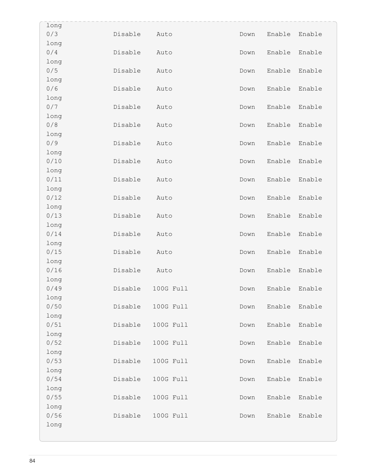| long |         |           |      |        |        |
|------|---------|-----------|------|--------|--------|
| 0/3  | Disable | Auto      | Down | Enable | Enable |
| long |         |           |      |        |        |
| 0/4  | Disable | Auto      | Down | Enable | Enable |
| long |         |           |      |        |        |
| 0/5  | Disable | Auto      | Down | Enable | Enable |
| long |         |           |      |        |        |
| 0/6  | Disable | Auto      | Down | Enable | Enable |
| long |         |           |      |        |        |
| 0/7  | Disable | Auto      | Down | Enable | Enable |
| long |         |           |      |        |        |
| 0/8  | Disable | Auto      | Down | Enable | Enable |
| long |         |           |      |        |        |
| 0/9  | Disable | Auto      | Down | Enable | Enable |
| long |         |           |      |        |        |
| 0/10 | Disable | Auto      | Down | Enable | Enable |
| long |         |           |      |        |        |
| 0/11 | Disable | Auto      | Down | Enable | Enable |
| long |         |           |      |        |        |
| 0/12 | Disable | Auto      | Down | Enable | Enable |
| long |         |           |      |        |        |
| 0/13 | Disable | Auto      | Down | Enable | Enable |
| long |         |           |      |        |        |
| 0/14 | Disable | Auto      | Down | Enable | Enable |
| long |         |           |      |        |        |
| 0/15 | Disable | Auto      | Down | Enable | Enable |
| long |         |           |      |        |        |
| 0/16 | Disable | Auto      | Down | Enable | Enable |
| long |         |           |      |        |        |
| 0/49 | Disable | 100G Full | Down | Enable | Enable |
| long |         |           |      |        |        |
| 0/50 | Disable | 100G Full | Down | Enable | Enable |
| long |         |           |      |        |        |
| 0/51 | Disable | 100G Full | Down | Enable | Enable |
| long |         |           |      |        |        |
| 0/52 | Disable | 100G Full | Down | Enable | Enable |
| long |         |           |      |        |        |
| 0/53 | Disable | 100G Full | Down | Enable | Enable |
| long |         |           |      |        |        |
| 0/54 | Disable | 100G Full | Down | Enable | Enable |
| long |         |           |      |        |        |
| 0/55 | Disable | 100G Full | Down | Enable | Enable |
| long |         |           |      |        |        |
| 0/56 | Disable | 100G Full | Down | Enable | Enable |
| long |         |           |      |        |        |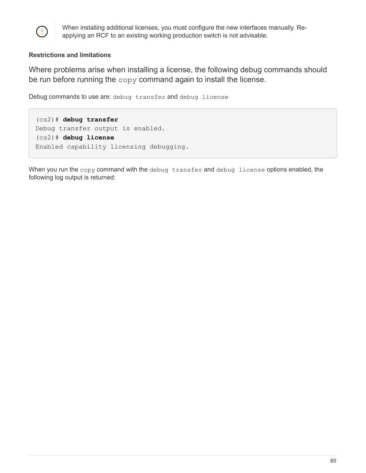

When installing additional licenses, you must configure the new interfaces manually. Reapplying an RCF to an existing working production switch is not advisable.

### **Restrictions and limitations**

Where problems arise when installing a license, the following debug commands should be run before running the copy command again to install the license.

Debug commands to use are: debug transfer and debug license

(cs2)# **debug transfer** Debug transfer output is enabled. (cs2)# **debug license** Enabled capability licensing debugging.

When you run the copy command with the debug transfer and debug license options enabled, the following log output is returned: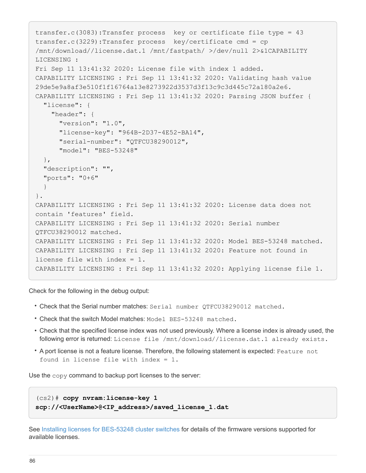```
transfer.c(3083):Transfer process key or certificate file type = 43
transfer.c(3229):Transfer process key/certificate cmd = cp
/mnt/download//license.dat.1 /mnt/fastpath/ >/dev/null 2>&1CAPABILITY
LICENSING :
Fri Sep 11 13:41:32 2020: License file with index 1 added.
CAPABILITY LICENSING : Fri Sep 11 13:41:32 2020: Validating hash value
29de5e9a8af3e510f1f16764a13e8273922d3537d3f13c9c3d445c72a180a2e6.
CAPABILITY LICENSING : Fri Sep 11 13:41:32 2020: Parsing JSON buffer {
    "license": {
      "header": {
        "version": "1.0",
        "license-key": "964B-2D37-4E52-BA14",
        "serial-number": "QTFCU38290012",
        "model": "BES-53248"
    },
    "description": "",
    "ports": "0+6"
    }
}.
CAPABILITY LICENSING : Fri Sep 11 13:41:32 2020: License data does not
contain 'features' field.
CAPABILITY LICENSING : Fri Sep 11 13:41:32 2020: Serial number
QTFCU38290012 matched.
CAPABILITY LICENSING : Fri Sep 11 13:41:32 2020: Model BES-53248 matched.
CAPABILITY LICENSING : Fri Sep 11 13:41:32 2020: Feature not found in
license file with index = 1.
CAPABILITY LICENSING : Fri Sep 11 13:41:32 2020: Applying license file 1.
```
Check for the following in the debug output:

- Check that the Serial number matches: Serial number QTFCU38290012 matched.
- Check that the switch Model matches: Model BES-53248 matched.
- Check that the specified license index was not used previously. Where a license index is already used, the following error is returned: License file /mnt/download//license.dat.1 already exists.
- A port license is not a feature license. Therefore, the following statement is expected: Feature not found in license file with index = 1.

Use the copy command to backup port licenses to the server:

```
(cs2)# copy nvram:license-key 1
scp://<UserName>@<IP_address>/saved_license_1.dat
```
See [Installing licenses for BES-53248 cluster switches](https://docs.netapp.com/us-en/ontap-systems-switches/switch-bes-53248/configure-licenses.html) for details of the firmware versions supported for available licenses.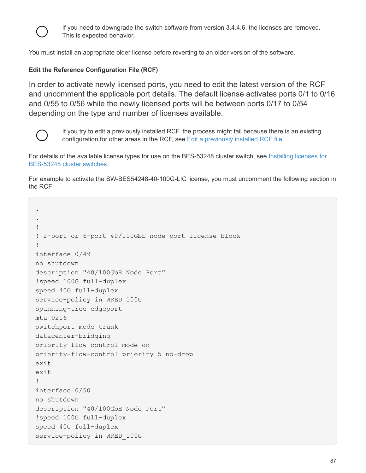

If you need to downgrade the switch software from version 3.4.4.6, the licenses are removed. This is expected behavior.

You must install an appropriate older license before reverting to an older version of the software.

### **Edit the Reference Configuration File (RCF)**

In order to activate newly licensed ports, you need to edit the latest version of the RCF and uncomment the applicable port details. The default license activates ports 0/1 to 0/16 and 0/55 to 0/56 while the newly licensed ports will be between ports 0/17 to 0/54 depending on the type and number of licenses available.



.

If you try to edit a previously installed RCF, the process might fail because there is an existing configuration for other areas in the RCF, see [Edit a previously installed RCF file](#page-90-0).

For details of the available license types for use on the BES-53248 cluster switch, see [Installing licenses for](https://docs.netapp.com/us-en/ontap-systems-switches/switch-bes-53248/configure-licenses.html) [BES-53248 cluster switches.](https://docs.netapp.com/us-en/ontap-systems-switches/switch-bes-53248/configure-licenses.html)

For example to activate the SW-BES54248-40-100G-LIC license, you must uncomment the following section in the RCF:

```
.
!
! 2-port or 6-port 40/100GbE node port license block
!
interface 0/49
no shutdown
description "40/100GbE Node Port"
!speed 100G full-duplex
speed 40G full-duplex
service-policy in WRED_100G
spanning-tree edgeport
mtu 9216
switchport mode trunk
datacenter-bridging
priority-flow-control mode on
priority-flow-control priority 5 no-drop
exitexit
!
interface 0/50
no shutdown
description "40/100GbE Node Port"
!speed 100G full-duplex
speed 40G full-duplex
service-policy in WRED_100G
```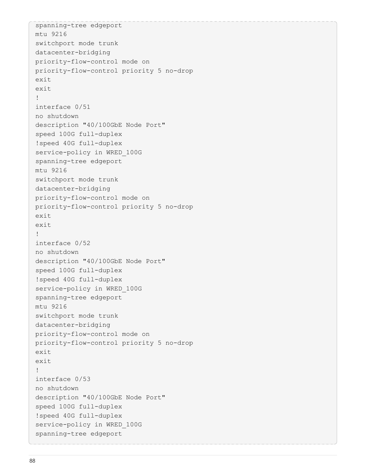```
spanning-tree edgeport
mtu 9216
switchport mode trunk
datacenter-bridging
priority-flow-control mode on
priority-flow-control priority 5 no-drop
exit
exit
!
interface 0/51
no shutdown
description "40/100GbE Node Port"
speed 100G full-duplex
!speed 40G full-duplex
service-policy in WRED_100G
spanning-tree edgeport
mtu 9216
switchport mode trunk
datacenter-bridging
priority-flow-control mode on
priority-flow-control priority 5 no-drop
exit
exit
!
interface 0/52
no shutdown
description "40/100GbE Node Port"
speed 100G full-duplex
!speed 40G full-duplex
service-policy in WRED_100G
spanning-tree edgeport
mtu 9216
switchport mode trunk
datacenter-bridging
priority-flow-control mode on
priority-flow-control priority 5 no-drop
exit
exit
!
interface 0/53
no shutdown
description "40/100GbE Node Port"
speed 100G full-duplex
!speed 40G full-duplex
service-policy in WRED_100G
spanning-tree edgeport
```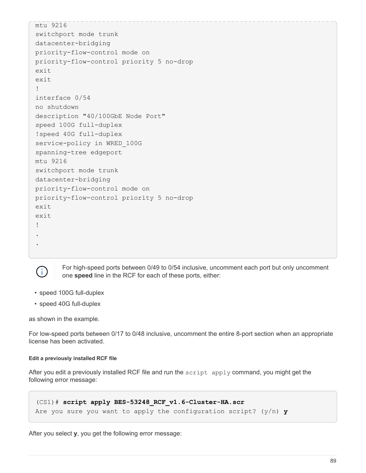```
mtu 9216
switchport mode trunk
datacenter-bridging
priority-flow-control mode on
priority-flow-control priority 5 no-drop
exit
exit
!
interface 0/54
no shutdown
description "40/100GbE Node Port"
speed 100G full-duplex
!speed 40G full-duplex
service-policy in WRED_100G
spanning-tree edgeport
mtu 9216
switchport mode trunk
datacenter-bridging
priority-flow-control mode on
priority-flow-control priority 5 no-drop
exit
exit
!
.
.
```


For high-speed ports between 0/49 to 0/54 inclusive, uncomment each port but only uncomment one **speed** line in the RCF for each of these ports, either:

- speed 100G full-duplex
- speed 40G full-duplex

as shown in the example.

For low-speed ports between 0/17 to 0/48 inclusive, uncomment the entire 8-port section when an appropriate license has been activated.

#### <span id="page-90-0"></span>**Edit a previously installed RCF file**

After you edit a previously installed RCF file and run the script apply command, you might get the following error message:

```
(CS1)# script apply BES-53248_RCF_v1.6-Cluster-HA.scr
Are you sure you want to apply the configuration script? (y/n) y
```
After you select **y**, you get the following error message: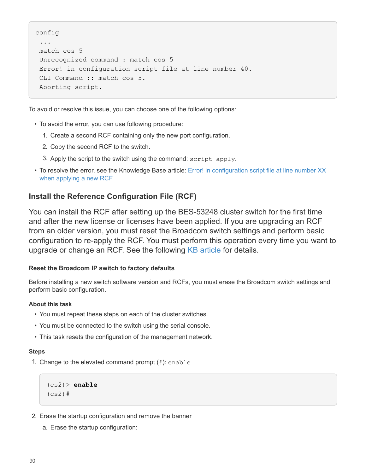```
config
  ...
 match cos 5
 Unrecognized command : match cos 5
 Error! in configuration script file at line number 40.
 CLI Command :: match cos 5.
 Aborting script.
```
To avoid or resolve this issue, you can choose one of the following options:

- To avoid the error, you can use following procedure:
	- 1. Create a second RCF containing only the new port configuration.
	- 2. Copy the second RCF to the switch.
	- 3. Apply the script to the switch using the command: script apply.
- To resolve the error, see the Knowledge Base article: Error! in configuration script file at line number XX when applying a new RCF

# **Install the Reference Configuration File (RCF)**

You can install the RCF after setting up the BES-53248 cluster switch for the first time and after the new license or licenses have been applied. If you are upgrading an RCF from an older version, you must reset the Broadcom switch settings and perform basic configuration to re-apply the RCF. You must perform this operation every time you want to upgrade or change an RCF. See the following [KB article](https://kb.netapp.com/Advice_and_Troubleshooting/Data_Storage_Systems/Fabric%2C_Interconnect_and_Management_Switches/Error!_in_configuration_script_file_at_line_number_XX_when_applying_a_new_RCF) for details.

### **Reset the Broadcom IP switch to factory defaults**

Before installing a new switch software version and RCFs, you must erase the Broadcom switch settings and perform basic configuration.

#### **About this task**

- You must repeat these steps on each of the cluster switches.
- You must be connected to the switch using the serial console.
- This task resets the configuration of the management network.

#### **Steps**

1. Change to the elevated command prompt  $(\#)$ : enable

```
(cs2)> enable
(cs2)#
```
- 2. Erase the startup configuration and remove the banner
	- a. Erase the startup configuration: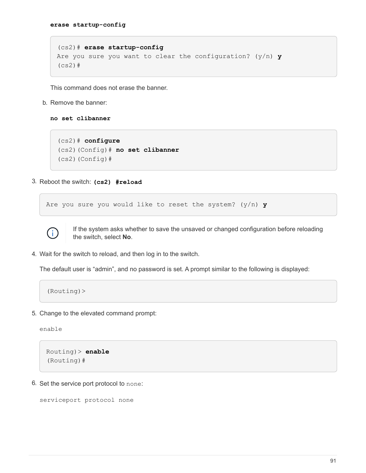```
(cs2)# erase startup-config
Are you sure you want to clear the configuration? (y/n) y
(cs2)#
```
This command does not erase the banner.

b. Remove the banner:

**no set clibanner**

```
(cs2)# configure
(cs2)(Config)# no set clibanner
(cs2) (Config) #
```
3. Reboot the switch: **(cs2) #reload**

Are you sure you would like to reset the system? (y/n) **y**



If the system asks whether to save the unsaved or changed configuration before reloading the switch, select **No**.

4. Wait for the switch to reload, and then log in to the switch.

The default user is "admin", and no password is set. A prompt similar to the following is displayed:

(Routing)>

5. Change to the elevated command prompt:

enable

```
Routing)> enable
(Routing)#
```
6. Set the service port protocol to none:

```
serviceport protocol none
```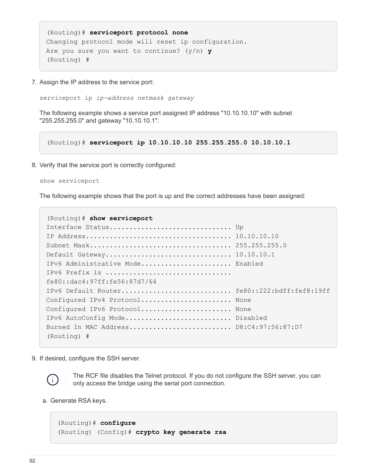```
(Routing)# serviceport protocol none
Changing protocol mode will reset ip configuration.
Are you sure you want to continue? (y/n) y
(Routing) #
```
7. Assign the IP address to the service port:

serviceport ip *ip-address netmask gateway*

The following example shows a service port assigned IP address "10.10.10.10" with subnet "255.255.255.0" and gateway "10.10.10.1":

(Routing)# **serviceport ip 10.10.10.10 255.255.255.0 10.10.10.1**

8. Verify that the service port is correctly configured:

```
show serviceport
```
The following example shows that the port is up and the correct addresses have been assigned:

```
(Routing)# show serviceport
Interface Status.................................. Up
IP Address..................................... 10.10.10.10
Subnet Mask.................................... 255.255.255.0
Default Gateway................................ 10.10.10.1
IPv6 Administrative Mode....................... Enabled
IPv6 Prefix is ................................
fe80::dac4:97ff:fe56:87d7/64
IPv6 Default Router................................. fe80::222:bdff:fef8:19ff
Configured IPv4 Protocol....................... None
Configured IPv6 Protocol........................ None
IPv6 AutoConfig Mode........................... Disabled
Burned In MAC Address.......................... D8:C4:97:56:87:D7
(Routing) #
```
9. If desired, configure the SSH server.



The RCF file disables the Telnet protocol. If you do not configure the SSH server, you can only access the bridge using the serial port connection.

a. Generate RSA keys.

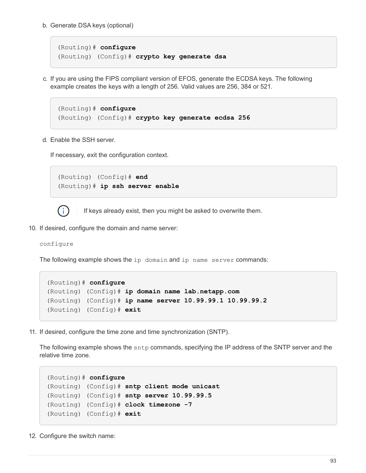b. Generate DSA keys (optional)

```
(Routing)# configure
(Routing) (Config)# crypto key generate dsa
```
c. If you are using the FIPS compliant version of EFOS, generate the ECDSA keys. The following example creates the keys with a length of 256. Valid values are 256, 384 or 521.

```
(Routing)# configure
(Routing) (Config)# crypto key generate ecdsa 256
```
d. Enable the SSH server.

If necessary, exit the configuration context.

```
(Routing) (Config)# end
(Routing)# ip ssh server enable
```


If keys already exist, then you might be asked to overwrite them.

10. If desired, configure the domain and name server:

```
configure
```
The following example shows the ip domain and ip name server commands:

```
(Routing)# configure
(Routing) (Config)# ip domain name lab.netapp.com
(Routing) (Config)# ip name server 10.99.99.1 10.99.99.2
(Routing) (Config)# exit
```
11. If desired, configure the time zone and time synchronization (SNTP).

The following example shows the sntp commands, specifying the IP address of the SNTP server and the relative time zone.

```
(Routing)# configure
(Routing) (Config)# sntp client mode unicast
(Routing) (Config)# sntp server 10.99.99.5
(Routing) (Config)# clock timezone -7
(Routing) (Config)# exit
```
12. Configure the switch name: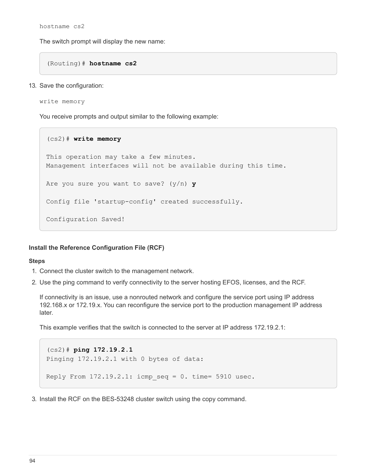hostname cs2

The switch prompt will display the new name:

(Routing)# **hostname cs2**

13. Save the configuration:

write memory

You receive prompts and output similar to the following example:

```
(cs2)# write memory
This operation may take a few minutes.
Management interfaces will not be available during this time.
Are you sure you want to save? (y/n) y
Config file 'startup-config' created successfully.
Configuration Saved!
```
### **Install the Reference Configuration File (RCF)**

#### **Steps**

- 1. Connect the cluster switch to the management network.
- 2. Use the ping command to verify connectivity to the server hosting EFOS, licenses, and the RCF.

If connectivity is an issue, use a nonrouted network and configure the service port using IP address 192.168.x or 172.19.x. You can reconfigure the service port to the production management IP address later.

This example verifies that the switch is connected to the server at IP address 172.19.2.1:

```
(cs2)# ping 172.19.2.1
Pinging 172.19.2.1 with 0 bytes of data:
Reply From 172.19.2.1: icmp seq = 0. time= 5910 usec.
```
3. Install the RCF on the BES-53248 cluster switch using the copy command.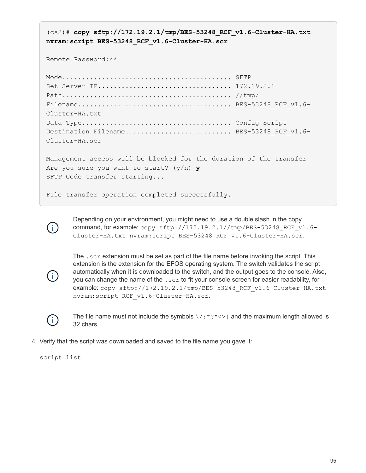(cs2)# **copy sftp://172.19.2.1/tmp/BES-53248\_RCF\_v1.6-Cluster-HA.txt nvram:script BES-53248\_RCF\_v1.6-Cluster-HA.scr** Remote Password:\*\* Mode........................................... SFTP Set Server IP.................................. 172.19.2.1 Path........................................... //tmp/  $File name \ldots \ldots \ldots \ldots \ldots \ldots \ldots \ldots \ldots \ldots \ldots \ldots \ldots$ . BES-53248 RCF v1.6-Cluster-HA.txt Data Type...................................... Config Script Destination Filename........................... BES-53248 RCF v1.6-Cluster-HA.scr Management access will be blocked for the duration of the transfer Are you sure you want to start? (y/n) **y** SFTP Code transfer starting... File transfer operation completed successfully.



Depending on your environment, you might need to use a double slash in the copy command, for example: copy sftp://172.19.2.1//tmp/BES-53248 RCF\_v1.6-Cluster-HA.txt nvram:script BES-53248\_RCF\_v1.6-Cluster-HA.scr.



The .scr extension must be set as part of the file name before invoking the script. This extension is the extension for the EFOS operating system. The switch validates the script automatically when it is downloaded to the switch, and the output goes to the console. Also, you can change the name of the .scr to fit your console screen for easier readability, for example: copy sftp://172.19.2.1/tmp/BES-53248\_RCF\_v1.6-Cluster-HA.txt nvram:script RCF\_v1.6-Cluster-HA.scr.



The file name must not include the symbols  $\setminus$  : \*?" <> | and the maximum length allowed is 32 chars.

4. Verify that the script was downloaded and saved to the file name you gave it:

script list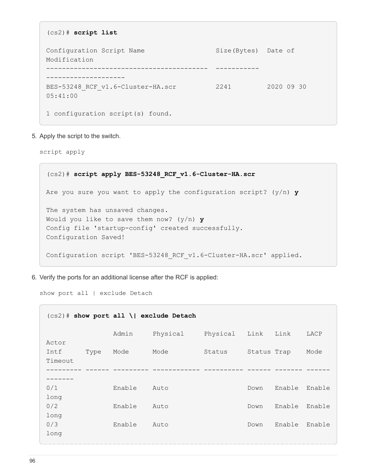```
(cs2)# script list
Configuration Script Name Size(Bytes) Date of
Modification
----------------------------------------- -----------
--------------------
BES-53248 RCF v1.6-Cluster-HA.scr 2241 2020 09 30
05:41:00
1 configuration script(s) found.
```
5. Apply the script to the switch.

script apply

```
(cs2)# script apply BES-53248_RCF_v1.6-Cluster-HA.scr
Are you sure you want to apply the configuration script? (y/n) y
The system has unsaved changes.
Would you like to save them now? (y/n) y
Config file 'startup-config' created successfully.
Configuration Saved!
Configuration script 'BES-53248 RCF v1.6-Cluster-HA.scr' applied.
```
6. Verify the ports for an additional license after the RCF is applied:

show port all | exclude Detach

| $(cs2)$ # show port all \  exclude Detach |        |          |          |             |        |        |  |
|-------------------------------------------|--------|----------|----------|-------------|--------|--------|--|
| Actor                                     | Admin  | Physical | Physical | Link        | Link   | LACP   |  |
| Type<br>Intf<br>Timeout                   | Mode   | Mode     | Status   | Status Trap |        | Mode   |  |
|                                           |        |          |          |             |        |        |  |
| 0/1<br>long                               | Enable | Auto     |          | Down        | Enable | Enable |  |
| 0/2<br>long                               | Enable | Auto     |          | Down        | Enable | Enable |  |
| 0/3<br>long                               | Enable | Auto     |          | Down        | Enable | Enable |  |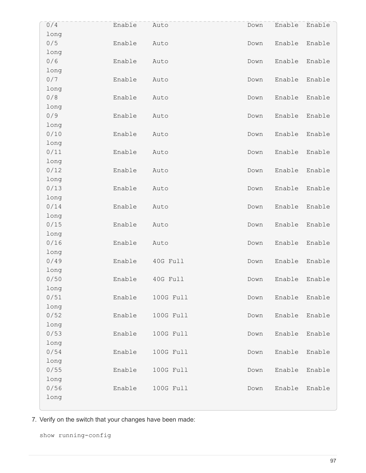| 0/4          | Enable | Auto      | Down | Enable | Enable |
|--------------|--------|-----------|------|--------|--------|
| long<br>0/5  | Enable | Auto      | Down | Enable | Enable |
| long         |        |           |      |        |        |
| 0/6          | Enable | Auto      | Down | Enable | Enable |
| long         |        |           |      |        |        |
| 0/7          | Enable | Auto      | Down | Enable | Enable |
| long         |        |           |      |        |        |
| 0/8          | Enable | Auto      | Down | Enable | Enable |
| long         |        |           |      |        |        |
| 0/9          | Enable | Auto      | Down | Enable | Enable |
| long         |        |           |      |        |        |
| 0/10         | Enable | Auto      | Down | Enable | Enable |
| long<br>0/11 | Enable | Auto      | Down | Enable | Enable |
| long         |        |           |      |        |        |
| 0/12         | Enable | Auto      | Down | Enable | Enable |
| long         |        |           |      |        |        |
| 0/13         | Enable | Auto      | Down | Enable | Enable |
| long         |        |           |      |        |        |
| 0/14         | Enable | Auto      | Down | Enable | Enable |
| long         |        |           |      |        |        |
| 0/15         | Enable | Auto      | Down | Enable | Enable |
| long         |        |           |      |        |        |
| 0/16         | Enable | Auto      | Down | Enable | Enable |
| long         |        |           |      |        |        |
| 0/49         | Enable | 40G Full  | Down | Enable | Enable |
| long         |        |           |      |        |        |
| 0/50         | Enable | 40G Full  | Down | Enable | Enable |
| long<br>0/51 | Enable | 100G Full | Down | Enable | Enable |
| long         |        |           |      |        |        |
| 0/52         | Enable | 100G Full | Down | Enable | Enable |
| long         |        |           |      |        |        |
| 0/53         | Enable | 100G Full | Down | Enable | Enable |
| long         |        |           |      |        |        |
| 0/54         | Enable | 100G Full | Down | Enable | Enable |
| long         |        |           |      |        |        |
| 0/55         | Enable | 100G Full | Down | Enable | Enable |
| long         |        |           |      |        |        |
| 0/56         | Enable | 100G Full | Down | Enable | Enable |
| long         |        |           |      |        |        |

7. Verify on the switch that your changes have been made:

show running-config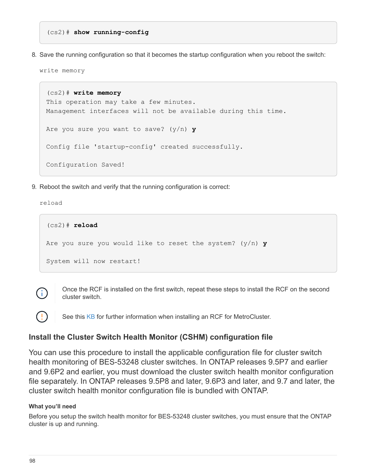(cs2)# **show running-config**

8. Save the running configuration so that it becomes the startup configuration when you reboot the switch:

write memory

(cs2)# **write memory** This operation may take a few minutes. Management interfaces will not be available during this time. Are you sure you want to save? (y/n) **y** Config file 'startup-config' created successfully. Configuration Saved!

9. Reboot the switch and verify that the running configuration is correct:

reload

```
(cs2)# reload
Are you sure you would like to reset the system? (y/n) y
System will now restart!
```


Once the RCF is installed on the first switch, repeat these steps to install the RCF on the second cluster switch.

See this [KB](https://kb.netapp.com/Advice_and_Troubleshooting/Data_Protection_and_Security/MetroCluster/BES-53248_communication_issue_after_firmware%2F%2FRCF_upgrade) for further information when installing an RCF for MetroCluster.

# **Install the Cluster Switch Health Monitor (CSHM) configuration file**

You can use this procedure to install the applicable configuration file for cluster switch health monitoring of BES-53248 cluster switches. In ONTAP releases 9.5P7 and earlier and 9.6P2 and earlier, you must download the cluster switch health monitor configuration file separately. In ONTAP releases 9.5P8 and later, 9.6P3 and later, and 9.7 and later, the cluster switch health monitor configuration file is bundled with ONTAP.

### **What you'll need**

Before you setup the switch health monitor for BES-53248 cluster switches, you must ensure that the ONTAP cluster is up and running.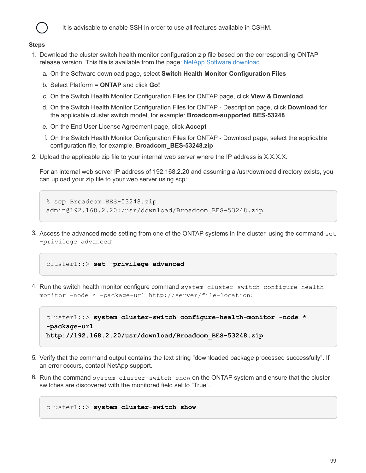

It is advisable to enable SSH in order to use all features available in CSHM.

#### **Steps**

- 1. Download the cluster switch health monitor configuration zip file based on the corresponding ONTAP release version. This file is available from the page: [NetApp Software download](https://mysupport.netapp.com/NOW/cgi-bin/software/)
	- a. On the Software download page, select **Switch Health Monitor Configuration Files**
	- b. Select Platform = **ONTAP** and click **Go!**
	- c. On the Switch Health Monitor Configuration Files for ONTAP page, click **View & Download**
	- d. On the Switch Health Monitor Configuration Files for ONTAP Description page, click **Download** for the applicable cluster switch model, for example: **Broadcom-supported BES-53248**
	- e. On the End User License Agreement page, click **Accept**
	- f. On the Switch Health Monitor Configuration Files for ONTAP Download page, select the applicable configuration file, for example, **Broadcom\_BES-53248.zip**
- 2. Upload the applicable zip file to your internal web server where the IP address is X.X.X.X.

For an internal web server IP address of 192.168.2.20 and assuming a /usr/download directory exists, you can upload your zip file to your web server using scp:

```
% scp Broadcom_BES-53248.zip
admin@192.168.2.20:/usr/download/Broadcom_BES-53248.zip
```
3. Access the advanced mode setting from one of the ONTAP systems in the cluster, using the command set -privilege advanced:

cluster1::> **set -privilege advanced**

4. Run the switch health monitor configure command system cluster-switch configure-healthmonitor -node \* -package-url http://server/file-location:

```
cluster1::> system cluster-switch configure-health-monitor -node *
-package-url
http://192.168.2.20/usr/download/Broadcom_BES-53248.zip
```
- 5. Verify that the command output contains the text string "downloaded package processed successfully". If an error occurs, contact NetApp support.
- 6. Run the command system cluster-switch show on the ONTAP system and ensure that the cluster switches are discovered with the monitored field set to "True".

```
cluster1::> system cluster-switch show
```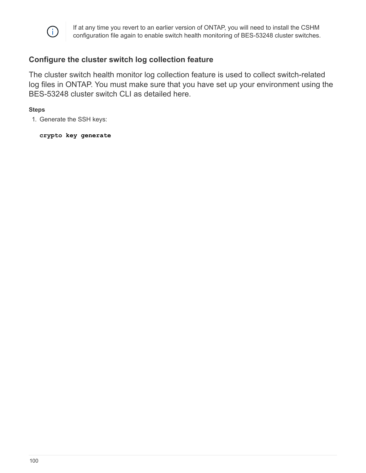

## **Configure the cluster switch log collection feature**

The cluster switch health monitor log collection feature is used to collect switch-related log files in ONTAP. You must make sure that you have set up your environment using the BES-53248 cluster switch CLI as detailed here.

### **Steps**

1. Generate the SSH keys:

**crypto key generate**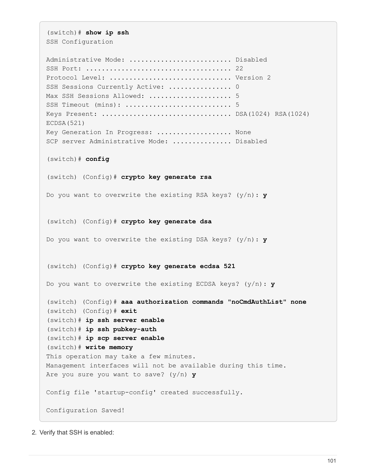(switch)# **show ip ssh** SSH Configuration

Administrative Mode: ............................... Disabled SSH Port: ..................................... 22 Protocol Level: ............................... Version 2 SSH Sessions Currently Active: ................... 0 Max SSH Sessions Allowed: ........................... 5 SSH Timeout (mins): ........................... 5 Keys Present: ................................. DSA(1024) RSA(1024) ECDSA(521) Key Generation In Progress: ................... None SCP server Administrative Mode: ................ Disabled (switch)# **config** (switch) (Config)# **crypto key generate rsa** Do you want to overwrite the existing RSA keys? (y/n): **y** (switch) (Config)# **crypto key generate dsa** Do you want to overwrite the existing DSA keys? (y/n): **y** (switch) (Config)# **crypto key generate ecdsa 521** Do you want to overwrite the existing ECDSA keys? (y/n): **y** (switch) (Config)# **aaa authorization commands "noCmdAuthList" none** (switch) (Config)# **exit** (switch)# **ip ssh server enable** (switch)# **ip ssh pubkey-auth** (switch)# **ip scp server enable** (switch)# **write memory** This operation may take a few minutes. Management interfaces will not be available during this time. Are you sure you want to save? (y/n) **y** Config file 'startup-config' created successfully. Configuration Saved!

2. Verify that SSH is enabled: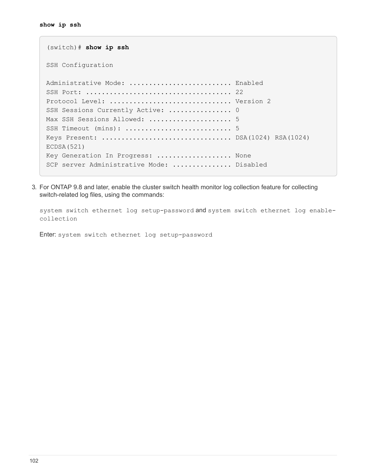```
(switch)# show ip ssh
SSH Configuration
Administrative Mode: .......................... Enabled
SSH Port: ..................................... 22
Protocol Level: ............................... Version 2
SSH Sessions Currently Active: ................... 0
Max SSH Sessions Allowed: ........................... 5
SSH Timeout (mins): ........................... 5
Keys Present: ................................. DSA(1024) RSA(1024)
ECDSA(521)
Key Generation In Progress: ................... None
SCP server Administrative Mode: ............... Disabled
```
3. For ONTAP 9.8 and later, enable the cluster switch health monitor log collection feature for collecting switch-related log files, using the commands:

system switch ethernet log setup-password and system switch ethernet log enablecollection

Enter: system switch ethernet log setup-password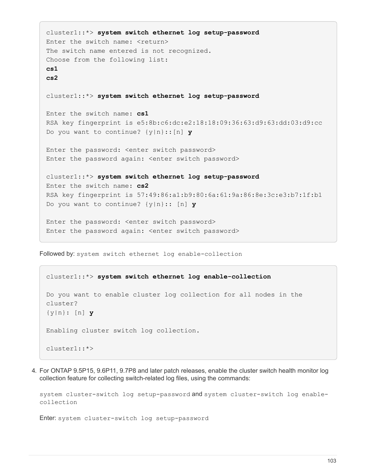```
cluster1::*> system switch ethernet log setup-password
Enter the switch name: <return>
The switch name entered is not recognized.
Choose from the following list:
cs1
cs2
cluster1::*> system switch ethernet log setup-password
Enter the switch name: cs1
RSA key fingerprint is e5:8b:c6:dc:e2:18:18:09:36:63:d9:63:dd:03:d9:cc
Do you want to continue? {y|n}::[n] y
Enter the password: < enter switch password>
Enter the password again: <enter switch password>
cluster1::*> system switch ethernet log setup-password
Enter the switch name: cs2
RSA key fingerprint is 57:49:86:a1:b9:80:6a:61:9a:86:8e:3c:e3:b7:1f:b1
Do you want to continue? {y|n}:: [n] y
Enter the password: < enter switch password>
Enter the password again: <enter switch password>
```
Followed by: system switch ethernet log enable-collection

```
cluster1::*> system switch ethernet log enable-collection
Do you want to enable cluster log collection for all nodes in the
cluster?
{y|n}: [n] y
Enabling cluster switch log collection.
cluster1::*>
```
4. For ONTAP 9.5P15, 9.6P11, 9.7P8 and later patch releases, enable the cluster switch health monitor log collection feature for collecting switch-related log files, using the commands:

system cluster-switch log setup-password and system cluster-switch log enablecollection

Enter: system cluster-switch log setup-password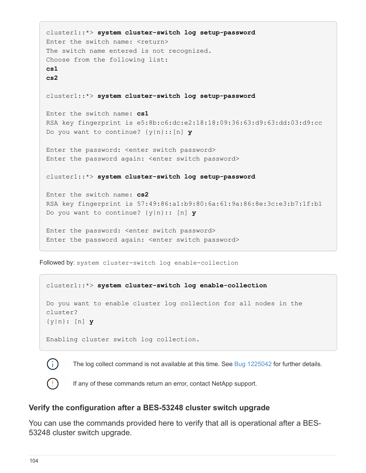```
cluster1::*> system cluster-switch log setup-password
Enter the switch name: <return>
The switch name entered is not recognized.
Choose from the following list:
cs1
cs2
cluster1::*> system cluster-switch log setup-password
Enter the switch name: cs1
RSA key fingerprint is e5:8b:c6:dc:e2:18:18:09:36:63:d9:63:dd:03:d9:cc
Do you want to continue? {y|n}::[n] y
Enter the password: < enter switch password>
Enter the password again: <enter switch password>
cluster1::*> system cluster-switch log setup-password
Enter the switch name: cs2
RSA key fingerprint is 57:49:86:a1:b9:80:6a:61:9a:86:8e:3c:e3:b7:1f:b1
Do you want to continue? {y|n}:: [n] y
Enter the password: < enter switch password>
Enter the password again: <enter switch password>
```
Followed by: system cluster-switch log enable-collection

### cluster1::\*> **system cluster-switch log enable-collection**

Do you want to enable cluster log collection for all nodes in the cluster? {y|n}: [n] **y**

Enabling cluster switch log collection.



The log collect command is not available at this time. See [Bug 1225042](https://mysupport.netapp.com/site/bugs-online/product/ONTAP/BURT/1225042) for further details.



If any of these commands return an error, contact NetApp support.

### **Verify the configuration after a BES-53248 cluster switch upgrade**

You can use the commands provided here to verify that all is operational after a BES-53248 cluster switch upgrade.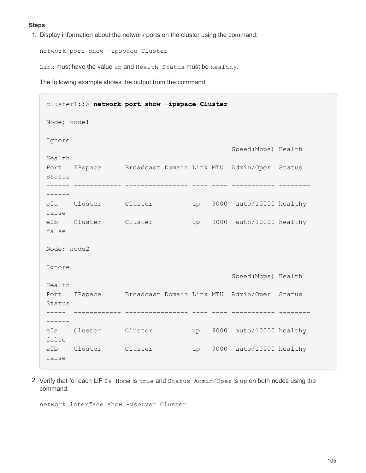#### **Steps**

1. Display information about the network ports on the cluster using the command:

network port show -ipspace Cluster

Link must have the value up and Health Status must be healthy.

The following example shows the output from the command:

```
cluster1::> network port show -ipspace Cluster
Node: node1
Ignore
                                           Speed(Mbps) Health
Health
Port IPspace Broadcast Domain Link MTU Admin/Oper Status
Status
------ ------------ ---------------- ---- ---- ----------- --------
------
e0a Cluster Cluster up 9000 auto/10000 healthy
false
e0b Cluster Cluster up 9000 auto/10000 healthy
false
Node: node2
Ignore
                                           Speed(Mbps) Health
Health
Port IPspace Broadcast Domain Link MTU Admin/Oper Status
Status
----- ------------ ---------------- ---- ---- ----------- --------
------
e0a Cluster Cluster up 9000 auto/10000 healthy
false
e0b Cluster Cluster up 9000 auto/10000 healthy
false
```
2. Verify that for each LIF Is Home is true and Status Admin/Oper is up on both nodes using the command:

network interface show -vserver Cluster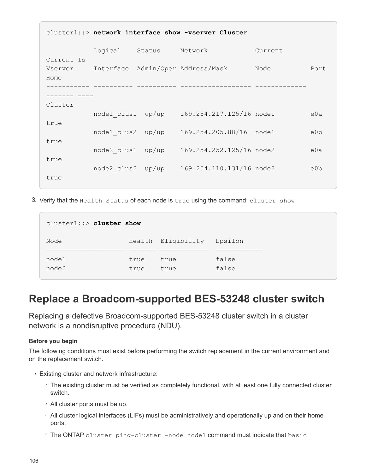| cluster1::> network interface show -vserver Cluster |                   |       |                                            |         |      |  |
|-----------------------------------------------------|-------------------|-------|--------------------------------------------|---------|------|--|
|                                                     | Logical Status    |       | Network                                    | Current |      |  |
| Current Is<br>Vserver<br>Home                       |                   |       | Interface Admin/Oper Address/Mask          | Node    | Port |  |
|                                                     |                   |       |                                            |         |      |  |
| Cluster                                             |                   |       |                                            |         |      |  |
|                                                     |                   |       | node1 clus1 up/up 169.254.217.125/16 node1 |         | e0a  |  |
| true                                                | node1 clus2       | up/up | 169.254.205.88/16 node1                    |         | e0b  |  |
| true                                                | node2 clus1       | up/up | 169.254.252.125/16 node2                   |         | e0a  |  |
| true                                                | node2 clus2 up/up |       | 169.254.110.131/16 node2                   |         | e0b  |  |
| true                                                |                   |       |                                            |         |      |  |

3. Verify that the Health Status of each node is true using the command: cluster show

| $cluster1::>cluster$ show |              |                    |                |  |  |  |  |
|---------------------------|--------------|--------------------|----------------|--|--|--|--|
| Node                      |              | Health Eligibility | Epsilon        |  |  |  |  |
| node1<br>node2            | true<br>true | true<br>true       | false<br>false |  |  |  |  |

# **Replace a Broadcom-supported BES-53248 cluster switch**

Replacing a defective Broadcom-supported BES-53248 cluster switch in a cluster network is a nondisruptive procedure (NDU).

### **Before you begin**

The following conditions must exist before performing the switch replacement in the current environment and on the replacement switch.

- Existing cluster and network infrastructure:
	- The existing cluster must be verified as completely functional, with at least one fully connected cluster switch.
	- All cluster ports must be up.
	- All cluster logical interfaces (LIFs) must be administratively and operationally up and on their home ports.
	- The ONTAP cluster ping-cluster -node node1 command must indicate that basic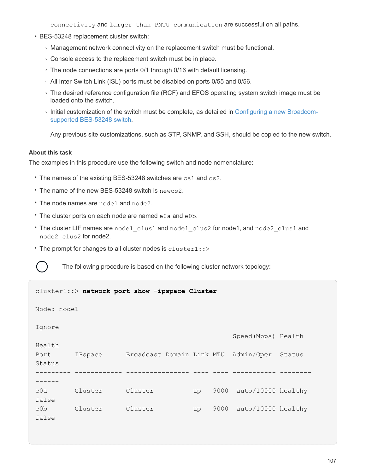connectivity and larger than PMTU communication are successful on all paths.

- BES-53248 replacement cluster switch:
	- Management network connectivity on the replacement switch must be functional.
	- Console access to the replacement switch must be in place.
	- The node connections are ports 0/1 through 0/16 with default licensing.
	- All Inter-Switch Link (ISL) ports must be disabled on ports 0/55 and 0/56.
	- The desired reference configuration file (RCF) and EFOS operating system switch image must be loaded onto the switch.
	- Initial customization of the switch must be complete, as detailed in [Configuring a new Broadcom](https://docs.netapp.com/us-en/ontap-systems-switches/switch-bes-53248/configure-new-switch.html)[supported BES-53248 switch.](https://docs.netapp.com/us-en/ontap-systems-switches/switch-bes-53248/configure-new-switch.html)

Any previous site customizations, such as STP, SNMP, and SSH, should be copied to the new switch.

#### **About this task**

The examples in this procedure use the following switch and node nomenclature:

- The names of the existing BES-53248 switches are cs1 and cs2.
- The name of the new BES-53248 switch is newcs2.
- The node names are node1 and node2.
- The cluster ports on each node are named e0a and e0b.
- The cluster LIF names are node1 clus1 and node1 clus2 for node1, and node2 clus1 and node2\_clus2 for node2.
- The prompt for changes to all cluster nodes is cluster1::>



The following procedure is based on the following cluster network topology:

```
cluster1::> network port show -ipspace Cluster
Node: node1
Ignore
                                              Speed(Mbps) Health
Health
Port IPspace Broadcast Domain Link MTU Admin/Oper Status
Status
--------- ------------ ---------------- ---- ---- ----------- --------
------
e0a Cluster Cluster up 9000 auto/10000 healthy
false
e0b Cluster Cluster up 9000 auto/10000 healthy
false
```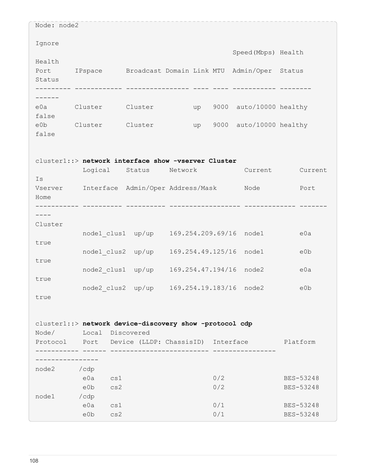| Node: node2 |                                                           |                                           |         |    |            |                                                     |                        |
|-------------|-----------------------------------------------------------|-------------------------------------------|---------|----|------------|-----------------------------------------------------|------------------------|
| Ignore      |                                                           |                                           |         |    |            | Speed (Mbps) Health                                 |                        |
| Health      |                                                           |                                           |         |    |            |                                                     |                        |
| Port        |                                                           |                                           |         |    |            | IPspace Broadcast Domain Link MTU Admin/Oper Status |                        |
| Status      |                                                           |                                           |         |    |            |                                                     |                        |
|             |                                                           |                                           |         |    |            |                                                     |                        |
| e0a Cluster |                                                           | Cluster                                   |         | up |            | 9000 auto/10000 healthy                             |                        |
| false       |                                                           |                                           |         |    |            |                                                     |                        |
| e0b         | Cluster Cluster                                           |                                           |         | up |            | 9000 auto/10000 healthy                             |                        |
| false       |                                                           |                                           |         |    |            |                                                     |                        |
|             |                                                           |                                           |         |    |            |                                                     |                        |
|             | cluster1::> network interface show -vserver Cluster       |                                           |         |    |            |                                                     |                        |
|             | Logical                                                   | Status                                    | Network |    |            | Current                                             | Current                |
| Is          |                                                           |                                           |         |    |            |                                                     |                        |
|             | Vserver Interface Admin/Oper Address/Mask Mode            |                                           |         |    |            |                                                     | Port                   |
| Home        |                                                           |                                           |         |    |            |                                                     |                        |
|             |                                                           |                                           |         |    |            |                                                     |                        |
|             |                                                           |                                           |         |    |            |                                                     |                        |
| Cluster     |                                                           | node1 clus1 up/up                         |         |    |            | 169.254.209.69/16 node1                             | e0a                    |
| true        |                                                           |                                           |         |    |            |                                                     |                        |
|             |                                                           | node1 clus2 up/up                         |         |    |            | 169.254.49.125/16 node1                             | e0b                    |
| true        |                                                           |                                           |         |    |            |                                                     |                        |
|             |                                                           | node2 clus1 up/up                         |         |    |            | 169.254.47.194/16 node2                             | e0a                    |
| true        |                                                           |                                           |         |    |            |                                                     |                        |
|             |                                                           | node2_clus2 up/up 169.254.19.183/16 node2 |         |    |            |                                                     | e0b                    |
| true        |                                                           |                                           |         |    |            |                                                     |                        |
|             |                                                           |                                           |         |    |            |                                                     |                        |
|             | cluster1::> network device-discovery show -protocol cdp   |                                           |         |    |            |                                                     |                        |
|             | Node/ Local Discovered                                    |                                           |         |    |            |                                                     |                        |
|             | Protocol Port Device (LLDP: ChassisID) Interface Platform |                                           |         |    |            |                                                     |                        |
|             | ------- ------ ---                                        |                                           |         |    |            |                                                     |                        |
|             |                                                           |                                           |         |    |            |                                                     |                        |
| node2 / cdp |                                                           |                                           |         |    |            |                                                     |                        |
|             | eOa<br>cs1                                                |                                           |         |    | 0/2        |                                                     | BES-53248              |
|             | e0b<br>cs2                                                |                                           |         |    | 0/2        |                                                     | BES-53248              |
| node1       | /cdp                                                      |                                           |         |    |            |                                                     |                        |
|             | e0a<br>cs1<br>e0b<br>cs2                                  |                                           |         |    | 0/1<br>0/1 |                                                     | BES-53248<br>BES-53248 |
|             |                                                           |                                           |         |    |            |                                                     |                        |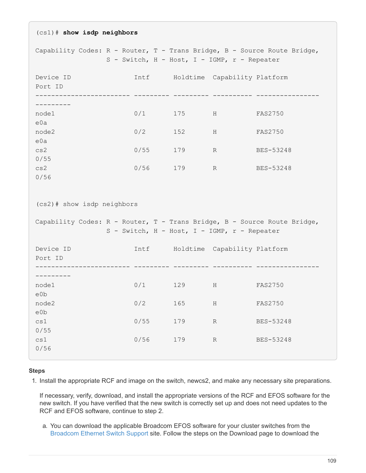| $(cs1)$ # show isdp neighbors                                                                                                                          |                                              |     |                  |                                                                          |  |  |  |  |
|--------------------------------------------------------------------------------------------------------------------------------------------------------|----------------------------------------------|-----|------------------|--------------------------------------------------------------------------|--|--|--|--|
|                                                                                                                                                        | S - Switch, H - Host, I - IGMP, r - Repeater |     |                  | Capability Codes: R - Router, T - Trans Bridge, B - Source Route Bridge, |  |  |  |  |
| Device ID                                                                                                                                              | Intf                                         |     |                  | Holdtime Capability Platform                                             |  |  |  |  |
| Port ID                                                                                                                                                |                                              |     |                  |                                                                          |  |  |  |  |
| . _ _ _ _ _ _ _ _                                                                                                                                      |                                              |     |                  |                                                                          |  |  |  |  |
| node1<br>e0a                                                                                                                                           | 0/1                                          | 175 | H                | <b>FAS2750</b>                                                           |  |  |  |  |
| node2<br>e0a                                                                                                                                           | 0/2                                          | 152 | H                | FAS2750                                                                  |  |  |  |  |
| cs2<br>0/55                                                                                                                                            | 0/55                                         | 179 | R                | BES-53248                                                                |  |  |  |  |
| cs2<br>0/56                                                                                                                                            | 0/56                                         | 179 | $R_{\rm}$        | BES-53248                                                                |  |  |  |  |
| (cs2)# show isdp neighbors<br>Capability Codes: R - Router, T - Trans Bridge, B - Source Route Bridge,<br>S - Switch, H - Host, I - IGMP, r - Repeater |                                              |     |                  |                                                                          |  |  |  |  |
| Device ID<br>Port ID                                                                                                                                   | Intf                                         |     |                  | Holdtime Capability Platform                                             |  |  |  |  |
| . - - - - - - - -                                                                                                                                      |                                              |     |                  |                                                                          |  |  |  |  |
| node1<br>e0b                                                                                                                                           | 0/1                                          | 129 | H                | <b>FAS2750</b>                                                           |  |  |  |  |
| node2<br>e0b                                                                                                                                           | 0/2                                          | 165 | $\rm H$          | <b>FAS2750</b>                                                           |  |  |  |  |
| cs1<br>0/55                                                                                                                                            | 0/55                                         | 179 | $\, {\mathbb R}$ | BES-53248                                                                |  |  |  |  |
| cs1<br>0/56                                                                                                                                            | 0/56                                         | 179 | $\, {\mathbb R}$ | BES-53248                                                                |  |  |  |  |

#### **Steps**

1. Install the appropriate RCF and image on the switch, newcs2, and make any necessary site preparations.

If necessary, verify, download, and install the appropriate versions of the RCF and EFOS software for the new switch. If you have verified that the new switch is correctly set up and does not need updates to the RCF and EFOS software, continue to step 2.

a. You can download the applicable Broadcom EFOS software for your cluster switches from the [Broadcom Ethernet Switch Support](https://www.broadcom.com/support/bes-switch) site. Follow the steps on the Download page to download the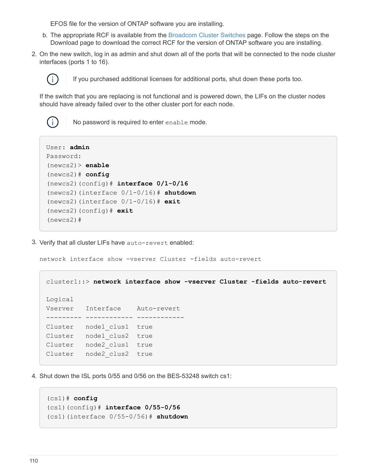EFOS file for the version of ONTAP software you are installing.

- b. The appropriate RCF is available from the [Broadcom Cluster Switches](https://mysupport.netapp.com/site/products/all/details/broadcom-cluster-switches/downloads-tab) page. Follow the steps on the Download page to download the correct RCF for the version of ONTAP software you are installing.
- 2. On the new switch, log in as admin and shut down all of the ports that will be connected to the node cluster interfaces (ports 1 to 16).



If you purchased additional licenses for additional ports, shut down these ports too.

If the switch that you are replacing is not functional and is powered down, the LIFs on the cluster nodes should have already failed over to the other cluster port for each node.



No password is required to enter enable mode.

```
User: admin
Password:
(newcs2)> enable
(newcs2)# config
(newcs2)(config)# interface 0/1-0/16
(newcs2)(interface 0/1-0/16)# shutdown
(newcs2)(interface 0/1-0/16)# exit
(newcs2)(config)# exit
(newcs2)#
```
3. Verify that all cluster LIFs have auto-revert enabled:

network interface show -vserver Cluster -fields auto-revert

```
cluster1::> network interface show -vserver Cluster -fields auto-revert
Logical
Vserver Interface Auto-revert
--------- ------------ ------------
Cluster node1 clus1 true
Cluster node1 clus2 true
Cluster node2_clus1 true
Cluster node2_clus2 true
```
4. Shut down the ISL ports 0/55 and 0/56 on the BES-53248 switch cs1:

```
(cs1)# config
(cs1)(config)# interface 0/55-0/56
(cs1)(interface 0/55-0/56)# shutdown
```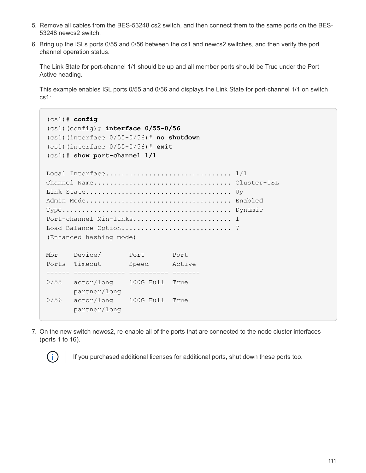- 5. Remove all cables from the BES-53248 cs2 switch, and then connect them to the same ports on the BES-53248 newcs2 switch.
- 6. Bring up the ISLs ports 0/55 and 0/56 between the cs1 and newcs2 switches, and then verify the port channel operation status.

The Link State for port-channel 1/1 should be up and all member ports should be True under the Port Active heading.

This example enables ISL ports 0/55 and 0/56 and displays the Link State for port-channel 1/1 on switch cs1:

```
(cs1)# config
(cs1)(config)# interface 0/55-0/56
(cs1)(interface 0/55-0/56)# no shutdown
(cs1)(interface 0/55-0/56)# exit
(cs1)# show port-channel 1/1
Local Interface.................................. 1/1
Channel Name................................... Cluster-ISL
Link State..................................... Up
Admin Mode..................................... Enabled
Type........................................... Dynamic
Port-channel Min-links.............................. 1
Load Balance Option............................ 7
(Enhanced hashing mode)
Mbr Device/ Port Port
Ports Timeout Speed Active
------ ------------- ---------- -------
0/55 actor/long 100G Full True
         partner/long
0/56 actor/long 100G Full True
         partner/long
```
7. On the new switch newcs2, re-enable all of the ports that are connected to the node cluster interfaces (ports 1 to 16).



If you purchased additional licenses for additional ports, shut down these ports too.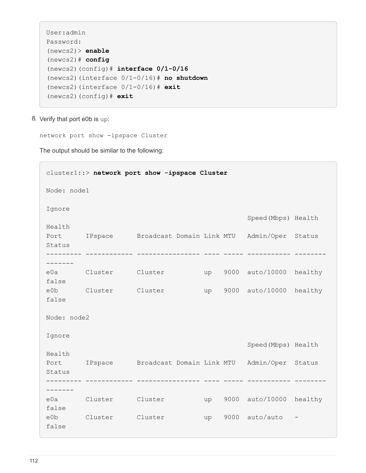```
User:admin
Password:
(newcs2)> enable
(newcs2)# config
(newcs2)(config)# interface 0/1-0/16
(newcs2)(interface 0/1-0/16)# no shutdown
(newcs2)(interface 0/1-0/16)# exit
(newcs2)(config)# exit
```
8. Verify that port e0b is up:

network port show -ipspace Cluster

The output should be similar to the following:

```
cluster1::> network port show -ipspace Cluster
Node: node1
Ignore
                                             Speed(Mbps) Health
Health
Port IPspace Broadcast Domain Link MTU Admin/Oper Status
Status
--------- ------------ ---------------- ---- ----- ----------- --------
-------
e0a Cluster Cluster up 9000 auto/10000 healthy
false
e0b Cluster Cluster up 9000 auto/10000 healthy
false
Node: node2
Ignore
                                             Speed(Mbps) Health
Health
Port IPspace Broadcast Domain Link MTU Admin/Oper Status
Status
--------- ------------ ---------------- ---- ----- ----------- --------
-------
e0a Cluster Cluster up 9000 auto/10000 healthy
false
e0b Cluster Cluster up 9000 auto/auto -
false
```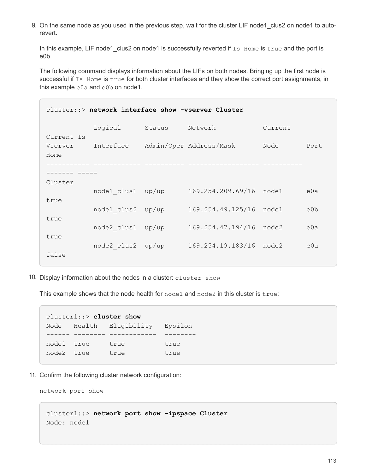9. On the same node as you used in the previous step, wait for the cluster LIF node1 clus2 on node1 to autorevert.

In this example, LIF node1 clus2 on node1 is successfully reverted if Is Home is true and the port is e0b.

The following command displays information about the LIFs on both nodes. Bringing up the first node is successful if Is Home is true for both cluster interfaces and they show the correct port assignments, in this example e0a and e0b on node1.

| cluster::> network interface show -vserver Cluster |                   |        |                         |         |      |  |  |  |
|----------------------------------------------------|-------------------|--------|-------------------------|---------|------|--|--|--|
|                                                    | Logical           | Status | Network                 | Current |      |  |  |  |
| Current Is<br>Vserver<br>Home                      | Interface         |        | Admin/Oper Address/Mask | Node    | Port |  |  |  |
|                                                    |                   |        |                         |         |      |  |  |  |
| Cluster                                            |                   |        |                         |         |      |  |  |  |
| true                                               | nodel clus1 up/up |        | 169.254.209.69/16 node1 |         | e0a  |  |  |  |
|                                                    | node1 clus2       | up/up  | 169.254.49.125/16       | node1   | e0b  |  |  |  |
| true<br>true                                       | node2 clus1       | up/up  | 169.254.47.194/16       | node2   | e0a  |  |  |  |
| false                                              | node2 clus2       | up/up  | 169.254.19.183/16       | node2   | e0a  |  |  |  |
|                                                    |                   |        |                         |         |      |  |  |  |

10. Display information about the nodes in a cluster: cluster show

This example shows that the node health for node1 and node2 in this cluster is true:

```
cluster1::> cluster show
Node Health Eligibility Epsilon
------ -------- ------------ --------
node1 true true true
node2 true true true
```
11. Confirm the following cluster network configuration:

network port show

```
cluster1::> network port show -ipspace Cluster
Node: node1
```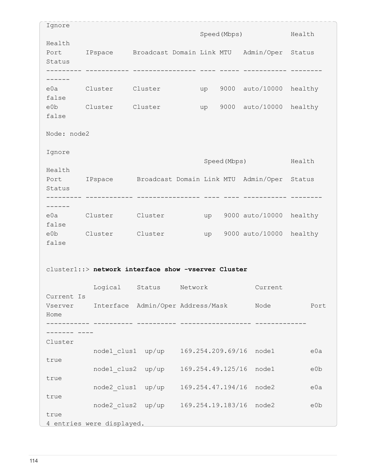| Ignore                                              |                                                          |                                           |         | Speed (Mbps) |              |                         | Health  |  |
|-----------------------------------------------------|----------------------------------------------------------|-------------------------------------------|---------|--------------|--------------|-------------------------|---------|--|
| Health<br>Port<br>Status                            | IPspace Broadcast Domain Link MTU Admin/Oper Status      |                                           |         |              |              |                         |         |  |
|                                                     |                                                          |                                           |         |              |              |                         |         |  |
|                                                     |                                                          |                                           |         |              |              |                         |         |  |
| false                                               | e0a Cluster                                              | Cluster                                   |         | up           |              | 9000 auto/10000 healthy |         |  |
| eOb                                                 | Cluster Cluster                                          |                                           |         | up           | 9000         | auto/10000              | healthy |  |
| false                                               |                                                          |                                           |         |              |              |                         |         |  |
| Node: node2                                         |                                                          |                                           |         |              |              |                         |         |  |
| Ignore                                              |                                                          |                                           |         |              |              |                         |         |  |
|                                                     |                                                          |                                           |         |              | Speed (Mbps) |                         | Health  |  |
| Health                                              | Port IPspace Broadcast Domain Link MTU Admin/Oper Status |                                           |         |              |              |                         |         |  |
| Status                                              |                                                          |                                           |         |              |              |                         |         |  |
|                                                     |                                                          |                                           |         |              |              |                         |         |  |
| e0a l                                               | Cluster                                                  | Cluster                                   |         | up           |              | 9000 auto/10000         | healthy |  |
| false                                               | e0b Cluster Cluster                                      |                                           |         |              |              | up 9000 auto/10000      | healthy |  |
| false                                               |                                                          |                                           |         |              |              |                         |         |  |
|                                                     |                                                          |                                           |         |              |              |                         |         |  |
| cluster1::> network interface show -vserver Cluster |                                                          |                                           |         |              |              |                         |         |  |
|                                                     | Logical                                                  | Status                                    | Network |              |              | Current                 |         |  |
| Current Is<br>Vserver                               |                                                          | Interface Admin/Oper Address/Mask Node    |         |              |              |                         | Port    |  |
| Home                                                |                                                          |                                           |         |              |              |                         |         |  |
|                                                     |                                                          |                                           |         |              |              |                         |         |  |
| Cluster                                             |                                                          |                                           |         |              |              |                         |         |  |
|                                                     |                                                          | node1 clus1 up/up 169.254.209.69/16 node1 |         |              |              |                         | e0a     |  |
| true                                                |                                                          | node1 clus2 up/up                         |         |              |              | 169.254.49.125/16 node1 | e0b     |  |
| true                                                |                                                          |                                           |         |              |              |                         |         |  |
|                                                     |                                                          | node2 clus1 up/up 169.254.47.194/16 node2 |         |              |              |                         | e0a     |  |
| true                                                |                                                          | node2 clus2 up/up 169.254.19.183/16 node2 |         |              |              |                         | e0b     |  |
| true                                                |                                                          |                                           |         |              |              |                         |         |  |
| 4 entries were displayed.                           |                                                          |                                           |         |              |              |                         |         |  |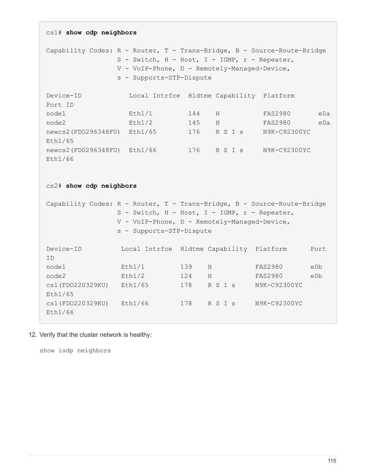```
cs1# show cdp neighbors
Capability Codes: R - Router, T - Trans-Bridge, B - Source-Route-Bridge
                S - Switch, H - Host, I - IGMP, r - Repeater,
                V - VoIP-Phone, D - Remotely-Managed-Device,
                s - Supports-STP-Dispute
Device-ID Local Intrfce Hldtme Capability Platform
Port ID
node1 Eth1/1 144 H FAS2980 e0a
node2 Eth1/2 145 H FAS2980 e0a
newcs2(FDO296348FU) Eth1/65 176 R S I s N9K-C92300YC
Eth1/65
newcs2(FDO296348FU) Eth1/66 176 R S I s N9K-C92300YC
Eth1/66
cs2# show cdp neighbors
Capability Codes: R - Router, T - Trans-Bridge, B - Source-Route-Bridge
              S - Switch, H - Host, I - IGMP, r - Repeater,
                V - VoIP-Phone, D - Remotely-Managed-Device,
                s - Supports-STP-Dispute
Device-ID Local Intrfce Hldtme Capability Platform Port
ID
node1   Eth1/1   139   H FAS2980   e0b
node2 Eth1/2 124 H FAS2980 e0b
cs1(FDO220329KU) Eth1/65 178 R S I s N9K-C92300YC
Eth1/65
cs1(FDO220329KU) Eth1/66 178 R S I s N9K-C92300YC
Eth1/66
```
12. Verify that the cluster network is healthy:

show isdp neighbors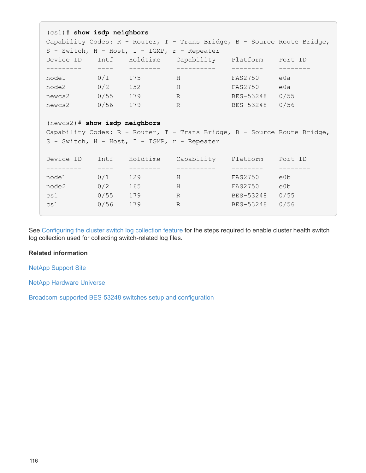```
(cs1)# show isdp neighbors
Capability Codes: R - Router, T - Trans Bridge, B - Source Route Bridge,
S - Switch, H - Host, I - IGMP, r - Repeater
Device ID Intf Holdtime Capability Platform Port ID
--------- ---- -------- ---------- -------- --------
node1 0/1 175 H FAS2750 e0a
node2 0/2 152 H FAS2750 e0a
newcs2 0/55 179 R BES-53248 0/55
newcs2 0/56 179 R BES-53248 0/56
(newcs2)# show isdp neighbors
Capability Codes: R - Router, T - Trans Bridge, B - Source Route Bridge,
S - Switch, H - Host, I - IGMP, r - Repeater
Device ID Intf Holdtime Capability Platform Port ID
--------- ---- -------- ---------- -------- --------
node1 0/1 129 H FAS2750 e0b
node2 0/2 165 H FAS2750 e0b
cs1 0/55 179 R BES-53248 0/55
cs1 0/56 179 R BES-53248 0/56
```
See [Configuring the cluster switch log collection feature](https://docs.netapp.com/us-en/ontap-systems-switches/switch-bes-53248/configure-log-collection.html) for the steps required to enable cluster health switch log collection used for collecting switch-related log files.

## **Related information**

[NetApp Support Site](https://mysupport.netapp.com/)

[NetApp Hardware Universe](https://hwu.netapp.com/)

[Broadcom-supported BES-53248 switches setup and configuration](https://docs.netapp.com/us-en/ontap-systems-switches/switch-bes-53248/replace-requirements.html)